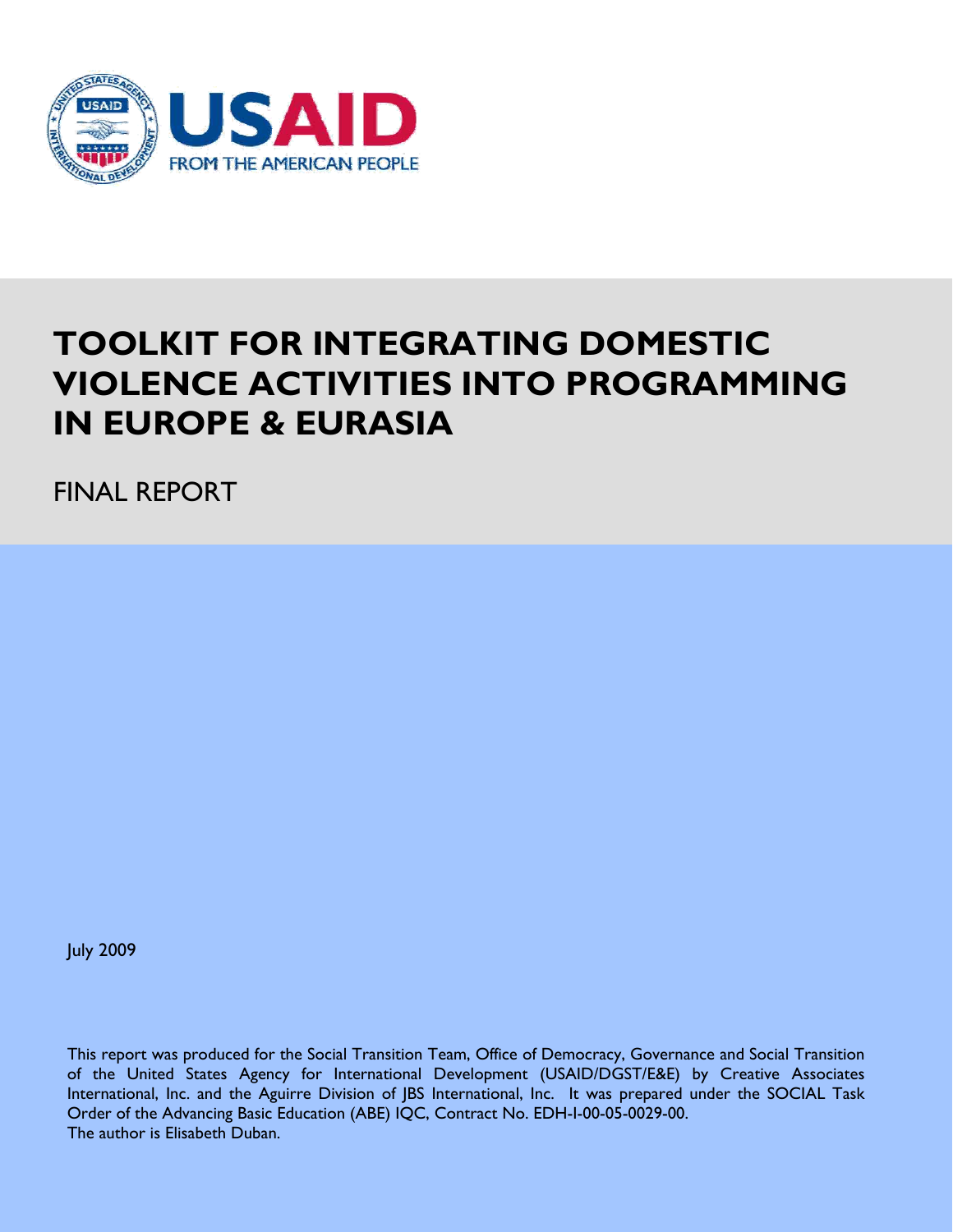

# **TOOLKIT FOR INTEGRATING DOMESTIC VIOLENCE ACTIVITIES INTO PROGRAMMING IN EUROPE & EURASIA**

FINAL REPORT

July 2009

This report was produced for the Social Transition Team, Office of Democracy, Governance and Social Transition of the United States Agency for International Development (USAID/DGST/E&E) by Creative Associates International, Inc. and the Aguirre Division of JBS International, Inc. It was prepared under the SOCIAL Task Order of the Advancing Basic Education (ABE) IQC, Contract No. EDH-I-00-05-0029-00. The author is Elisabeth Duban.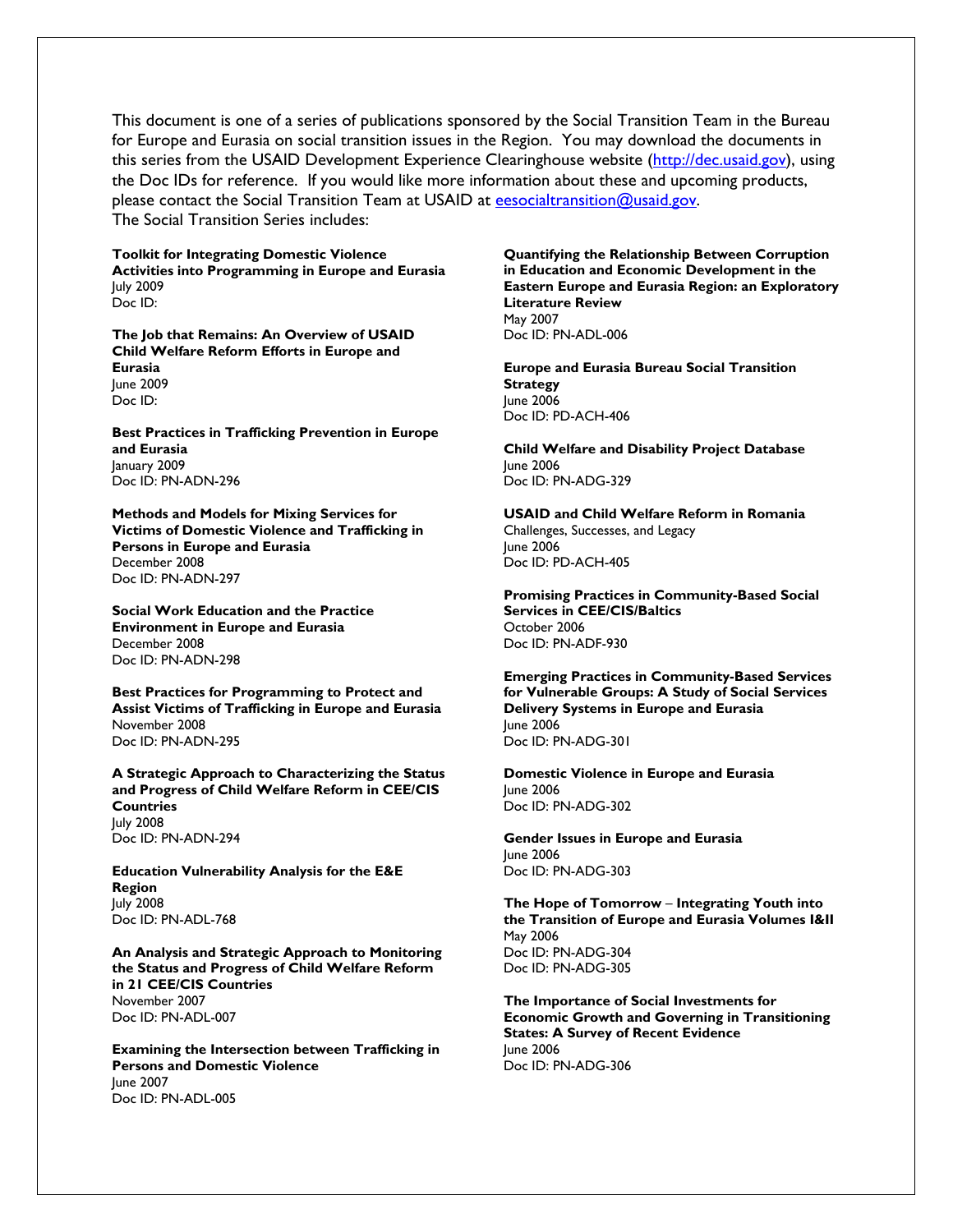This document is one of a series of publications sponsored by the Social Transition Team in the Bureau for Europe and Eurasia on social transition issues in the Region. You may download the documents in this series from the USAID Development Experience Clearinghouse website (http://dec.usaid.gov), using the Doc IDs for reference. If you would like more information about these and upcoming products, please contact the Social Transition Team at USAID at eesocialtransition@usaid.gov. The Social Transition Series includes:

**Toolkit for Integrating Domestic Violence Activities into Programming in Europe and Eurasia**  July 2009 Doc ID:

**The Job that Remains: An Overview of USAID Child Welfare Reform Efforts in Europe and Eurasia**  June 2009 Doc ID:

**Best Practices in Trafficking Prevention in Europe and Eurasia** January 2009 Doc ID: PN-ADN-296

**Methods and Models for Mixing Services for Victims of Domestic Violence and Trafficking in Persons in Europe and Eurasia** December 2008 Doc ID: PN-ADN-297

**Social Work Education and the Practice Environment in Europe and Eurasia**  December 2008 Doc ID: PN-ADN-298

**Best Practices for Programming to Protect and Assist Victims of Trafficking in Europe and Eurasia**  November 2008 Doc ID: PN-ADN-295

**A Strategic Approach to Characterizing the Status and Progress of Child Welfare Reform in CEE/CIS Countries**  July 2008 Doc ID: PN-ADN-294

**Education Vulnerability Analysis for the E&E Region**  July 2008 Doc ID: PN-ADL-768

**An Analysis and Strategic Approach to Monitoring the Status and Progress of Child Welfare Reform in 21 CEE/CIS Countries**  November 2007 Doc ID: PN-ADL-007

**Examining the Intersection between Trafficking in Persons and Domestic Violence**  June 2007 Doc ID: PN-ADL-005

**Quantifying the Relationship Between Corruption in Education and Economic Development in the Eastern Europe and Eurasia Region: an Exploratory Literature Review**  May 2007 Doc ID: PN-ADL-006

**Europe and Eurasia Bureau Social Transition Strategy** June 2006 Doc ID: PD-ACH-406

**Child Welfare and Disability Project Database**  June 2006 Doc ID: PN-ADG-329

**USAID and Child Welfare Reform in Romania**  Challenges, Successes, and Legacy June 2006 Doc ID: PD-ACH-405

**Promising Practices in Community-Based Social Services in CEE/CIS/Baltics** October 2006 Doc ID: PN-ADF-930

**Emerging Practices in Community-Based Services for Vulnerable Groups: A Study of Social Services Delivery Systems in Europe and Eurasia** June 2006 Doc ID: PN-ADG-301

**Domestic Violence in Europe and Eurasia** June 2006 Doc ID: PN-ADG-302

**Gender Issues in Europe and Eurasia** June 2006 Doc ID: PN-ADG-303

**The Hope of Tomorrow** – **Integrating Youth into the Transition of Europe and Eurasia Volumes I&II** May 2006 Doc ID: PN-ADG-304 Doc ID: PN-ADG-305

**The Importance of Social Investments for Economic Growth and Governing in Transitioning States: A Survey of Recent Evidence** June 2006 Doc ID: PN-ADG-306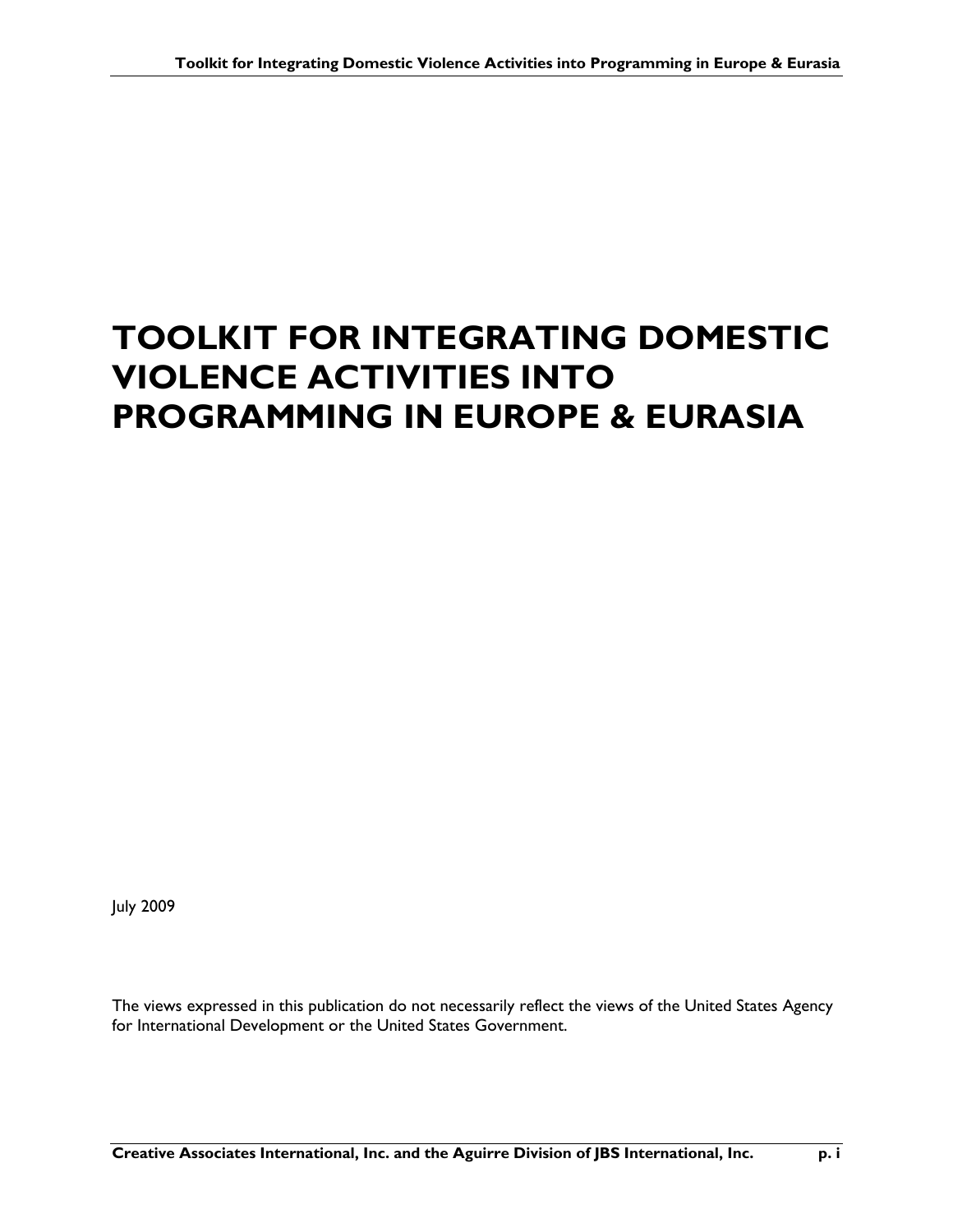# **TOOLKIT FOR INTEGRATING DOMESTIC VIOLENCE ACTIVITIES INTO PROGRAMMING IN EUROPE & EURASIA**

July 2009

The views expressed in this publication do not necessarily reflect the views of the United States Agency for International Development or the United States Government.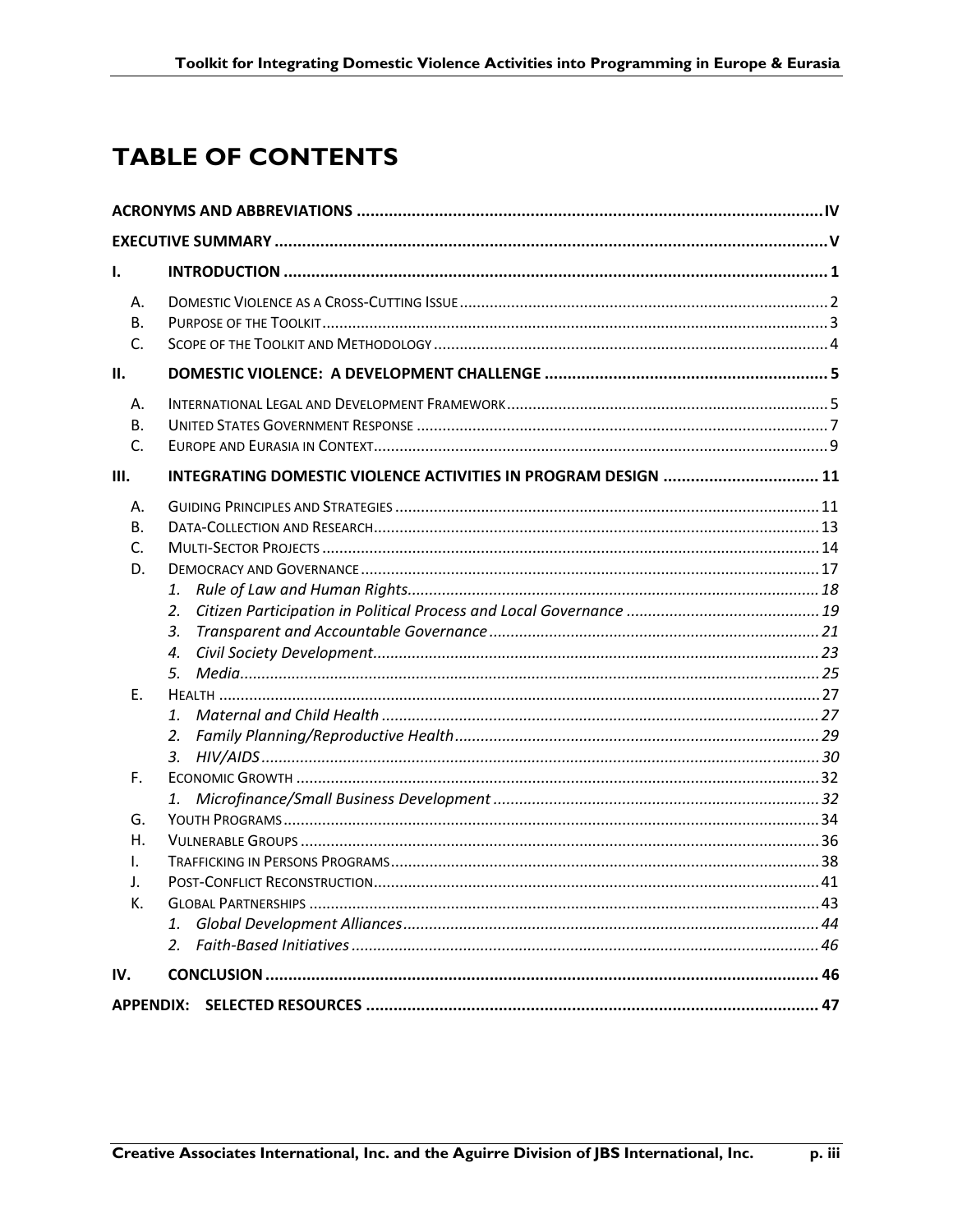## **TABLE OF CONTENTS**

| I.                     |                                                                |  |  |
|------------------------|----------------------------------------------------------------|--|--|
| А.<br>В.<br>C.         |                                                                |  |  |
| ΙΙ.                    |                                                                |  |  |
| А.<br>В.<br>C.<br>III. | INTEGRATING DOMESTIC VIOLENCE ACTIVITIES IN PROGRAM DESIGN  11 |  |  |
| А.                     |                                                                |  |  |
| В.                     |                                                                |  |  |
| C.                     |                                                                |  |  |
| D.                     |                                                                |  |  |
|                        | 1.                                                             |  |  |
|                        | 2.                                                             |  |  |
|                        | 3.                                                             |  |  |
|                        | $\boldsymbol{4}$ .                                             |  |  |
|                        | 5.                                                             |  |  |
| E.                     |                                                                |  |  |
|                        | 1.                                                             |  |  |
|                        | 2.<br>3.                                                       |  |  |
| F.                     |                                                                |  |  |
|                        |                                                                |  |  |
| G.                     |                                                                |  |  |
| Η.                     |                                                                |  |  |
| I.                     |                                                                |  |  |
| J.                     |                                                                |  |  |
| K.                     |                                                                |  |  |
|                        | 1.                                                             |  |  |
|                        | 2.                                                             |  |  |
| IV.                    |                                                                |  |  |
| <b>APPENDIX:</b>       |                                                                |  |  |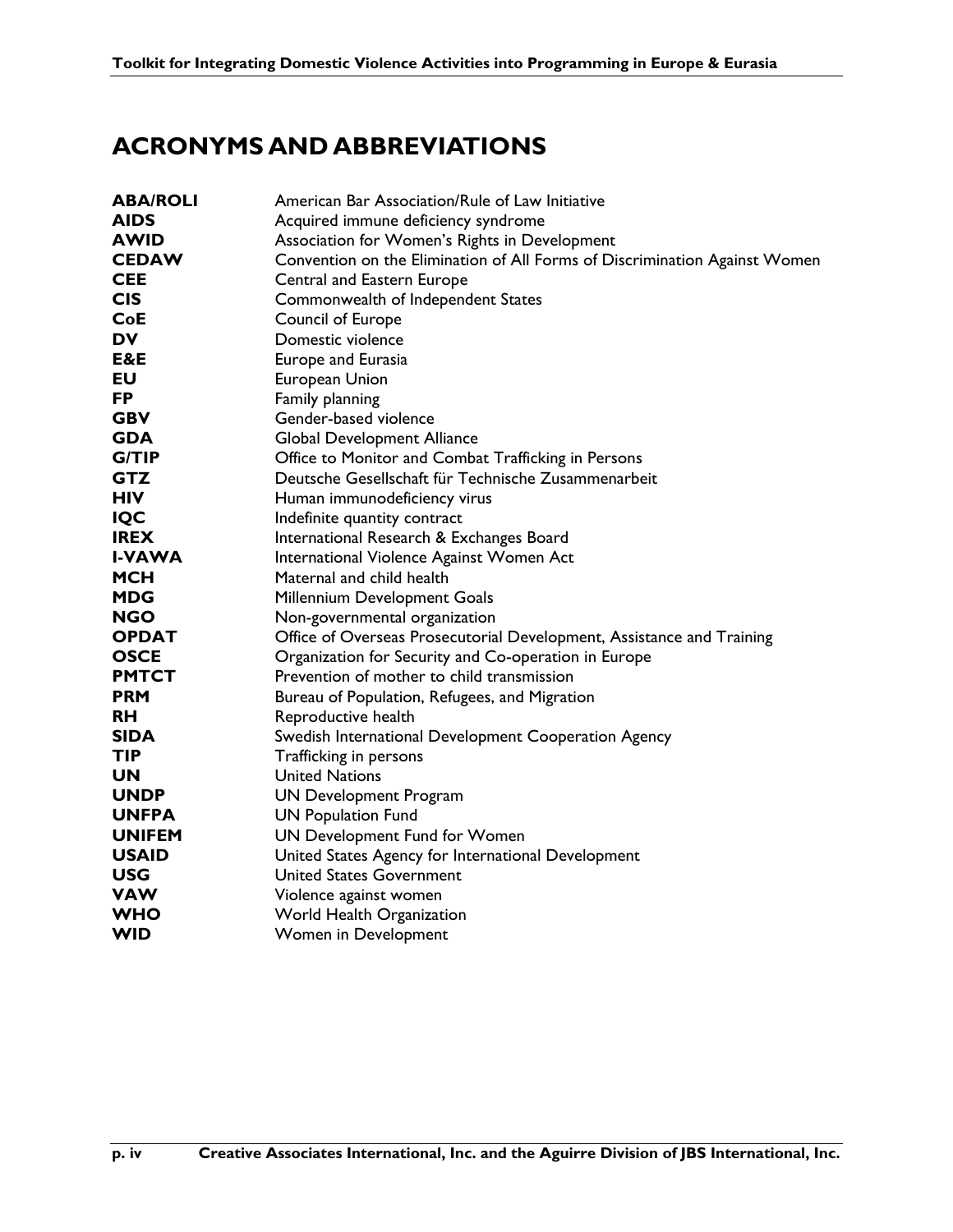## **ACRONYMS AND ABBREVIATIONS**

| <b>ABA/ROLI</b> | American Bar Association/Rule of Law Initiative                            |
|-----------------|----------------------------------------------------------------------------|
| <b>AIDS</b>     | Acquired immune deficiency syndrome                                        |
| <b>AWID</b>     | Association for Women's Rights in Development                              |
| <b>CEDAW</b>    | Convention on the Elimination of All Forms of Discrimination Against Women |
| <b>CEE</b>      | Central and Eastern Europe                                                 |
| <b>CIS</b>      | Commonwealth of Independent States                                         |
| <b>CoE</b>      | Council of Europe                                                          |
| DV              | Domestic violence                                                          |
| E&E             | Europe and Eurasia                                                         |
| EU              | European Union                                                             |
| <b>FP</b>       | Family planning                                                            |
| <b>GBV</b>      | Gender-based violence                                                      |
| <b>GDA</b>      | <b>Global Development Alliance</b>                                         |
| G/TIP           | Office to Monitor and Combat Trafficking in Persons                        |
| <b>GTZ</b>      | Deutsche Gesellschaft für Technische Zusammenarbeit                        |
| <b>HIV</b>      | Human immunodeficiency virus                                               |
| <b>IQC</b>      | Indefinite quantity contract                                               |
| <b>IREX</b>     | International Research & Exchanges Board                                   |
| <b>I-VAWA</b>   | International Violence Against Women Act                                   |
| <b>MCH</b>      | Maternal and child health                                                  |
| <b>MDG</b>      | Millennium Development Goals                                               |
| <b>NGO</b>      | Non-governmental organization                                              |
| <b>OPDAT</b>    | Office of Overseas Prosecutorial Development, Assistance and Training      |
| <b>OSCE</b>     | Organization for Security and Co-operation in Europe                       |
| <b>PMTCT</b>    | Prevention of mother to child transmission                                 |
| <b>PRM</b>      | Bureau of Population, Refugees, and Migration                              |
| <b>RH</b>       | Reproductive health                                                        |
| <b>SIDA</b>     | Swedish International Development Cooperation Agency                       |
| <b>TIP</b>      | Trafficking in persons                                                     |
| <b>UN</b>       | <b>United Nations</b>                                                      |
| <b>UNDP</b>     | <b>UN Development Program</b>                                              |
| <b>UNFPA</b>    | <b>UN Population Fund</b>                                                  |
| <b>UNIFEM</b>   | UN Development Fund for Women                                              |
| <b>USAID</b>    | United States Agency for International Development                         |
| <b>USG</b>      | <b>United States Government</b>                                            |
| <b>VAW</b>      | Violence against women                                                     |
| <b>WHO</b>      | World Health Organization                                                  |
| <b>WID</b>      | Women in Development                                                       |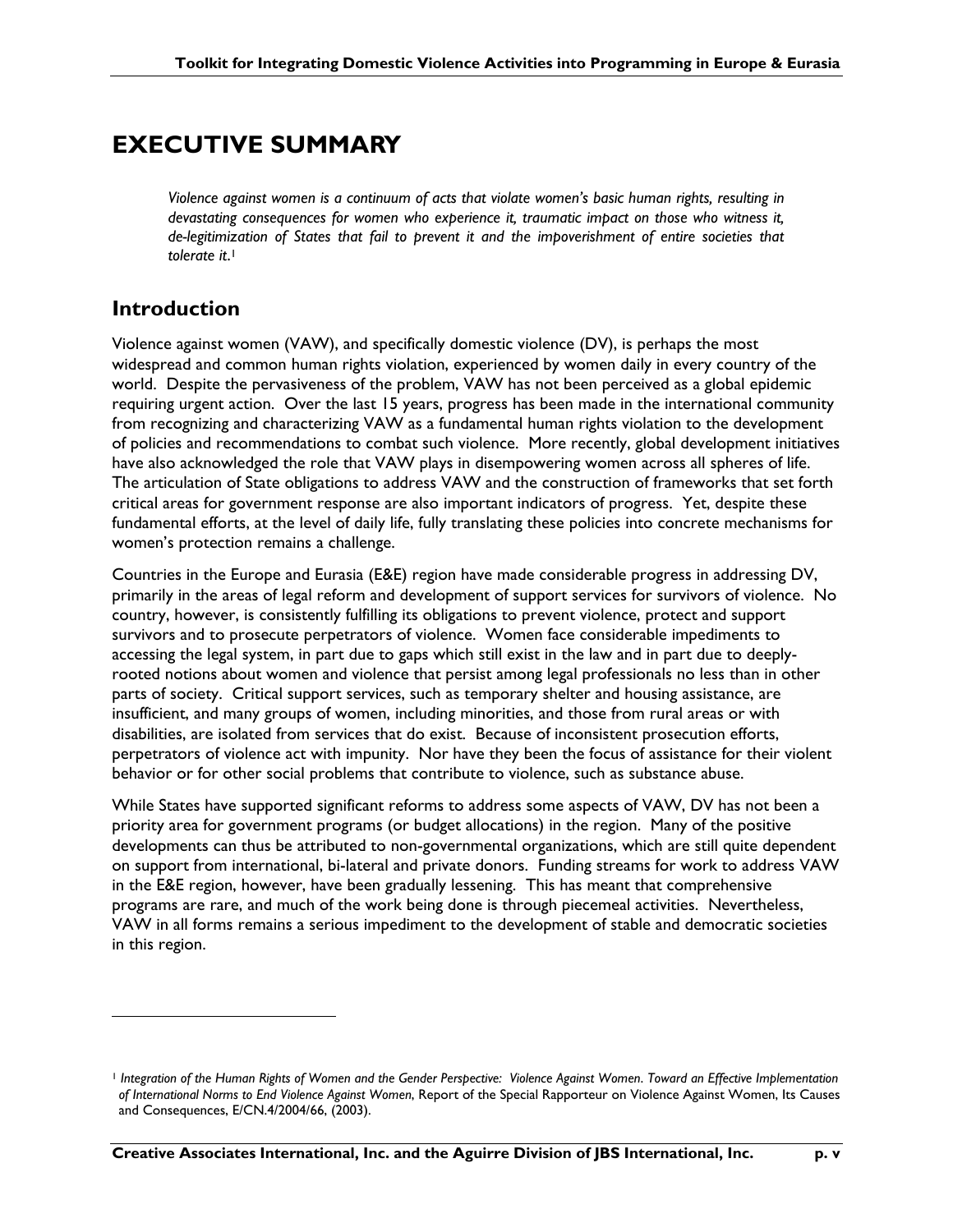## **EXECUTIVE SUMMARY**

*Violence against women is a continuum of acts that violate women's basic human rights, resulting in devastating consequences for women who experience it, traumatic impact on those who witness it, de-legitimization of States that fail to prevent it and the impoverishment of entire societies that tolerate it*. 1

### **Introduction**

 $\overline{a}$ 

Violence against women (VAW), and specifically domestic violence (DV), is perhaps the most widespread and common human rights violation, experienced by women daily in every country of the world. Despite the pervasiveness of the problem, VAW has not been perceived as a global epidemic requiring urgent action. Over the last 15 years, progress has been made in the international community from recognizing and characterizing VAW as a fundamental human rights violation to the development of policies and recommendations to combat such violence. More recently, global development initiatives have also acknowledged the role that VAW plays in disempowering women across all spheres of life. The articulation of State obligations to address VAW and the construction of frameworks that set forth critical areas for government response are also important indicators of progress. Yet, despite these fundamental efforts, at the level of daily life, fully translating these policies into concrete mechanisms for women's protection remains a challenge.

Countries in the Europe and Eurasia (E&E) region have made considerable progress in addressing DV, primarily in the areas of legal reform and development of support services for survivors of violence. No country, however, is consistently fulfilling its obligations to prevent violence, protect and support survivors and to prosecute perpetrators of violence. Women face considerable impediments to accessing the legal system, in part due to gaps which still exist in the law and in part due to deeplyrooted notions about women and violence that persist among legal professionals no less than in other parts of society. Critical support services, such as temporary shelter and housing assistance, are insufficient, and many groups of women, including minorities, and those from rural areas or with disabilities, are isolated from services that do exist. Because of inconsistent prosecution efforts, perpetrators of violence act with impunity. Nor have they been the focus of assistance for their violent behavior or for other social problems that contribute to violence, such as substance abuse.

While States have supported significant reforms to address some aspects of VAW, DV has not been a priority area for government programs (or budget allocations) in the region. Many of the positive developments can thus be attributed to non-governmental organizations, which are still quite dependent on support from international, bi-lateral and private donors. Funding streams for work to address VAW in the E&E region, however, have been gradually lessening. This has meant that comprehensive programs are rare, and much of the work being done is through piecemeal activities. Nevertheless, VAW in all forms remains a serious impediment to the development of stable and democratic societies in this region.

<sup>1</sup> *Integration of the Human Rights of Women and the Gender Perspective: Violence Against Women*. *Toward an Effective Implementation of International Norms to End Violence Against Women*, Report of the Special Rapporteur on Violence Against Women, Its Causes and Consequences, E/CN.4/2004/66, (2003).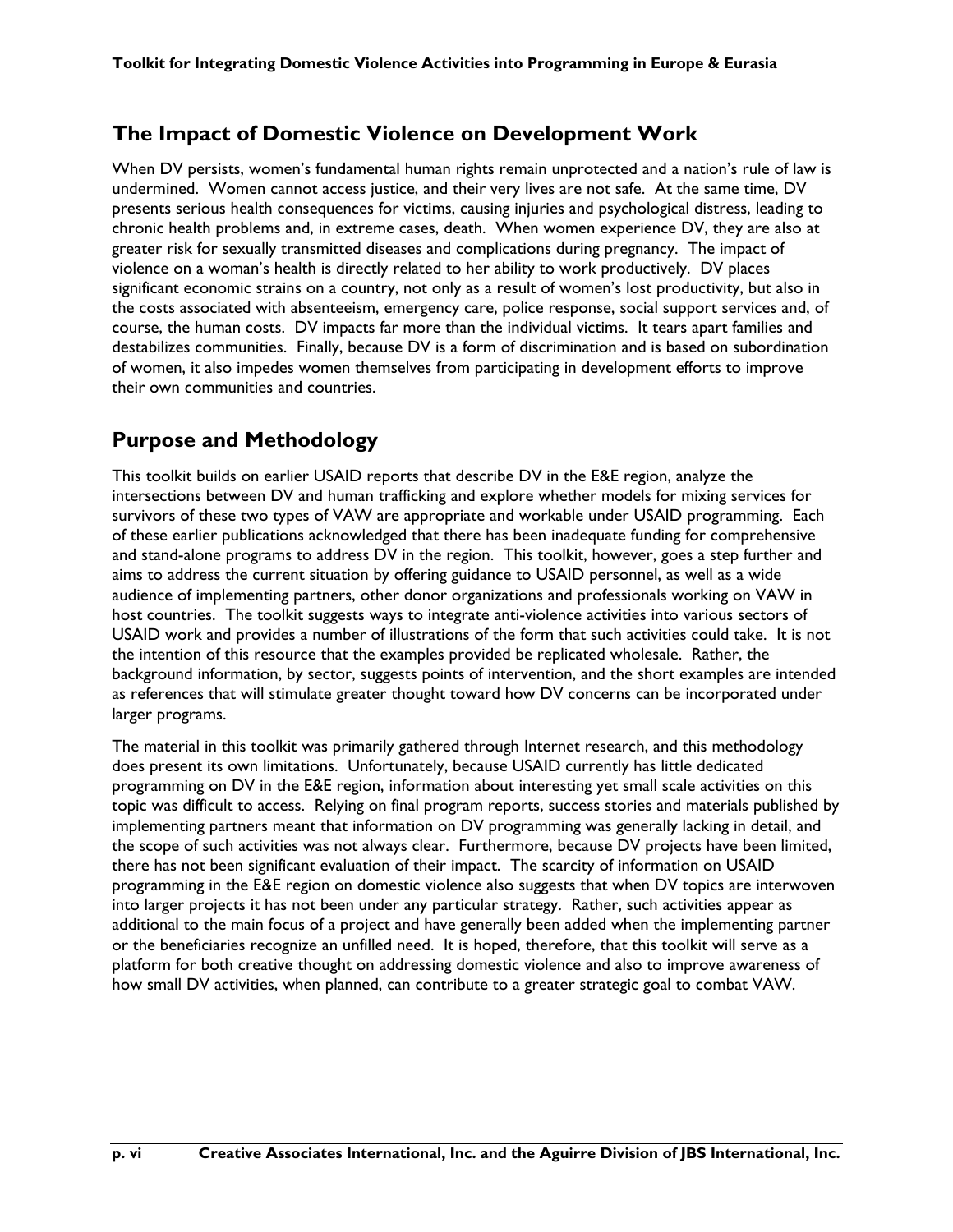### **The Impact of Domestic Violence on Development Work**

When DV persists, women's fundamental human rights remain unprotected and a nation's rule of law is undermined. Women cannot access justice, and their very lives are not safe. At the same time, DV presents serious health consequences for victims, causing injuries and psychological distress, leading to chronic health problems and, in extreme cases, death. When women experience DV, they are also at greater risk for sexually transmitted diseases and complications during pregnancy. The impact of violence on a woman's health is directly related to her ability to work productively. DV places significant economic strains on a country, not only as a result of women's lost productivity, but also in the costs associated with absenteeism, emergency care, police response, social support services and, of course, the human costs. DV impacts far more than the individual victims. It tears apart families and destabilizes communities. Finally, because DV is a form of discrimination and is based on subordination of women, it also impedes women themselves from participating in development efforts to improve their own communities and countries.

### **Purpose and Methodology**

This toolkit builds on earlier USAID reports that describe DV in the E&E region, analyze the intersections between DV and human trafficking and explore whether models for mixing services for survivors of these two types of VAW are appropriate and workable under USAID programming. Each of these earlier publications acknowledged that there has been inadequate funding for comprehensive and stand-alone programs to address DV in the region. This toolkit, however, goes a step further and aims to address the current situation by offering guidance to USAID personnel, as well as a wide audience of implementing partners, other donor organizations and professionals working on VAW in host countries. The toolkit suggests ways to integrate anti-violence activities into various sectors of USAID work and provides a number of illustrations of the form that such activities could take. It is not the intention of this resource that the examples provided be replicated wholesale. Rather, the background information, by sector, suggests points of intervention, and the short examples are intended as references that will stimulate greater thought toward how DV concerns can be incorporated under larger programs.

The material in this toolkit was primarily gathered through Internet research, and this methodology does present its own limitations. Unfortunately, because USAID currently has little dedicated programming on DV in the E&E region, information about interesting yet small scale activities on this topic was difficult to access. Relying on final program reports, success stories and materials published by implementing partners meant that information on DV programming was generally lacking in detail, and the scope of such activities was not always clear. Furthermore, because DV projects have been limited, there has not been significant evaluation of their impact. The scarcity of information on USAID programming in the E&E region on domestic violence also suggests that when DV topics are interwoven into larger projects it has not been under any particular strategy. Rather, such activities appear as additional to the main focus of a project and have generally been added when the implementing partner or the beneficiaries recognize an unfilled need. It is hoped, therefore, that this toolkit will serve as a platform for both creative thought on addressing domestic violence and also to improve awareness of how small DV activities, when planned, can contribute to a greater strategic goal to combat VAW.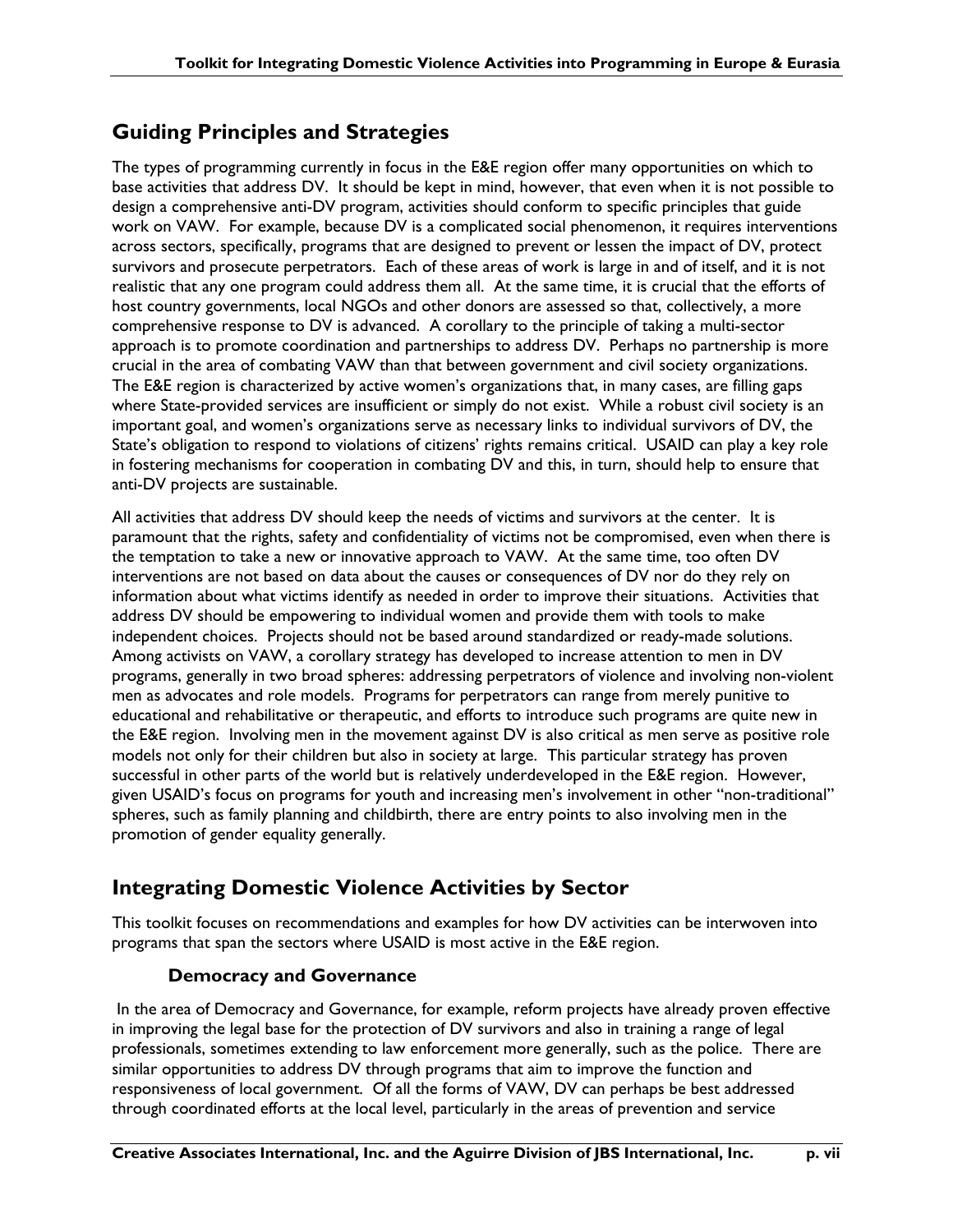## **Guiding Principles and Strategies**

The types of programming currently in focus in the E&E region offer many opportunities on which to base activities that address DV. It should be kept in mind, however, that even when it is not possible to design a comprehensive anti-DV program, activities should conform to specific principles that guide work on VAW. For example, because DV is a complicated social phenomenon, it requires interventions across sectors, specifically, programs that are designed to prevent or lessen the impact of DV, protect survivors and prosecute perpetrators. Each of these areas of work is large in and of itself, and it is not realistic that any one program could address them all. At the same time, it is crucial that the efforts of host country governments, local NGOs and other donors are assessed so that, collectively, a more comprehensive response to DV is advanced. A corollary to the principle of taking a multi-sector approach is to promote coordination and partnerships to address DV. Perhaps no partnership is more crucial in the area of combating VAW than that between government and civil society organizations. The E&E region is characterized by active women's organizations that, in many cases, are filling gaps where State-provided services are insufficient or simply do not exist. While a robust civil society is an important goal, and women's organizations serve as necessary links to individual survivors of DV, the State's obligation to respond to violations of citizens' rights remains critical. USAID can play a key role in fostering mechanisms for cooperation in combating DV and this, in turn, should help to ensure that anti-DV projects are sustainable.

All activities that address DV should keep the needs of victims and survivors at the center. It is paramount that the rights, safety and confidentiality of victims not be compromised, even when there is the temptation to take a new or innovative approach to VAW. At the same time, too often DV interventions are not based on data about the causes or consequences of DV nor do they rely on information about what victims identify as needed in order to improve their situations. Activities that address DV should be empowering to individual women and provide them with tools to make independent choices. Projects should not be based around standardized or ready-made solutions. Among activists on VAW, a corollary strategy has developed to increase attention to men in DV programs, generally in two broad spheres: addressing perpetrators of violence and involving non-violent men as advocates and role models. Programs for perpetrators can range from merely punitive to educational and rehabilitative or therapeutic, and efforts to introduce such programs are quite new in the E&E region. Involving men in the movement against DV is also critical as men serve as positive role models not only for their children but also in society at large. This particular strategy has proven successful in other parts of the world but is relatively underdeveloped in the E&E region. However, given USAID's focus on programs for youth and increasing men's involvement in other "non-traditional" spheres, such as family planning and childbirth, there are entry points to also involving men in the promotion of gender equality generally.

## **Integrating Domestic Violence Activities by Sector**

This toolkit focuses on recommendations and examples for how DV activities can be interwoven into programs that span the sectors where USAID is most active in the E&E region.

### **Democracy and Governance**

 In the area of Democracy and Governance, for example, reform projects have already proven effective in improving the legal base for the protection of DV survivors and also in training a range of legal professionals, sometimes extending to law enforcement more generally, such as the police. There are similar opportunities to address DV through programs that aim to improve the function and responsiveness of local government. Of all the forms of VAW, DV can perhaps be best addressed through coordinated efforts at the local level, particularly in the areas of prevention and service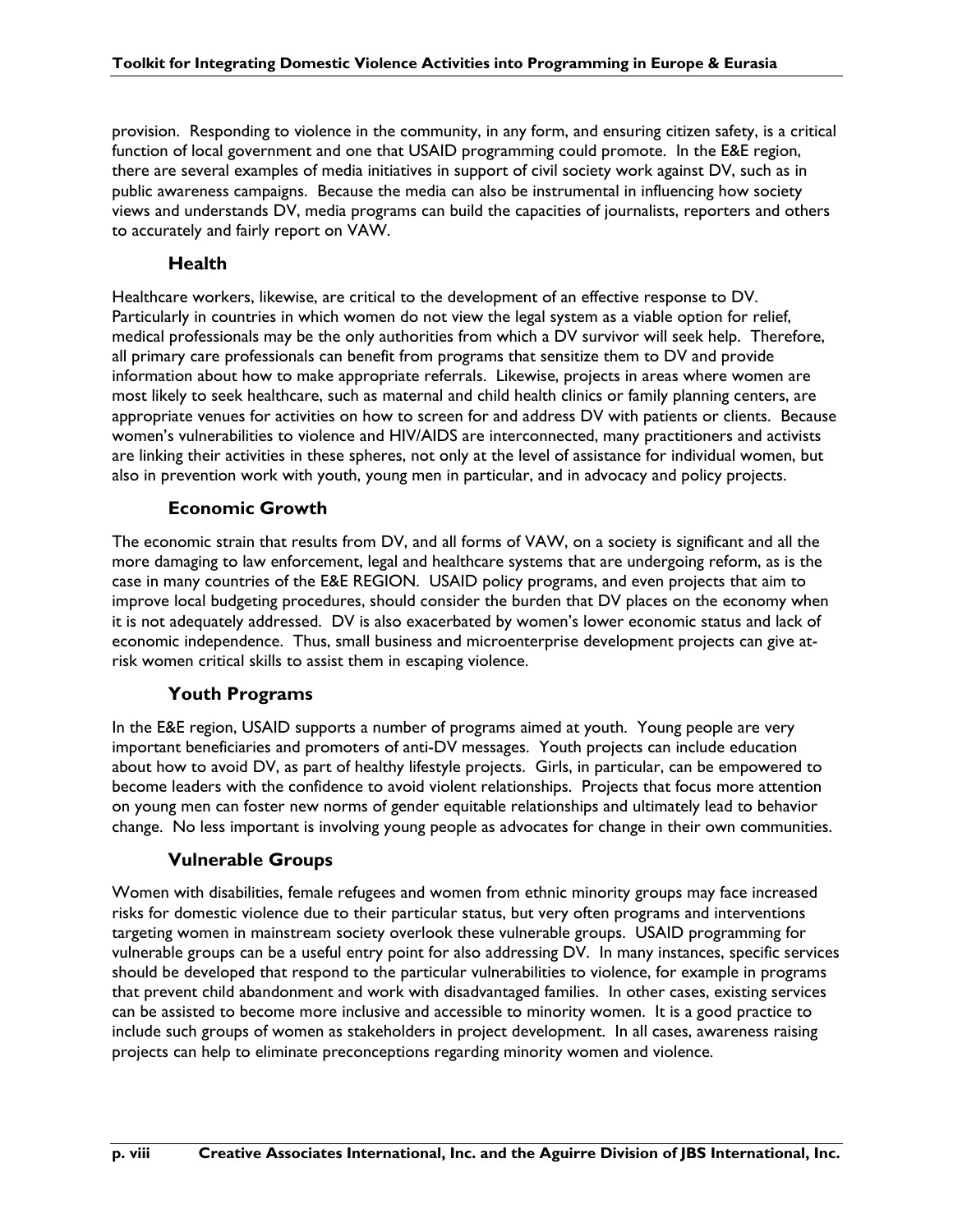provision. Responding to violence in the community, in any form, and ensuring citizen safety, is a critical function of local government and one that USAID programming could promote. In the E&E region, there are several examples of media initiatives in support of civil society work against DV, such as in public awareness campaigns. Because the media can also be instrumental in influencing how society views and understands DV, media programs can build the capacities of journalists, reporters and others to accurately and fairly report on VAW.

### **Health**

Healthcare workers, likewise, are critical to the development of an effective response to DV. Particularly in countries in which women do not view the legal system as a viable option for relief, medical professionals may be the only authorities from which a DV survivor will seek help. Therefore, all primary care professionals can benefit from programs that sensitize them to DV and provide information about how to make appropriate referrals. Likewise, projects in areas where women are most likely to seek healthcare, such as maternal and child health clinics or family planning centers, are appropriate venues for activities on how to screen for and address DV with patients or clients. Because women's vulnerabilities to violence and HIV/AIDS are interconnected, many practitioners and activists are linking their activities in these spheres, not only at the level of assistance for individual women, but also in prevention work with youth, young men in particular, and in advocacy and policy projects.

### **Economic Growth**

The economic strain that results from DV, and all forms of VAW, on a society is significant and all the more damaging to law enforcement, legal and healthcare systems that are undergoing reform, as is the case in many countries of the E&E REGION. USAID policy programs, and even projects that aim to improve local budgeting procedures, should consider the burden that DV places on the economy when it is not adequately addressed. DV is also exacerbated by women's lower economic status and lack of economic independence. Thus, small business and microenterprise development projects can give atrisk women critical skills to assist them in escaping violence.

### **Youth Programs**

In the E&E region, USAID supports a number of programs aimed at youth. Young people are very important beneficiaries and promoters of anti-DV messages. Youth projects can include education about how to avoid DV, as part of healthy lifestyle projects. Girls, in particular, can be empowered to become leaders with the confidence to avoid violent relationships. Projects that focus more attention on young men can foster new norms of gender equitable relationships and ultimately lead to behavior change. No less important is involving young people as advocates for change in their own communities.

### **Vulnerable Groups**

Women with disabilities, female refugees and women from ethnic minority groups may face increased risks for domestic violence due to their particular status, but very often programs and interventions targeting women in mainstream society overlook these vulnerable groups. USAID programming for vulnerable groups can be a useful entry point for also addressing DV. In many instances, specific services should be developed that respond to the particular vulnerabilities to violence, for example in programs that prevent child abandonment and work with disadvantaged families. In other cases, existing services can be assisted to become more inclusive and accessible to minority women. It is a good practice to include such groups of women as stakeholders in project development. In all cases, awareness raising projects can help to eliminate preconceptions regarding minority women and violence.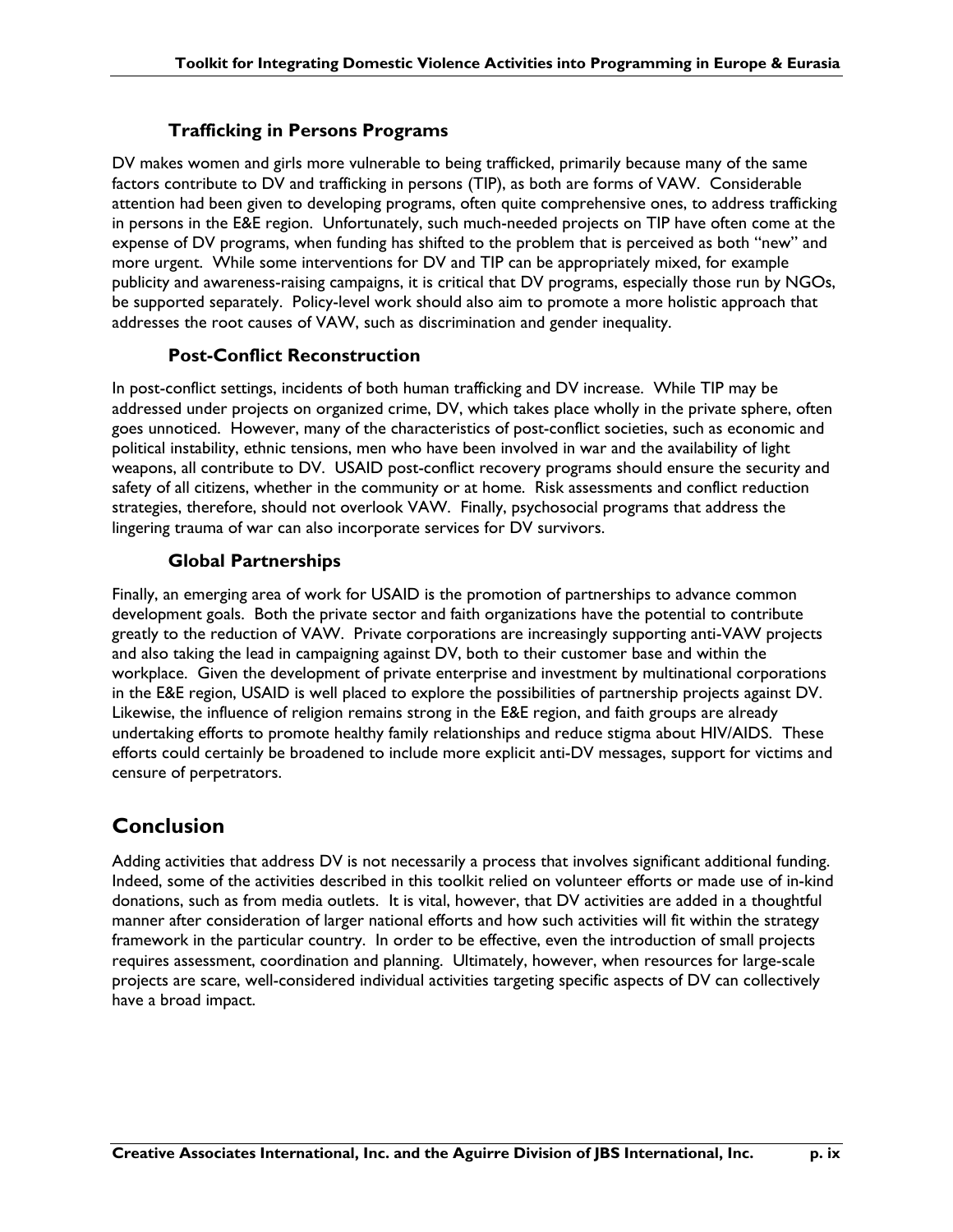### **Trafficking in Persons Programs**

DV makes women and girls more vulnerable to being trafficked, primarily because many of the same factors contribute to DV and trafficking in persons (TIP), as both are forms of VAW. Considerable attention had been given to developing programs, often quite comprehensive ones, to address trafficking in persons in the E&E region. Unfortunately, such much-needed projects on TIP have often come at the expense of DV programs, when funding has shifted to the problem that is perceived as both "new" and more urgent. While some interventions for DV and TIP can be appropriately mixed, for example publicity and awareness-raising campaigns, it is critical that DV programs, especially those run by NGOs, be supported separately. Policy-level work should also aim to promote a more holistic approach that addresses the root causes of VAW, such as discrimination and gender inequality.

### **Post-Conflict Reconstruction**

In post-conflict settings, incidents of both human trafficking and DV increase. While TIP may be addressed under projects on organized crime, DV, which takes place wholly in the private sphere, often goes unnoticed. However, many of the characteristics of post-conflict societies, such as economic and political instability, ethnic tensions, men who have been involved in war and the availability of light weapons, all contribute to DV. USAID post-conflict recovery programs should ensure the security and safety of all citizens, whether in the community or at home. Risk assessments and conflict reduction strategies, therefore, should not overlook VAW. Finally, psychosocial programs that address the lingering trauma of war can also incorporate services for DV survivors.

### **Global Partnerships**

Finally, an emerging area of work for USAID is the promotion of partnerships to advance common development goals. Both the private sector and faith organizations have the potential to contribute greatly to the reduction of VAW. Private corporations are increasingly supporting anti-VAW projects and also taking the lead in campaigning against DV, both to their customer base and within the workplace. Given the development of private enterprise and investment by multinational corporations in the E&E region, USAID is well placed to explore the possibilities of partnership projects against DV. Likewise, the influence of religion remains strong in the E&E region, and faith groups are already undertaking efforts to promote healthy family relationships and reduce stigma about HIV/AIDS. These efforts could certainly be broadened to include more explicit anti-DV messages, support for victims and censure of perpetrators.

### **Conclusion**

Adding activities that address DV is not necessarily a process that involves significant additional funding. Indeed, some of the activities described in this toolkit relied on volunteer efforts or made use of in-kind donations, such as from media outlets. It is vital, however, that DV activities are added in a thoughtful manner after consideration of larger national efforts and how such activities will fit within the strategy framework in the particular country. In order to be effective, even the introduction of small projects requires assessment, coordination and planning. Ultimately, however, when resources for large-scale projects are scare, well-considered individual activities targeting specific aspects of DV can collectively have a broad impact.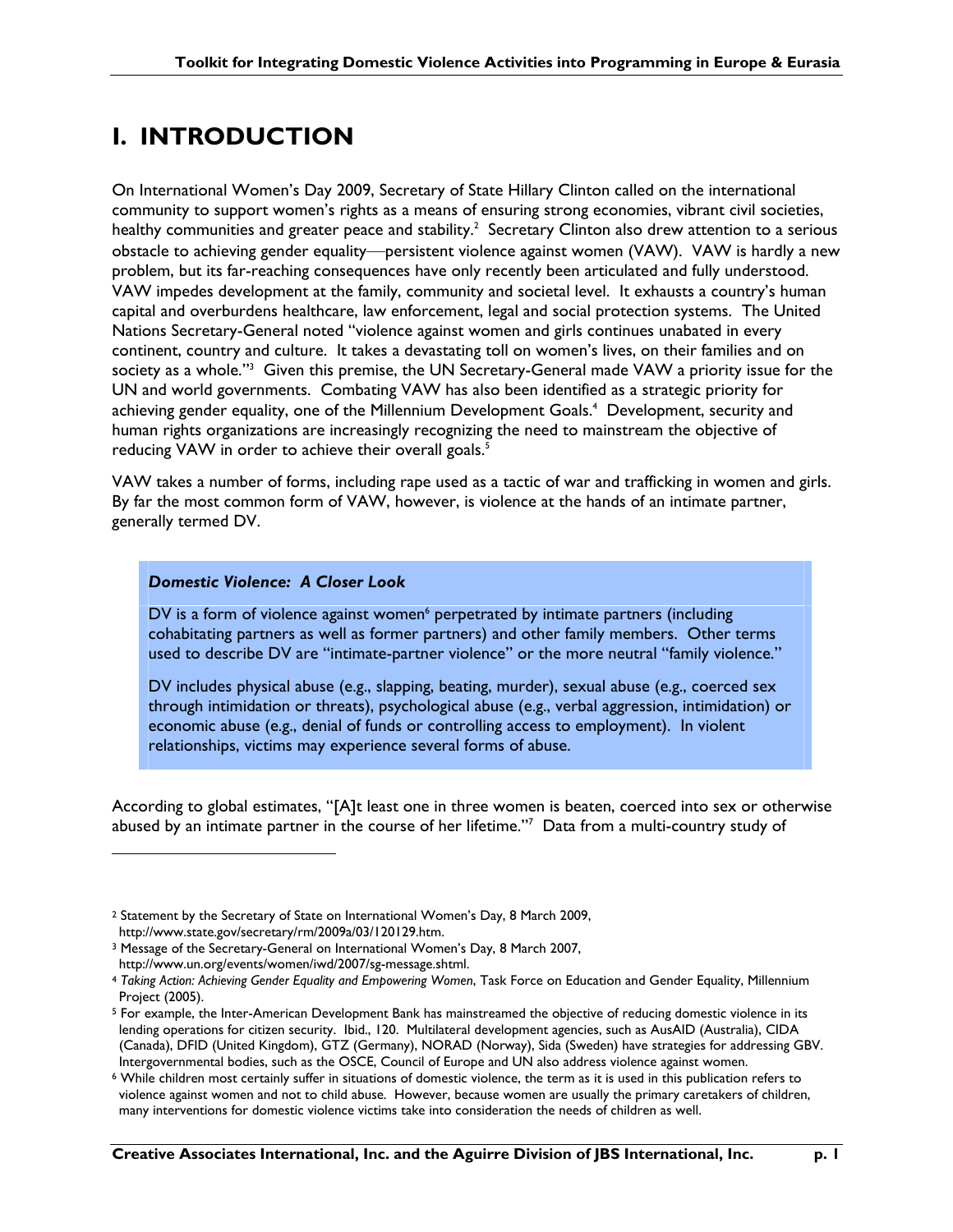## **I. INTRODUCTION**

On International Women's Day 2009, Secretary of State Hillary Clinton called on the international community to support women's rights as a means of ensuring strong economies, vibrant civil societies, healthy communities and greater peace and stability.<sup>2</sup> Secretary Clinton also drew attention to a serious obstacle to achieving gender equality—persistent violence against women (VAW). VAW is hardly a new problem, but its far-reaching consequences have only recently been articulated and fully understood. VAW impedes development at the family, community and societal level. It exhausts a country's human capital and overburdens healthcare, law enforcement, legal and social protection systems. The United Nations Secretary-General noted "violence against women and girls continues unabated in every continent, country and culture. It takes a devastating toll on women's lives, on their families and on society as a whole."<sup>3</sup> Given this premise, the UN Secretary-General made VAW a priority issue for the UN and world governments. Combating VAW has also been identified as a strategic priority for achieving gender equality, one of the Millennium Development Goals.<sup>4</sup> Development, security and human rights organizations are increasingly recognizing the need to mainstream the objective of reducing VAW in order to achieve their overall goals.<sup>5</sup>

VAW takes a number of forms, including rape used as a tactic of war and trafficking in women and girls. By far the most common form of VAW, however, is violence at the hands of an intimate partner, generally termed DV.

### *Domestic Violence: A Closer Look*

 $\overline{a}$ 

DV is a form of violence against women<sup>6</sup> perpetrated by intimate partners (including cohabitating partners as well as former partners) and other family members. Other terms used to describe DV are "intimate-partner violence" or the more neutral "family violence."

DV includes physical abuse (e.g., slapping, beating, murder), sexual abuse (e.g., coerced sex through intimidation or threats), psychological abuse (e.g., verbal aggression, intimidation) or economic abuse (e.g., denial of funds or controlling access to employment). In violent relationships, victims may experience several forms of abuse.

According to global estimates, "[A]t least one in three women is beaten, coerced into sex or otherwise abused by an intimate partner in the course of her lifetime."7 Data from a multi-country study of

<sup>2</sup> Statement by the Secretary of State on International Women's Day, 8 March 2009, http://www.state.gov/secretary/rm/2009a/03/120129.htm.

<sup>3</sup> Message of the Secretary-General on International Women's Day, 8 March 2007, http://www.un.org/events/women/iwd/2007/sg-message.shtml.

<sup>4</sup> *Taking Action: Achieving Gender Equality and Empowering Women*, Task Force on Education and Gender Equality, Millennium Project (2005).

<sup>5</sup> For example, the Inter-American Development Bank has mainstreamed the objective of reducing domestic violence in its lending operations for citizen security. Ibid., 120. Multilateral development agencies, such as AusAID (Australia), CIDA (Canada), DFID (United Kingdom), GTZ (Germany), NORAD (Norway), Sida (Sweden) have strategies for addressing GBV. Intergovernmental bodies, such as the OSCE, Council of Europe and UN also address violence against women.

<sup>6</sup> While children most certainly suffer in situations of domestic violence, the term as it is used in this publication refers to violence against women and not to child abuse. However, because women are usually the primary caretakers of children, many interventions for domestic violence victims take into consideration the needs of children as well.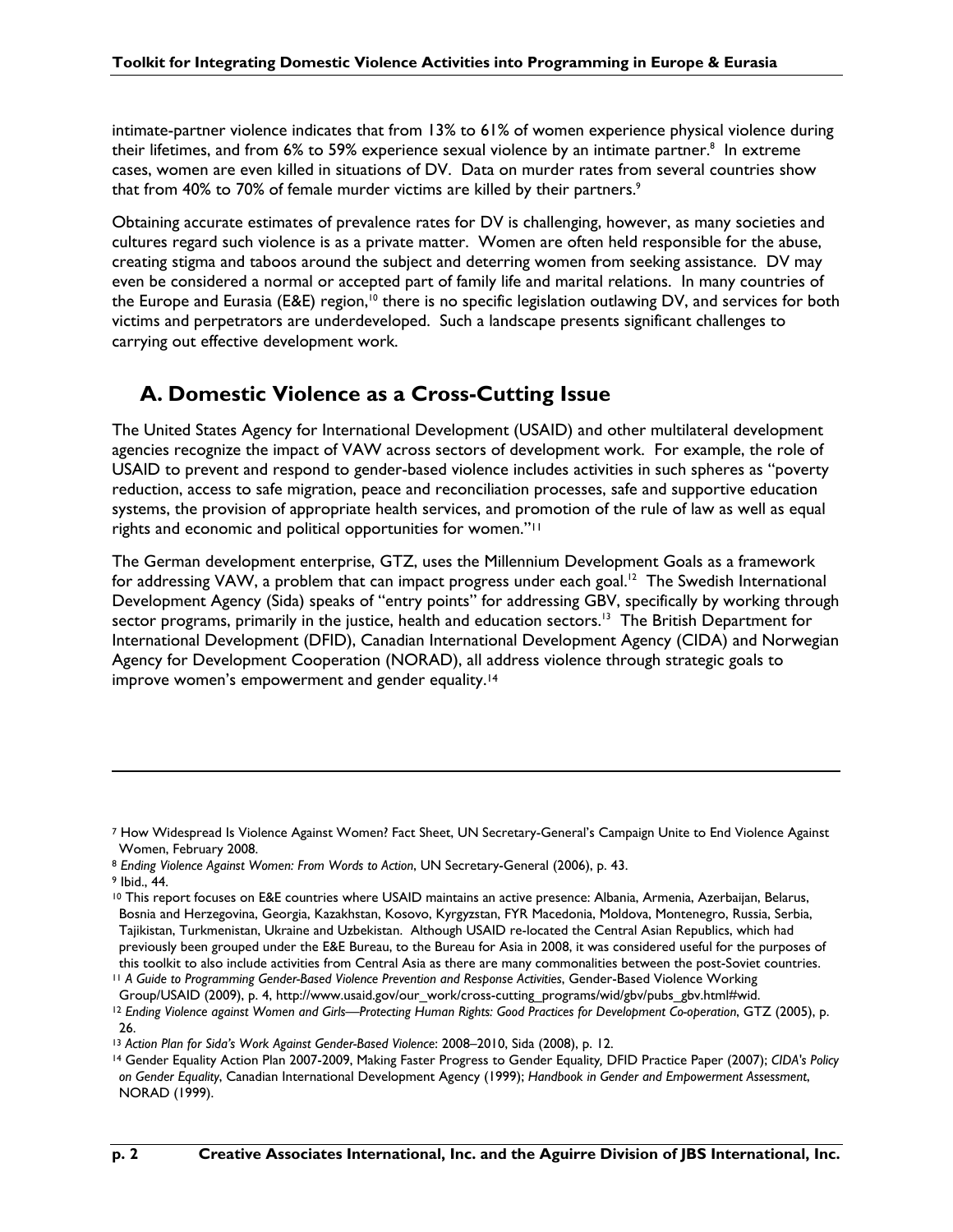intimate-partner violence indicates that from 13% to 61% of women experience physical violence during their lifetimes, and from 6% to 59% experience sexual violence by an intimate partner. $^8$  In extreme cases, women are even killed in situations of DV. Data on murder rates from several countries show that from 40% to 70% of female murder victims are killed by their partners. $9$ 

Obtaining accurate estimates of prevalence rates for DV is challenging, however, as many societies and cultures regard such violence is as a private matter. Women are often held responsible for the abuse, creating stigma and taboos around the subject and deterring women from seeking assistance. DV may even be considered a normal or accepted part of family life and marital relations. In many countries of the Europe and Eurasia (E&E) region,<sup>10</sup> there is no specific legislation outlawing DV, and services for both victims and perpetrators are underdeveloped. Such a landscape presents significant challenges to carrying out effective development work.

### **A. Domestic Violence as a Cross-Cutting Issue**

The United States Agency for International Development (USAID) and other multilateral development agencies recognize the impact of VAW across sectors of development work. For example, the role of USAID to prevent and respond to gender-based violence includes activities in such spheres as "poverty reduction, access to safe migration, peace and reconciliation processes, safe and supportive education systems, the provision of appropriate health services, and promotion of the rule of law as well as equal rights and economic and political opportunities for women."11

The German development enterprise, GTZ, uses the Millennium Development Goals as a framework for addressing VAW, a problem that can impact progress under each goal.<sup>12</sup> The Swedish International Development Agency (Sida) speaks of "entry points" for addressing GBV, specifically by working through sector programs, primarily in the justice, health and education sectors.<sup>13</sup> The British Department for International Development (DFID), Canadian International Development Agency (CIDA) and Norwegian Agency for Development Cooperation (NORAD), all address violence through strategic goals to improve women's empowerment and gender equality.<sup>14</sup>

9 Ibid., 44.

<sup>7</sup> How Widespread Is Violence Against Women? Fact Sheet, UN Secretary-General's Campaign Unite to End Violence Against Women, February 2008.

<sup>8</sup> *Ending Violence Against Women: From Words to Action*, UN Secretary-General (2006), p. 43.

<sup>&</sup>lt;sup>10</sup> This report focuses on E&E countries where USAID maintains an active presence: Albania, Armenia, Azerbaijan, Belarus, Bosnia and Herzegovina, Georgia, Kazakhstan, Kosovo, Kyrgyzstan, FYR Macedonia, Moldova, Montenegro, Russia, Serbia, Tajikistan, Turkmenistan, Ukraine and Uzbekistan. Although USAID re-located the Central Asian Republics, which had previously been grouped under the E&E Bureau, to the Bureau for Asia in 2008, it was considered useful for the purposes of this toolkit to also include activities from Central Asia as there are many commonalities between the post-Soviet countries.

<sup>11</sup> *A Guide to Programming Gender-Based Violence Prevention and Response Activities*, Gender-Based Violence Working Group/USAID (2009), p. 4, http://www.usaid.gov/our\_work/cross-cutting\_programs/wid/gbv/pubs\_gbv.html#wid.

<sup>&</sup>lt;sup>12</sup> Ending Violence against Women and Girls—Protecting Human Rights: Good Practices for Development Co-operation, GTZ (2005), p. 26.

<sup>13</sup> *Action Plan for Sida's Work Against Gender-Based Violence*: 2008–2010, Sida (2008), p. 12.

<sup>14</sup> Gender Equality Action Plan 2007-2009, Making Faster Progress to Gender Equality*,* DFID Practice Paper (2007); *CIDA's Policy on Gender Equality*, Canadian International Development Agency (1999); *Handbook in Gender and Empowerment Assessment*, NORAD (1999).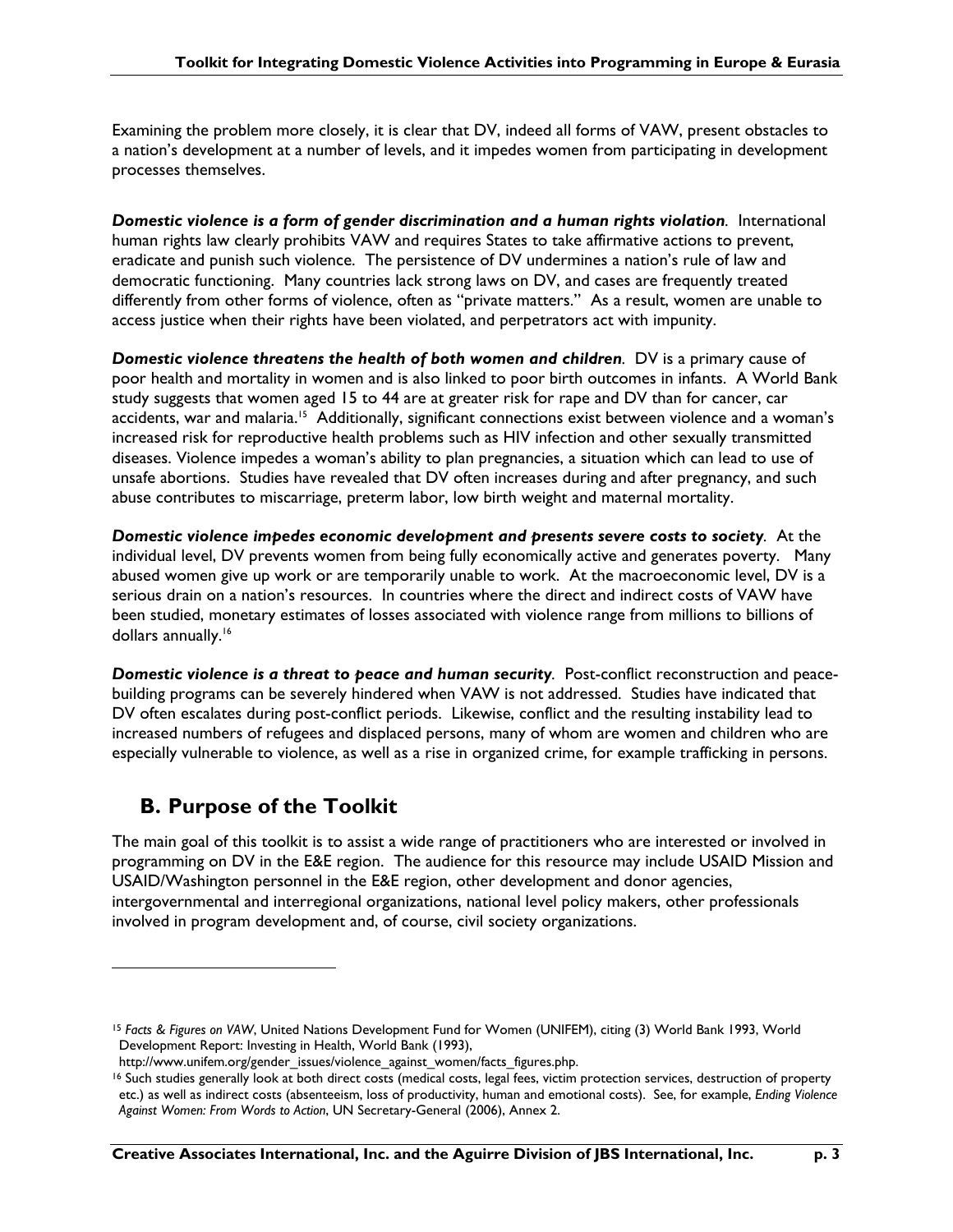Examining the problem more closely, it is clear that DV, indeed all forms of VAW, present obstacles to a nation's development at a number of levels, and it impedes women from participating in development processes themselves.

*Domestic violence is a form of gender discrimination and a human rights violation.* International human rights law clearly prohibits VAW and requires States to take affirmative actions to prevent, eradicate and punish such violence. The persistence of DV undermines a nation's rule of law and democratic functioning. Many countries lack strong laws on DV, and cases are frequently treated differently from other forms of violence, often as "private matters." As a result, women are unable to access justice when their rights have been violated, and perpetrators act with impunity.

*Domestic violence threatens the health of both women and children.* DV is a primary cause of poor health and mortality in women and is also linked to poor birth outcomes in infants. A World Bank study suggests that women aged 15 to 44 are at greater risk for rape and DV than for cancer, car accidents, war and malaria.<sup>15</sup> Additionally, significant connections exist between violence and a woman's increased risk for reproductive health problems such as HIV infection and other sexually transmitted diseases. Violence impedes a woman's ability to plan pregnancies, a situation which can lead to use of unsafe abortions. Studies have revealed that DV often increases during and after pregnancy, and such abuse contributes to miscarriage, preterm labor, low birth weight and maternal mortality.

*Domestic violence impedes economic development and presents severe costs to society.* At the individual level, DV prevents women from being fully economically active and generates poverty. Many abused women give up work or are temporarily unable to work. At the macroeconomic level, DV is a serious drain on a nation's resources. In countries where the direct and indirect costs of VAW have been studied, monetary estimates of losses associated with violence range from millions to billions of dollars annually.<sup>16</sup>

*Domestic violence is a threat to peace and human security.* Post-conflict reconstruction and peacebuilding programs can be severely hindered when VAW is not addressed. Studies have indicated that DV often escalates during post-conflict periods. Likewise, conflict and the resulting instability lead to increased numbers of refugees and displaced persons, many of whom are women and children who are especially vulnerable to violence, as well as a rise in organized crime, for example trafficking in persons.

### **B. Purpose of the Toolkit**

 $\overline{a}$ 

The main goal of this toolkit is to assist a wide range of practitioners who are interested or involved in programming on DV in the E&E region. The audience for this resource may include USAID Mission and USAID/Washington personnel in the E&E region, other development and donor agencies, intergovernmental and interregional organizations, national level policy makers, other professionals involved in program development and, of course, civil society organizations.

<sup>15</sup> *Facts & Figures on VAW*, United Nations Development Fund for Women (UNIFEM), citing (3) World Bank 1993, World Development Report: Investing in Health, World Bank (1993),

http://www.unifem.org/gender\_issues/violence\_against\_women/facts\_figures.php.

<sup>16</sup> Such studies generally look at both direct costs (medical costs, legal fees, victim protection services, destruction of property etc.) as well as indirect costs (absenteeism, loss of productivity, human and emotional costs). See, for example, *Ending Violence Against Women: From Words to Action*, UN Secretary-General (2006), Annex 2.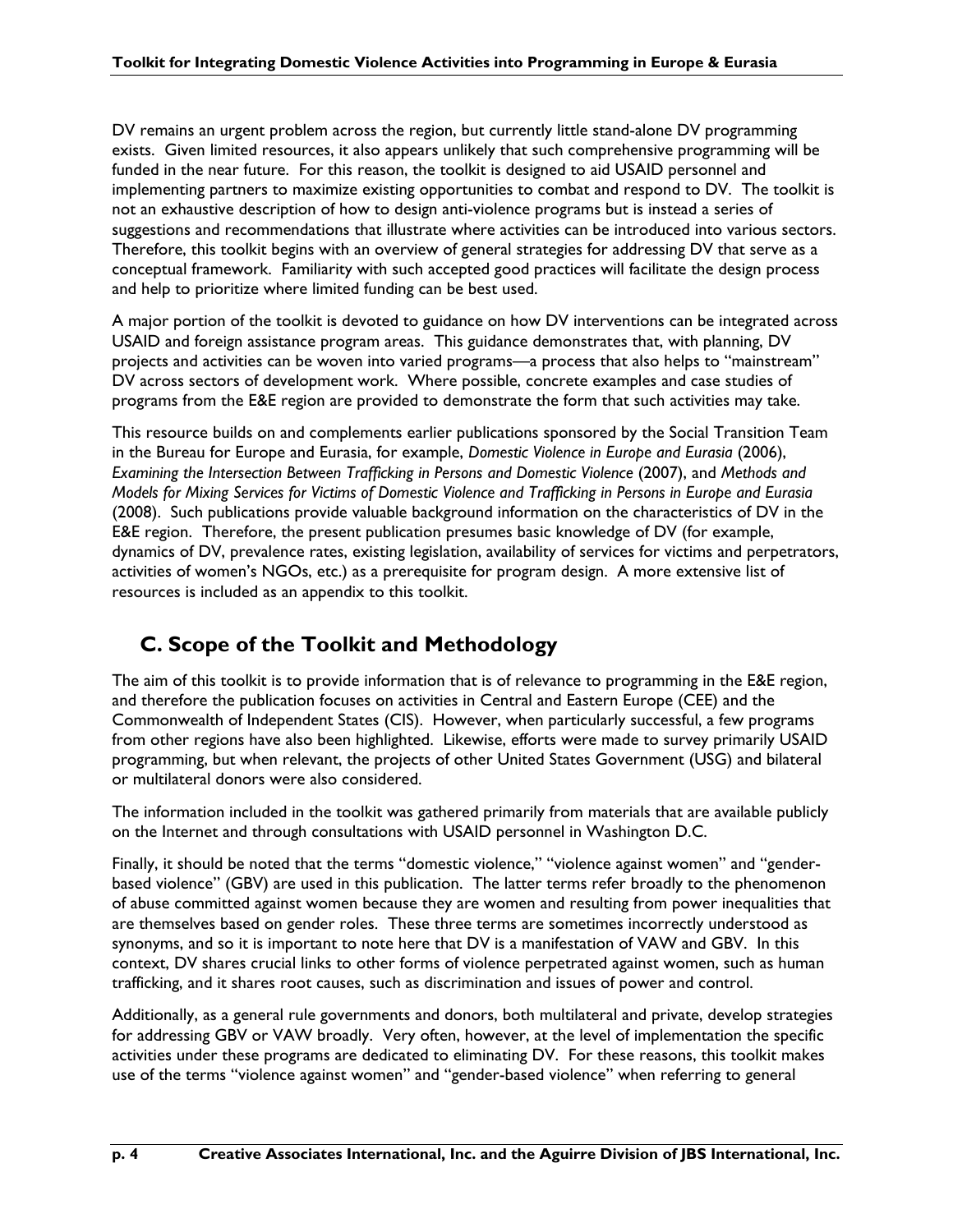DV remains an urgent problem across the region, but currently little stand-alone DV programming exists. Given limited resources, it also appears unlikely that such comprehensive programming will be funded in the near future. For this reason, the toolkit is designed to aid USAID personnel and implementing partners to maximize existing opportunities to combat and respond to DV. The toolkit is not an exhaustive description of how to design anti-violence programs but is instead a series of suggestions and recommendations that illustrate where activities can be introduced into various sectors. Therefore, this toolkit begins with an overview of general strategies for addressing DV that serve as a conceptual framework. Familiarity with such accepted good practices will facilitate the design process and help to prioritize where limited funding can be best used.

A major portion of the toolkit is devoted to guidance on how DV interventions can be integrated across USAID and foreign assistance program areas. This guidance demonstrates that, with planning, DV projects and activities can be woven into varied programs—a process that also helps to "mainstream" DV across sectors of development work. Where possible, concrete examples and case studies of programs from the E&E region are provided to demonstrate the form that such activities may take.

This resource builds on and complements earlier publications sponsored by the Social Transition Team in the Bureau for Europe and Eurasia, for example, *Domestic Violence in Europe and Eurasia* (2006), *Examining the Intersection Between Trafficking in Persons and Domestic Violence* (2007), and *Methods and Models for Mixing Services for Victims of Domestic Violence and Trafficking in Persons in Europe and Eurasia* (2008). Such publications provide valuable background information on the characteristics of DV in the E&E region. Therefore, the present publication presumes basic knowledge of DV (for example, dynamics of DV, prevalence rates, existing legislation, availability of services for victims and perpetrators, activities of women's NGOs, etc.) as a prerequisite for program design. A more extensive list of resources is included as an appendix to this toolkit.

## **C. Scope of the Toolkit and Methodology**

The aim of this toolkit is to provide information that is of relevance to programming in the E&E region, and therefore the publication focuses on activities in Central and Eastern Europe (CEE) and the Commonwealth of Independent States (CIS). However, when particularly successful, a few programs from other regions have also been highlighted. Likewise, efforts were made to survey primarily USAID programming, but when relevant, the projects of other United States Government (USG) and bilateral or multilateral donors were also considered.

The information included in the toolkit was gathered primarily from materials that are available publicly on the Internet and through consultations with USAID personnel in Washington D.C.

Finally, it should be noted that the terms "domestic violence," "violence against women" and "genderbased violence" (GBV) are used in this publication. The latter terms refer broadly to the phenomenon of abuse committed against women because they are women and resulting from power inequalities that are themselves based on gender roles. These three terms are sometimes incorrectly understood as synonyms, and so it is important to note here that DV is a manifestation of VAW and GBV. In this context, DV shares crucial links to other forms of violence perpetrated against women, such as human trafficking, and it shares root causes, such as discrimination and issues of power and control.

Additionally, as a general rule governments and donors, both multilateral and private, develop strategies for addressing GBV or VAW broadly. Very often, however, at the level of implementation the specific activities under these programs are dedicated to eliminating DV. For these reasons, this toolkit makes use of the terms "violence against women" and "gender-based violence" when referring to general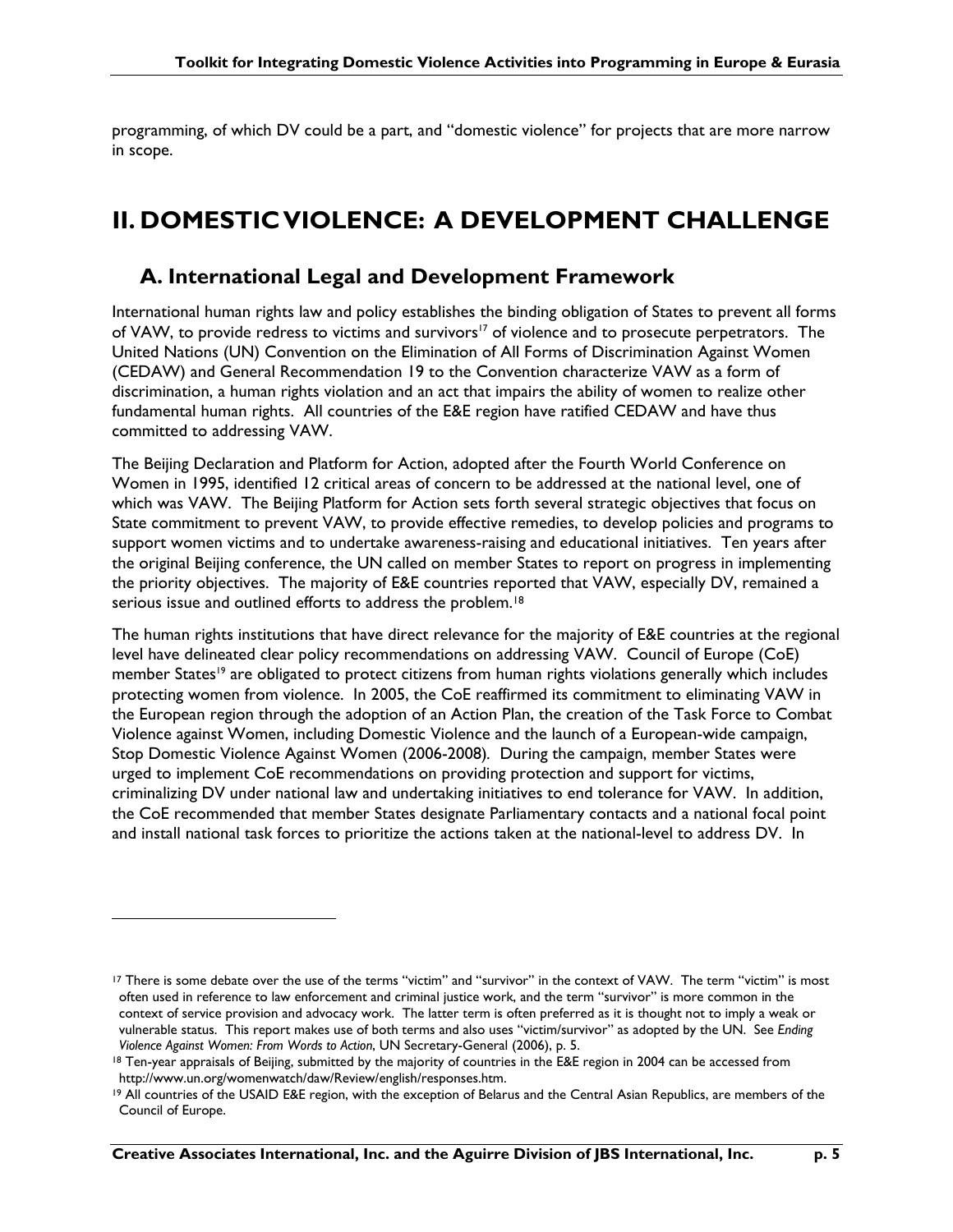programming, of which DV could be a part, and "domestic violence" for projects that are more narrow in scope.

## **II. DOMESTIC VIOLENCE: A DEVELOPMENT CHALLENGE**

### **A. International Legal and Development Framework**

International human rights law and policy establishes the binding obligation of States to prevent all forms of VAW, to provide redress to victims and survivors<sup>17</sup> of violence and to prosecute perpetrators. The United Nations (UN) Convention on the Elimination of All Forms of Discrimination Against Women (CEDAW) and General Recommendation 19 to the Convention characterize VAW as a form of discrimination, a human rights violation and an act that impairs the ability of women to realize other fundamental human rights. All countries of the E&E region have ratified CEDAW and have thus committed to addressing VAW.

The Beijing Declaration and Platform for Action, adopted after the Fourth World Conference on Women in 1995, identified 12 critical areas of concern to be addressed at the national level, one of which was VAW. The Beijing Platform for Action sets forth several strategic objectives that focus on State commitment to prevent VAW, to provide effective remedies, to develop policies and programs to support women victims and to undertake awareness-raising and educational initiatives. Ten years after the original Beijing conference, the UN called on member States to report on progress in implementing the priority objectives. The majority of E&E countries reported that VAW, especially DV, remained a serious issue and outlined efforts to address the problem.<sup>18</sup>

The human rights institutions that have direct relevance for the majority of E&E countries at the regional level have delineated clear policy recommendations on addressing VAW. Council of Europe (CoE) member States<sup>19</sup> are obligated to protect citizens from human rights violations generally which includes protecting women from violence. In 2005, the CoE reaffirmed its commitment to eliminating VAW in the European region through the adoption of an Action Plan, the creation of the Task Force to Combat Violence against Women, including Domestic Violence and the launch of a European-wide campaign, Stop Domestic Violence Against Women (2006-2008)*.* During the campaign, member States were urged to implement CoE recommendations on providing protection and support for victims, criminalizing DV under national law and undertaking initiatives to end tolerance for VAW. In addition, the CoE recommended that member States designate Parliamentary contacts and a national focal point and install national task forces to prioritize the actions taken at the national-level to address DV. In

<sup>&</sup>lt;sup>17</sup> There is some debate over the use of the terms "victim" and "survivor" in the context of VAW. The term "victim" is most often used in reference to law enforcement and criminal justice work, and the term "survivor" is more common in the context of service provision and advocacy work. The latter term is often preferred as it is thought not to imply a weak or vulnerable status. This report makes use of both terms and also uses "victim/survivor" as adopted by the UN. See *Ending Violence Against Women: From Words to Action*, UN Secretary-General (2006), p. 5.

<sup>&</sup>lt;sup>18</sup> Ten-year appraisals of Beijing, submitted by the majority of countries in the E&E region in 2004 can be accessed from http://www.un.org/womenwatch/daw/Review/english/responses.htm.

<sup>19</sup> All countries of the USAID E&E region, with the exception of Belarus and the Central Asian Republics, are members of the Council of Europe.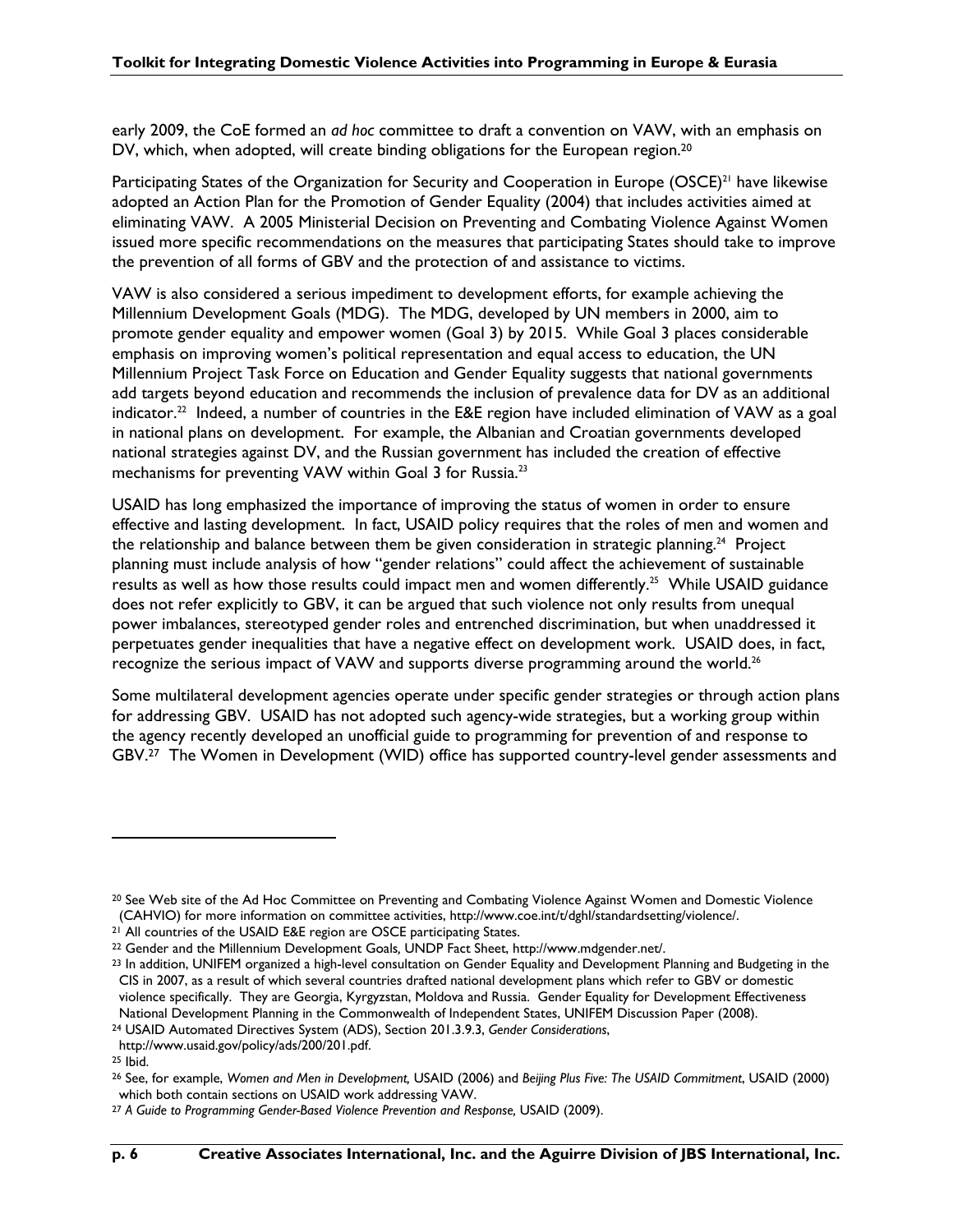early 2009, the CoE formed an *ad hoc* committee to draft a convention on VAW, with an emphasis on DV, which, when adopted, will create binding obligations for the European region.<sup>20</sup>

Participating States of the Organization for Security and Cooperation in Europe  $(OSCE)^{21}$  have likewise adopted an Action Plan for the Promotion of Gender Equality (2004) that includes activities aimed at eliminating VAW. A 2005 Ministerial Decision on Preventing and Combating Violence Against Women issued more specific recommendations on the measures that participating States should take to improve the prevention of all forms of GBV and the protection of and assistance to victims.

VAW is also considered a serious impediment to development efforts, for example achieving the Millennium Development Goals (MDG). The MDG, developed by UN members in 2000, aim to promote gender equality and empower women (Goal 3) by 2015. While Goal 3 places considerable emphasis on improving women's political representation and equal access to education, the UN Millennium Project Task Force on Education and Gender Equality suggests that national governments add targets beyond education and recommends the inclusion of prevalence data for DV as an additional indicator.<sup>22</sup> Indeed, a number of countries in the E&E region have included elimination of VAW as a goal in national plans on development. For example, the Albanian and Croatian governments developed national strategies against DV, and the Russian government has included the creation of effective mechanisms for preventing VAW within Goal 3 for Russia.<sup>23</sup>

USAID has long emphasized the importance of improving the status of women in order to ensure effective and lasting development. In fact, USAID policy requires that the roles of men and women and the relationship and balance between them be given consideration in strategic planning.<sup>24</sup> Project planning must include analysis of how "gender relations" could affect the achievement of sustainable results as well as how those results could impact men and women differently.<sup>25</sup> While USAID guidance does not refer explicitly to GBV, it can be argued that such violence not only results from unequal power imbalances, stereotyped gender roles and entrenched discrimination, but when unaddressed it perpetuates gender inequalities that have a negative effect on development work. USAID does, in fact, recognize the serious impact of VAW and supports diverse programming around the world.<sup>26</sup>

Some multilateral development agencies operate under specific gender strategies or through action plans for addressing GBV. USAID has not adopted such agency-wide strategies, but a working group within the agency recently developed an unofficial guide to programming for prevention of and response to GBV.27 The Women in Development (WID) office has supported country-level gender assessments and

<sup>20</sup> See Web site of the Ad Hoc Committee on Preventing and Combating Violence Against Women and Domestic Violence (CAHVIO) for more information on committee activities, http://www.coe.int/t/dghl/standardsetting/violence/.

<sup>&</sup>lt;sup>21</sup> All countries of the USAID E&E region are OSCE participating States.

<sup>22</sup> Gender and the Millennium Development Goals*,* UNDP Fact Sheet, http://www.mdgender.net/.

<sup>23</sup> In addition, UNIFEM organized a high-level consultation on Gender Equality and Development Planning and Budgeting in the CIS in 2007, as a result of which several countries drafted national development plans which refer to GBV or domestic violence specifically. They are Georgia, Kyrgyzstan, Moldova and Russia. Gender Equality for Development Effectiveness National Development Planning in the Commonwealth of Independent States, UNIFEM Discussion Paper (2008).

<sup>24</sup> USAID Automated Directives System (ADS), Section 201.3.9.3, *Gender Considerations*,

http://www.usaid.gov/policy/ads/200/201.pdf.

<sup>25</sup> Ibid.

<sup>26</sup> See, for example, *Women and Men in Development,* USAID (2006) and *Beijing Plus Five: The USAID Commitment*, USAID (2000) which both contain sections on USAID work addressing VAW.

<sup>&</sup>lt;sup>27</sup> A Guide to Programming Gender-Based Violence Prevention and Response, USAID (2009).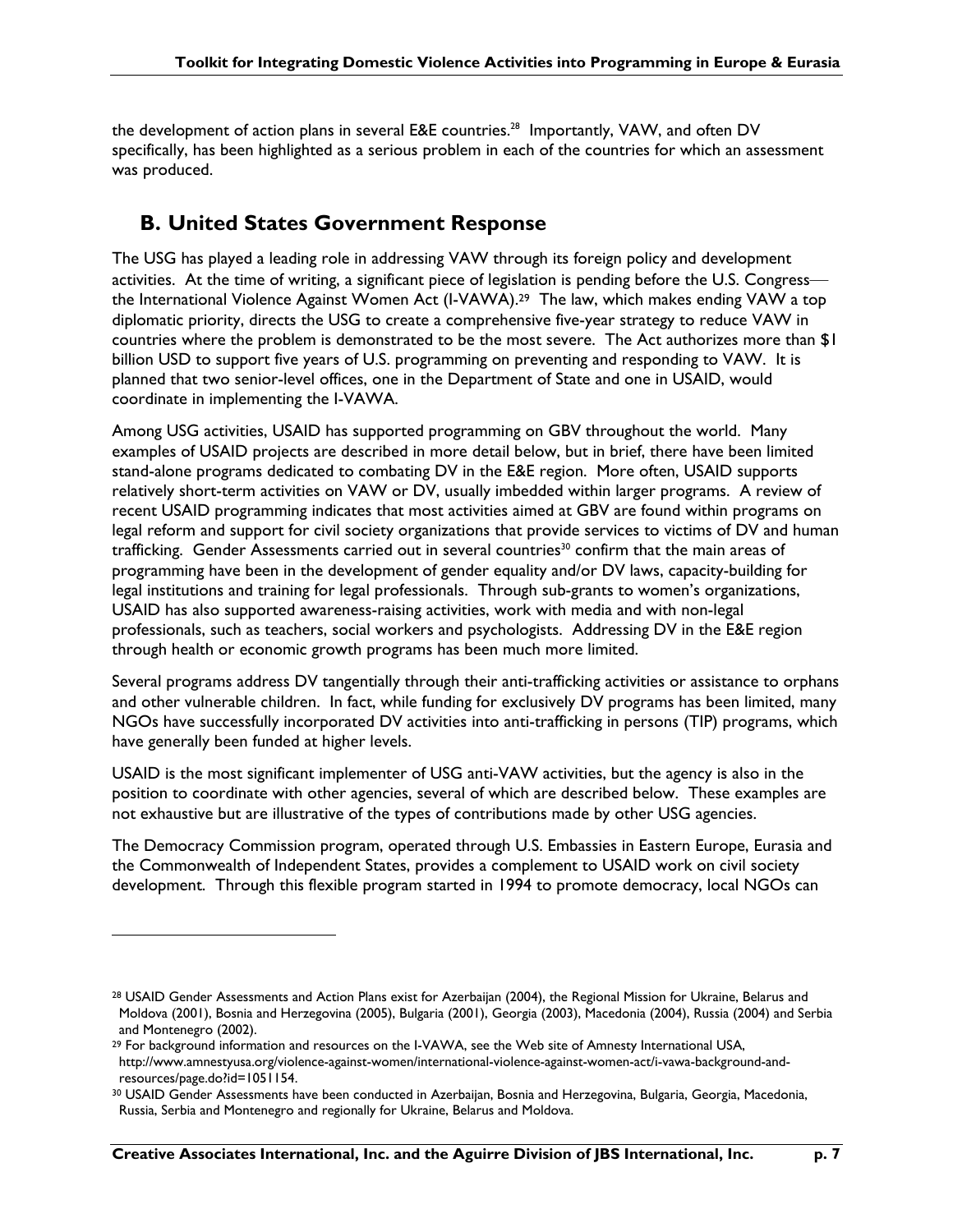the development of action plans in several E&E countries.<sup>28</sup> Importantly, VAW, and often DV specifically, has been highlighted as a serious problem in each of the countries for which an assessment was produced.

### **B. United States Government Response**

The USG has played a leading role in addressing VAW through its foreign policy and development activities. At the time of writing, a significant piece of legislation is pending before the U.S. Congress the International Violence Against Women Act (I-VAWA).29 The law, which makes ending VAW a top diplomatic priority, directs the USG to create a comprehensive five-year strategy to reduce VAW in countries where the problem is demonstrated to be the most severe. The Act authorizes more than \$1 billion USD to support five years of U.S. programming on preventing and responding to VAW. It is planned that two senior-level offices, one in the Department of State and one in USAID, would coordinate in implementing the I-VAWA.

Among USG activities, USAID has supported programming on GBV throughout the world. Many examples of USAID projects are described in more detail below, but in brief, there have been limited stand-alone programs dedicated to combating DV in the E&E region. More often, USAID supports relatively short-term activities on VAW or DV, usually imbedded within larger programs. A review of recent USAID programming indicates that most activities aimed at GBV are found within programs on legal reform and support for civil society organizations that provide services to victims of DV and human trafficking. Gender Assessments carried out in several countries<sup>30</sup> confirm that the main areas of programming have been in the development of gender equality and/or DV laws, capacity-building for legal institutions and training for legal professionals. Through sub-grants to women's organizations, USAID has also supported awareness-raising activities, work with media and with non-legal professionals, such as teachers, social workers and psychologists. Addressing DV in the E&E region through health or economic growth programs has been much more limited.

Several programs address DV tangentially through their anti-trafficking activities or assistance to orphans and other vulnerable children. In fact, while funding for exclusively DV programs has been limited, many NGOs have successfully incorporated DV activities into anti-trafficking in persons (TIP) programs, which have generally been funded at higher levels.

USAID is the most significant implementer of USG anti-VAW activities, but the agency is also in the position to coordinate with other agencies, several of which are described below. These examples are not exhaustive but are illustrative of the types of contributions made by other USG agencies.

The Democracy Commission program, operated through U.S. Embassies in Eastern Europe, Eurasia and the Commonwealth of Independent States, provides a complement to USAID work on civil society development. Through this flexible program started in 1994 to promote democracy, local NGOs can

<sup>28</sup> USAID Gender Assessments and Action Plans exist for Azerbaijan (2004), the Regional Mission for Ukraine, Belarus and Moldova (2001), Bosnia and Herzegovina (2005), Bulgaria (2001), Georgia (2003), Macedonia (2004), Russia (2004) and Serbia and Montenegro (2002).

<sup>&</sup>lt;sup>29</sup> For background information and resources on the I-VAWA, see the Web site of Amnesty International USA, http://www.amnestyusa.org/violence-against-women/international-violence-against-women-act/i-vawa-background-andresources/page.do?id=1051154.

<sup>30</sup> USAID Gender Assessments have been conducted in Azerbaijan, Bosnia and Herzegovina, Bulgaria, Georgia, Macedonia, Russia, Serbia and Montenegro and regionally for Ukraine, Belarus and Moldova.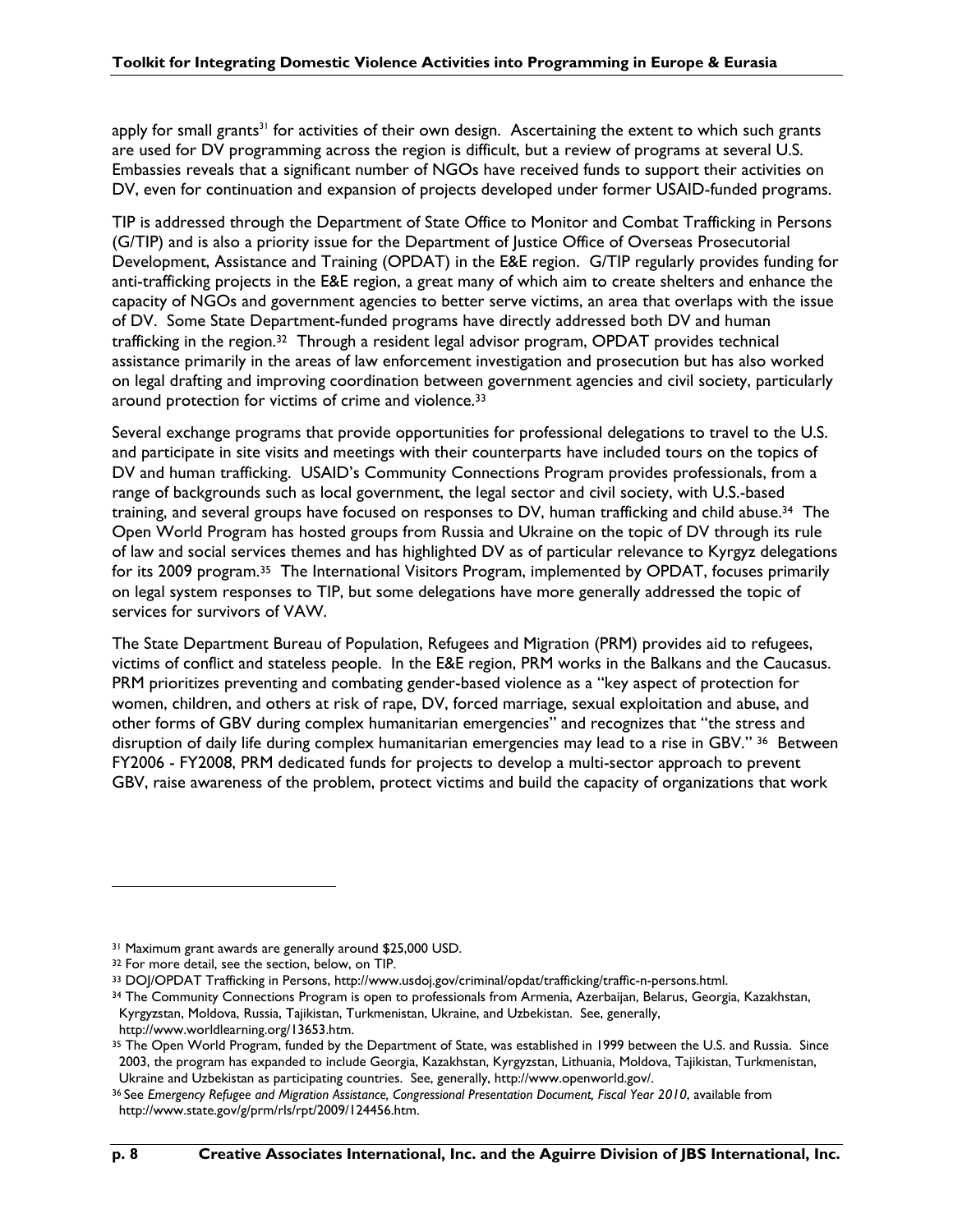apply for small grants<sup>31</sup> for activities of their own design. Ascertaining the extent to which such grants are used for DV programming across the region is difficult, but a review of programs at several U.S. Embassies reveals that a significant number of NGOs have received funds to support their activities on DV, even for continuation and expansion of projects developed under former USAID-funded programs.

TIP is addressed through the Department of State Office to Monitor and Combat Trafficking in Persons (G/TIP) and is also a priority issue for the Department of Justice Office of Overseas Prosecutorial Development, Assistance and Training (OPDAT) in the E&E region. G/TIP regularly provides funding for anti-trafficking projects in the E&E region, a great many of which aim to create shelters and enhance the capacity of NGOs and government agencies to better serve victims, an area that overlaps with the issue of DV. Some State Department-funded programs have directly addressed both DV and human trafficking in the region.32 Through a resident legal advisor program, OPDAT provides technical assistance primarily in the areas of law enforcement investigation and prosecution but has also worked on legal drafting and improving coordination between government agencies and civil society, particularly around protection for victims of crime and violence.33

Several exchange programs that provide opportunities for professional delegations to travel to the U.S. and participate in site visits and meetings with their counterparts have included tours on the topics of DV and human trafficking. USAID's Community Connections Program provides professionals, from a range of backgrounds such as local government, the legal sector and civil society, with U.S.-based training, and several groups have focused on responses to DV, human trafficking and child abuse.34 The Open World Program has hosted groups from Russia and Ukraine on the topic of DV through its rule of law and social services themes and has highlighted DV as of particular relevance to Kyrgyz delegations for its 2009 program.<sup>35</sup> The International Visitors Program, implemented by OPDAT, focuses primarily on legal system responses to TIP, but some delegations have more generally addressed the topic of services for survivors of VAW.

The State Department Bureau of Population, Refugees and Migration (PRM) provides aid to refugees, victims of conflict and stateless people. In the E&E region, PRM works in the Balkans and the Caucasus. PRM prioritizes preventing and combating gender-based violence as a "key aspect of protection for women, children, and others at risk of rape, DV, forced marriage, sexual exploitation and abuse, and other forms of GBV during complex humanitarian emergencies" and recognizes that "the stress and disruption of daily life during complex humanitarian emergencies may lead to a rise in GBV." 36 Between FY2006 - FY2008, PRM dedicated funds for projects to develop a multi-sector approach to prevent GBV, raise awareness of the problem, protect victims and build the capacity of organizations that work

<sup>31</sup> Maximum grant awards are generally around \$25,000 USD.

<sup>32</sup> For more detail, see the section, below, on TIP.

<sup>33</sup> DOJ/OPDAT Trafficking in Persons, http://www.usdoj.gov/criminal/opdat/trafficking/traffic-n-persons.html.

<sup>34</sup> The Community Connections Program is open to professionals from Armenia, Azerbaijan, Belarus, Georgia, Kazakhstan, Kyrgyzstan, Moldova, Russia, Tajikistan, Turkmenistan, Ukraine, and Uzbekistan. See, generally,

http://www.worldlearning.org/13653.htm.

<sup>&</sup>lt;sup>35</sup> The Open World Program, funded by the Department of State, was established in 1999 between the U.S. and Russia. Since 2003, the program has expanded to include Georgia, Kazakhstan, Kyrgyzstan, Lithuania, Moldova, Tajikistan, Turkmenistan, Ukraine and Uzbekistan as participating countries. See, generally, http://www.openworld.gov/.

<sup>36</sup> See *Emergency Refugee and Migration Assistance, Congressional Presentation Document, Fiscal Year 2010*, available from http://www.state.gov/g/prm/rls/rpt/2009/124456.htm.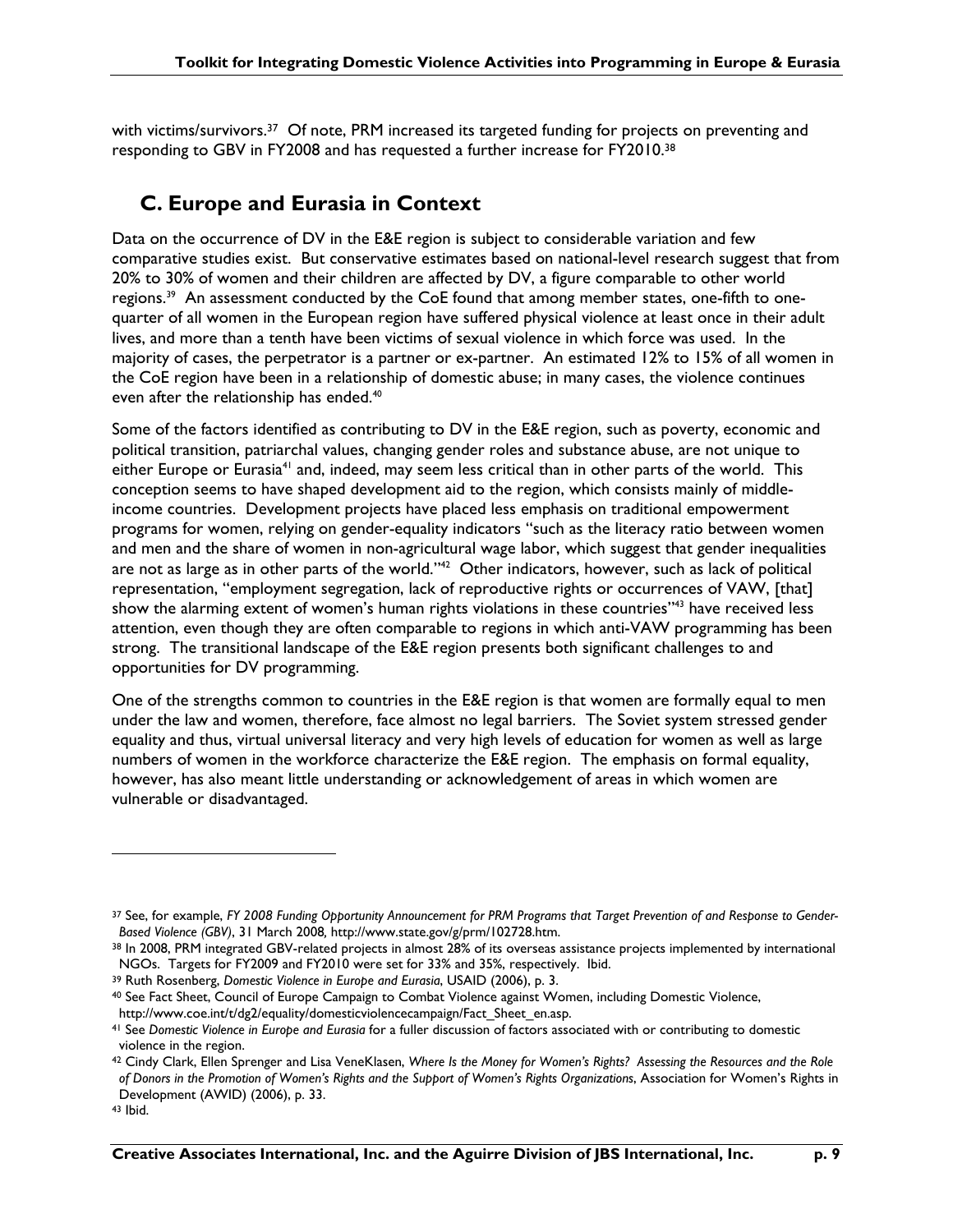with victims/survivors.<sup>37</sup> Of note, PRM increased its targeted funding for projects on preventing and responding to GBV in FY2008 and has requested a further increase for FY2010.38

## **C. Europe and Eurasia in Context**

Data on the occurrence of DV in the E&E region is subject to considerable variation and few comparative studies exist. But conservative estimates based on national-level research suggest that from 20% to 30% of women and their children are affected by DV, a figure comparable to other world regions.<sup>39</sup> An assessment conducted by the CoE found that among member states, one-fifth to onequarter of all women in the European region have suffered physical violence at least once in their adult lives, and more than a tenth have been victims of sexual violence in which force was used. In the majority of cases, the perpetrator is a partner or ex-partner. An estimated 12% to 15% of all women in the CoE region have been in a relationship of domestic abuse; in many cases, the violence continues even after the relationship has ended.<sup>40</sup>

Some of the factors identified as contributing to DV in the E&E region, such as poverty, economic and political transition, patriarchal values, changing gender roles and substance abuse, are not unique to either Europe or Eurasia<sup>41</sup> and, indeed, may seem less critical than in other parts of the world. This conception seems to have shaped development aid to the region, which consists mainly of middleincome countries. Development projects have placed less emphasis on traditional empowerment programs for women, relying on gender-equality indicators "such as the literacy ratio between women and men and the share of women in non-agricultural wage labor, which suggest that gender inequalities are not as large as in other parts of the world." $42$  Other indicators, however, such as lack of political representation, "employment segregation, lack of reproductive rights or occurrences of VAW, [that] show the alarming extent of women's human rights violations in these countries"<sup>43</sup> have received less attention, even though they are often comparable to regions in which anti-VAW programming has been strong. The transitional landscape of the E&E region presents both significant challenges to and opportunities for DV programming.

One of the strengths common to countries in the E&E region is that women are formally equal to men under the law and women, therefore, face almost no legal barriers. The Soviet system stressed gender equality and thus, virtual universal literacy and very high levels of education for women as well as large numbers of women in the workforce characterize the E&E region. The emphasis on formal equality, however, has also meant little understanding or acknowledgement of areas in which women are vulnerable or disadvantaged.

<sup>37</sup> See, for example, *FY 2008 Funding Opportunity Announcement for PRM Programs that Target Prevention of and Response to Gender-Based Violence (GBV)*, 31 March 2008, http://www.state.gov/g/prm/102728.htm.<br><sup>38</sup> In 2008, PRM integrated GBV-related projects in almost 28% of its overseas assistance projects implemented by international

NGOs. Targets for FY2009 and FY2010 were set for 33% and 35%, respectively. Ibid.

<sup>39</sup> Ruth Rosenberg, *Domestic Violence in Europe and Eurasia*, USAID (2006), p. 3.

<sup>40</sup> See Fact Sheet, Council of Europe Campaign to Combat Violence against Women, including Domestic Violence, http://www.coe.int/t/dg2/equality/domesticviolencecampaign/Fact Sheet en.asp.

<sup>41</sup> See *Domestic Violence in Europe and Eurasia* for a fuller discussion of factors associated with or contributing to domestic violence in the region.

<sup>42</sup> Cindy Clark, Ellen Sprenger and Lisa VeneKlasen, *Where Is the Money for Women's Rights? Assessing the Resources and the Role of Donors in the Promotion of Women's Rights and the Support of Women's Rights Organizations*, Association for Women's Rights in Development (AWID) (2006), p. 33.

<sup>43</sup> Ibid.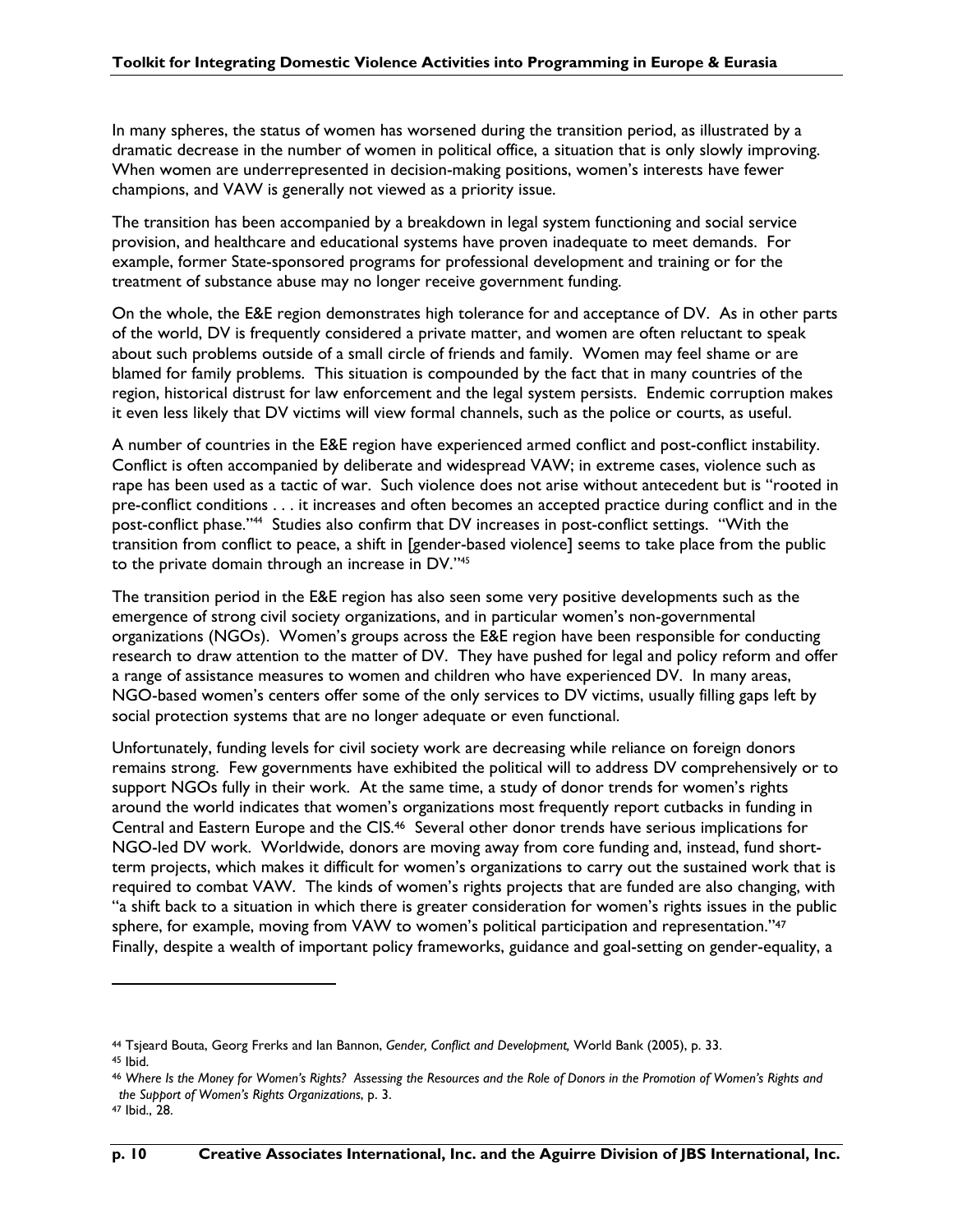In many spheres, the status of women has worsened during the transition period, as illustrated by a dramatic decrease in the number of women in political office, a situation that is only slowly improving. When women are underrepresented in decision-making positions, women's interests have fewer champions, and VAW is generally not viewed as a priority issue.

The transition has been accompanied by a breakdown in legal system functioning and social service provision, and healthcare and educational systems have proven inadequate to meet demands. For example, former State-sponsored programs for professional development and training or for the treatment of substance abuse may no longer receive government funding.

On the whole, the E&E region demonstrates high tolerance for and acceptance of DV. As in other parts of the world, DV is frequently considered a private matter, and women are often reluctant to speak about such problems outside of a small circle of friends and family. Women may feel shame or are blamed for family problems. This situation is compounded by the fact that in many countries of the region, historical distrust for law enforcement and the legal system persists. Endemic corruption makes it even less likely that DV victims will view formal channels, such as the police or courts, as useful.

A number of countries in the E&E region have experienced armed conflict and post-conflict instability. Conflict is often accompanied by deliberate and widespread VAW; in extreme cases, violence such as rape has been used as a tactic of war. Such violence does not arise without antecedent but is "rooted in pre-conflict conditions . . . it increases and often becomes an accepted practice during conflict and in the post-conflict phase."44 Studies also confirm that DV increases in post-conflict settings. "With the transition from conflict to peace, a shift in [gender-based violence] seems to take place from the public to the private domain through an increase in DV."45

The transition period in the E&E region has also seen some very positive developments such as the emergence of strong civil society organizations, and in particular women's non-governmental organizations (NGOs). Women's groups across the E&E region have been responsible for conducting research to draw attention to the matter of DV. They have pushed for legal and policy reform and offer a range of assistance measures to women and children who have experienced DV. In many areas, NGO-based women's centers offer some of the only services to DV victims, usually filling gaps left by social protection systems that are no longer adequate or even functional.

Unfortunately, funding levels for civil society work are decreasing while reliance on foreign donors remains strong. Few governments have exhibited the political will to address DV comprehensively or to support NGOs fully in their work. At the same time, a study of donor trends for women's rights around the world indicates that women's organizations most frequently report cutbacks in funding in Central and Eastern Europe and the CIS.46 Several other donor trends have serious implications for NGO-led DV work. Worldwide, donors are moving away from core funding and, instead, fund shortterm projects, which makes it difficult for women's organizations to carry out the sustained work that is required to combat VAW. The kinds of women's rights projects that are funded are also changing, with "a shift back to a situation in which there is greater consideration for women's rights issues in the public sphere, for example, moving from VAW to women's political participation and representation."<sup>47</sup> Finally, despite a wealth of important policy frameworks, guidance and goal-setting on gender-equality, a

<sup>44</sup> Tsjeard Bouta, Georg Frerks and Ian Bannon, *Gender, Conflict and Development,* World Bank (2005), p. 33. 45 Ibid.

<sup>46</sup> *Where Is the Money for Women's Rights? Assessing the Resources and the Role of Donors in the Promotion of Women's Rights and the Support of Women's Rights Organizations*, p. 3.

<sup>47</sup> Ibid., 28.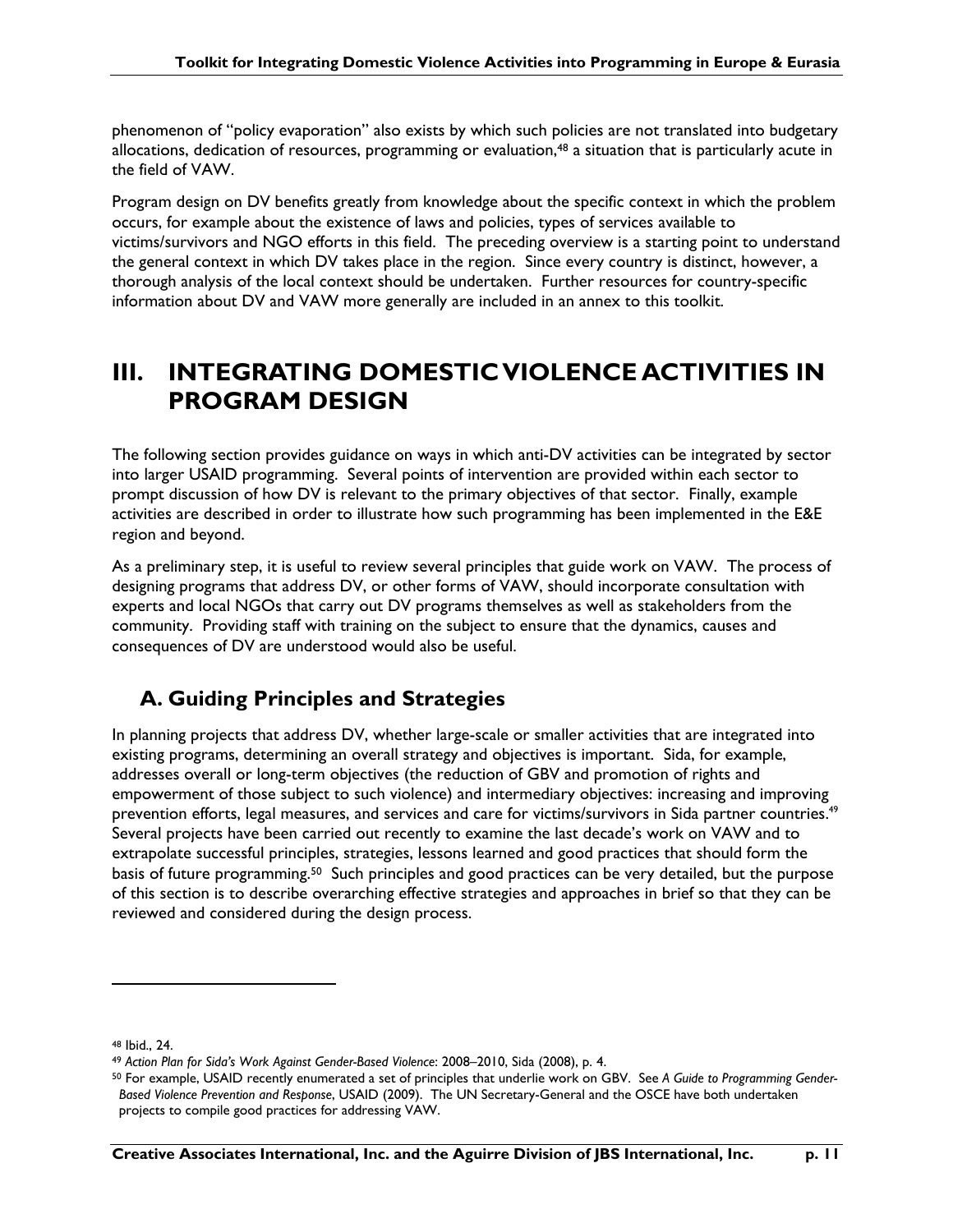phenomenon of "policy evaporation" also exists by which such policies are not translated into budgetary allocations, dedication of resources, programming or evaluation, $48$  a situation that is particularly acute in the field of VAW.

Program design on DV benefits greatly from knowledge about the specific context in which the problem occurs, for example about the existence of laws and policies, types of services available to victims/survivors and NGO efforts in this field. The preceding overview is a starting point to understand the general context in which DV takes place in the region. Since every country is distinct, however, a thorough analysis of the local context should be undertaken. Further resources for country-specific information about DV and VAW more generally are included in an annex to this toolkit.

## **III. INTEGRATING DOMESTIC VIOLENCE ACTIVITIES IN PROGRAM DESIGN**

The following section provides guidance on ways in which anti-DV activities can be integrated by sector into larger USAID programming. Several points of intervention are provided within each sector to prompt discussion of how DV is relevant to the primary objectives of that sector. Finally, example activities are described in order to illustrate how such programming has been implemented in the E&E region and beyond.

As a preliminary step, it is useful to review several principles that guide work on VAW. The process of designing programs that address DV, or other forms of VAW, should incorporate consultation with experts and local NGOs that carry out DV programs themselves as well as stakeholders from the community. Providing staff with training on the subject to ensure that the dynamics, causes and consequences of DV are understood would also be useful.

## **A. Guiding Principles and Strategies**

In planning projects that address DV, whether large-scale or smaller activities that are integrated into existing programs, determining an overall strategy and objectives is important. Sida, for example, addresses overall or long-term objectives (the reduction of GBV and promotion of rights and empowerment of those subject to such violence) and intermediary objectives: increasing and improving prevention efforts, legal measures, and services and care for victims/survivors in Sida partner countries.<sup>49</sup> Several projects have been carried out recently to examine the last decade's work on VAW and to extrapolate successful principles, strategies, lessons learned and good practices that should form the basis of future programming.<sup>50</sup> Such principles and good practices can be very detailed, but the purpose of this section is to describe overarching effective strategies and approaches in brief so that they can be reviewed and considered during the design process.

<sup>48</sup> Ibid., 24.

<sup>49</sup> *Action Plan for Sida's Work Against Gender-Based Violence*: 2008–2010, Sida (2008), p. 4.

<sup>50</sup> For example, USAID recently enumerated a set of principles that underlie work on GBV. See *A Guide to Programming Gender-Based Violence Prevention and Response*, USAID (2009). The UN Secretary-General and the OSCE have both undertaken projects to compile good practices for addressing VAW.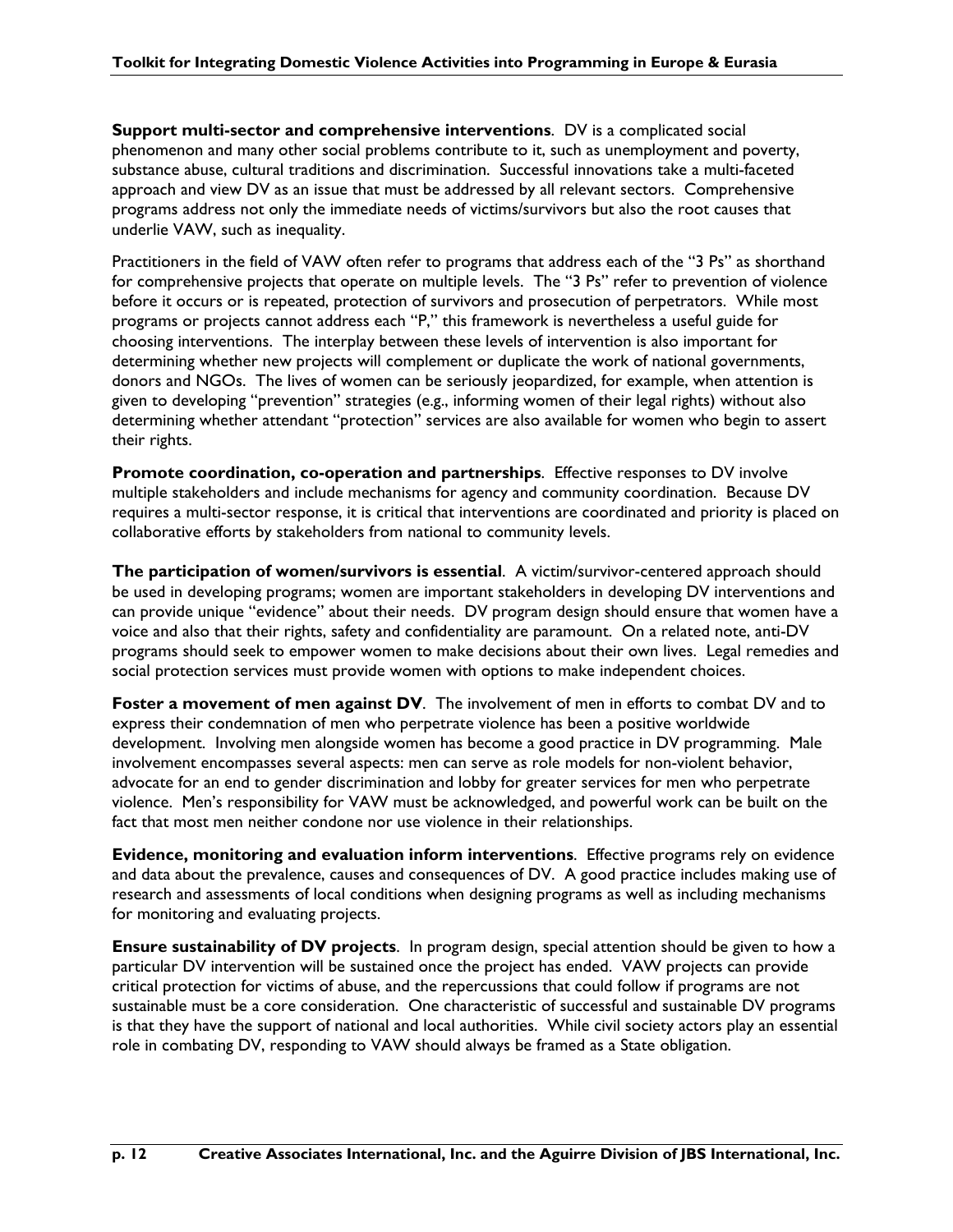**Support multi-sector and comprehensive interventions**. DV is a complicated social phenomenon and many other social problems contribute to it, such as unemployment and poverty, substance abuse, cultural traditions and discrimination. Successful innovations take a multi-faceted approach and view DV as an issue that must be addressed by all relevant sectors. Comprehensive programs address not only the immediate needs of victims/survivors but also the root causes that underlie VAW, such as inequality.

Practitioners in the field of VAW often refer to programs that address each of the "3 Ps" as shorthand for comprehensive projects that operate on multiple levels. The "3 Ps" refer to prevention of violence before it occurs or is repeated, protection of survivors and prosecution of perpetrators. While most programs or projects cannot address each "P," this framework is nevertheless a useful guide for choosing interventions. The interplay between these levels of intervention is also important for determining whether new projects will complement or duplicate the work of national governments, donors and NGOs. The lives of women can be seriously jeopardized, for example, when attention is given to developing "prevention" strategies (e.g., informing women of their legal rights) without also determining whether attendant "protection" services are also available for women who begin to assert their rights.

**Promote coordination, co-operation and partnerships**. Effective responses to DV involve multiple stakeholders and include mechanisms for agency and community coordination. Because DV requires a multi-sector response, it is critical that interventions are coordinated and priority is placed on collaborative efforts by stakeholders from national to community levels.

**The participation of women/survivors is essential**. A victim/survivor-centered approach should be used in developing programs; women are important stakeholders in developing DV interventions and can provide unique "evidence" about their needs. DV program design should ensure that women have a voice and also that their rights, safety and confidentiality are paramount. On a related note, anti-DV programs should seek to empower women to make decisions about their own lives. Legal remedies and social protection services must provide women with options to make independent choices.

**Foster a movement of men against DV**. The involvement of men in efforts to combat DV and to express their condemnation of men who perpetrate violence has been a positive worldwide development. Involving men alongside women has become a good practice in DV programming. Male involvement encompasses several aspects: men can serve as role models for non-violent behavior, advocate for an end to gender discrimination and lobby for greater services for men who perpetrate violence. Men's responsibility for VAW must be acknowledged, and powerful work can be built on the fact that most men neither condone nor use violence in their relationships.

**Evidence, monitoring and evaluation inform interventions**.Effective programs rely on evidence and data about the prevalence, causes and consequences of DV. A good practice includes making use of research and assessments of local conditions when designing programs as well as including mechanisms for monitoring and evaluating projects.

**Ensure sustainability of DV projects**. In program design, special attention should be given to how a particular DV intervention will be sustained once the project has ended. VAW projects can provide critical protection for victims of abuse, and the repercussions that could follow if programs are not sustainable must be a core consideration. One characteristic of successful and sustainable DV programs is that they have the support of national and local authorities. While civil society actors play an essential role in combating DV, responding to VAW should always be framed as a State obligation.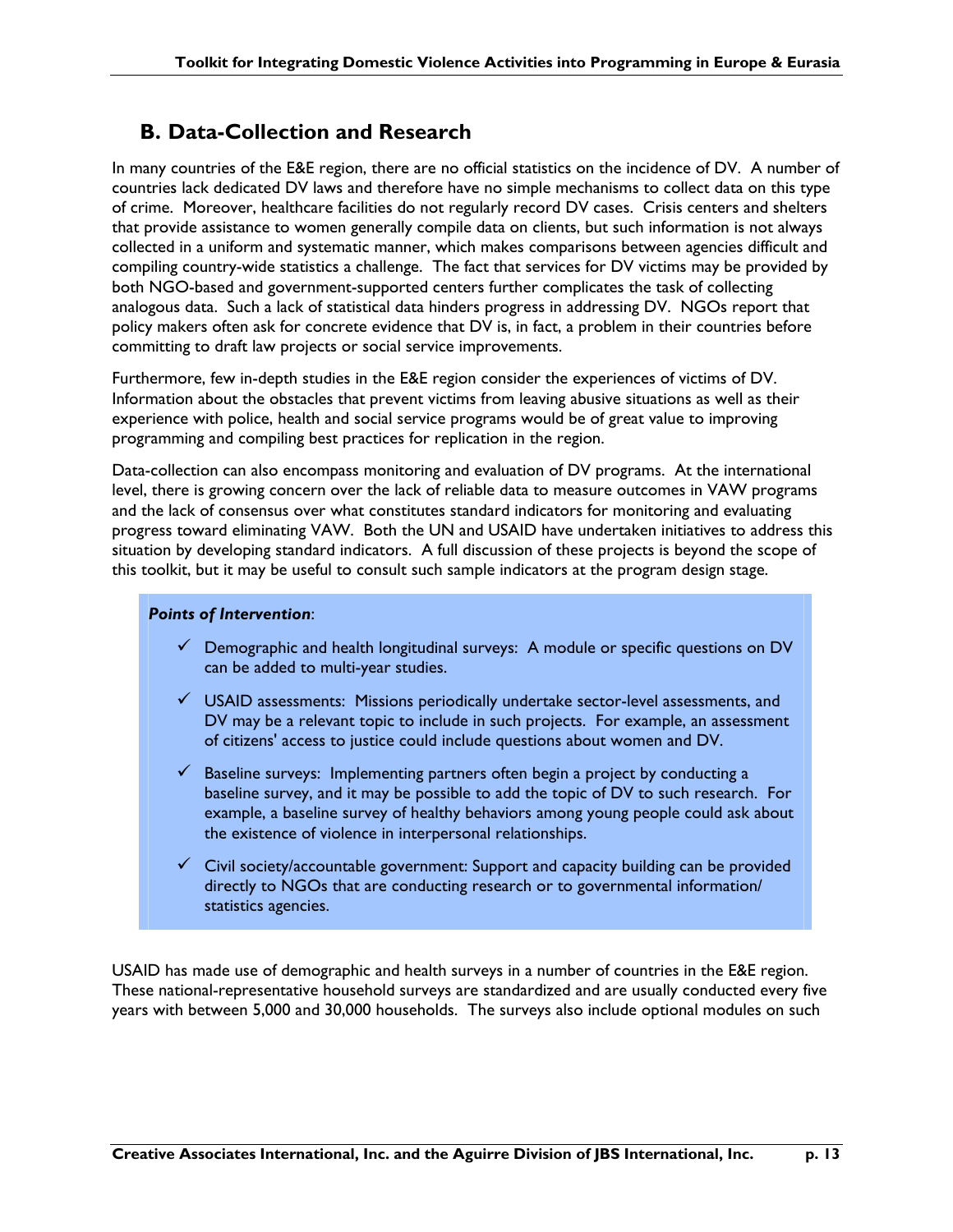### **B. Data-Collection and Research**

In many countries of the E&E region, there are no official statistics on the incidence of DV. A number of countries lack dedicated DV laws and therefore have no simple mechanisms to collect data on this type of crime. Moreover, healthcare facilities do not regularly record DV cases. Crisis centers and shelters that provide assistance to women generally compile data on clients, but such information is not always collected in a uniform and systematic manner, which makes comparisons between agencies difficult and compiling country-wide statistics a challenge. The fact that services for DV victims may be provided by both NGO-based and government-supported centers further complicates the task of collecting analogous data. Such a lack of statistical data hinders progress in addressing DV. NGOs report that policy makers often ask for concrete evidence that DV is, in fact, a problem in their countries before committing to draft law projects or social service improvements.

Furthermore, few in-depth studies in the E&E region consider the experiences of victims of DV. Information about the obstacles that prevent victims from leaving abusive situations as well as their experience with police, health and social service programs would be of great value to improving programming and compiling best practices for replication in the region.

Data-collection can also encompass monitoring and evaluation of DV programs. At the international level, there is growing concern over the lack of reliable data to measure outcomes in VAW programs and the lack of consensus over what constitutes standard indicators for monitoring and evaluating progress toward eliminating VAW. Both the UN and USAID have undertaken initiatives to address this situation by developing standard indicators. A full discussion of these projects is beyond the scope of this toolkit, but it may be useful to consult such sample indicators at the program design stage.

### *Points of Intervention*:

- $\checkmark$  Demographic and health longitudinal surveys: A module or specific questions on DV can be added to multi-year studies.
- $\checkmark$  USAID assessments: Missions periodically undertake sector-level assessments, and DV may be a relevant topic to include in such projects. For example, an assessment of citizens' access to justice could include questions about women and DV.
- $\checkmark$  Baseline surveys: Implementing partners often begin a project by conducting a baseline survey, and it may be possible to add the topic of DV to such research. For example, a baseline survey of healthy behaviors among young people could ask about the existence of violence in interpersonal relationships.
- $\checkmark$  Civil society/accountable government: Support and capacity building can be provided directly to NGOs that are conducting research or to governmental information/ statistics agencies.

USAID has made use of demographic and health surveys in a number of countries in the E&E region. These national-representative household surveys are standardized and are usually conducted every five years with between 5,000 and 30,000 households. The surveys also include optional modules on such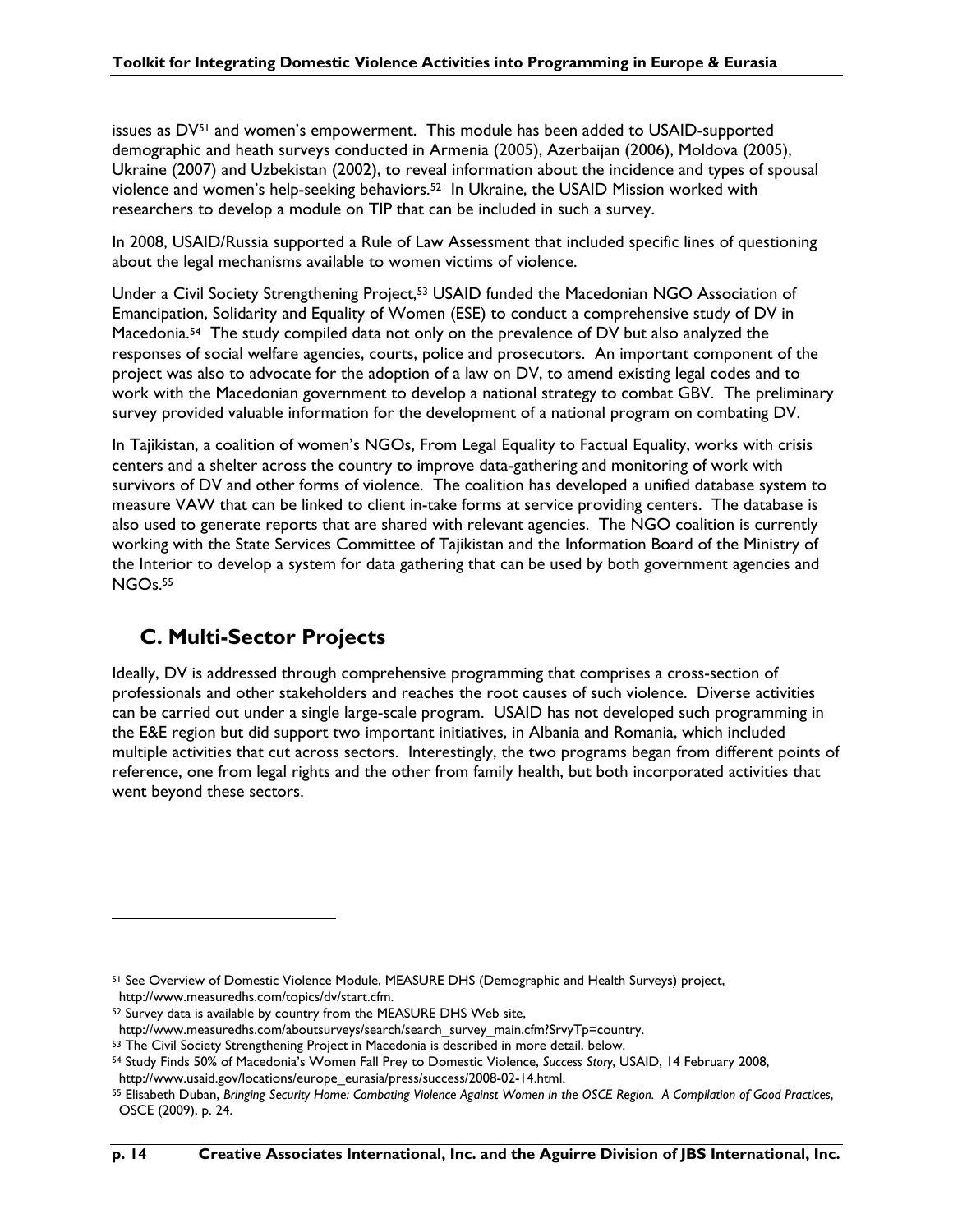issues as DV51 and women's empowerment. This module has been added to USAID-supported demographic and heath surveys conducted in Armenia (2005), Azerbaijan (2006), Moldova (2005), Ukraine (2007) and Uzbekistan (2002), to reveal information about the incidence and types of spousal violence and women's help-seeking behaviors.52 In Ukraine, the USAID Mission worked with researchers to develop a module on TIP that can be included in such a survey.

In 2008, USAID/Russia supported a Rule of Law Assessment that included specific lines of questioning about the legal mechanisms available to women victims of violence.

Under a Civil Society Strengthening Project,53 USAID funded the Macedonian NGO Association of Emancipation, Solidarity and Equality of Women (ESE) to conduct a comprehensive study of DV in Macedonia.54 The study compiled data not only on the prevalence of DV but also analyzed the responses of social welfare agencies, courts, police and prosecutors. An important component of the project was also to advocate for the adoption of a law on DV, to amend existing legal codes and to work with the Macedonian government to develop a national strategy to combat GBV. The preliminary survey provided valuable information for the development of a national program on combating DV.

In Tajikistan, a coalition of women's NGOs, From Legal Equality to Factual Equality, works with crisis centers and a shelter across the country to improve data-gathering and monitoring of work with survivors of DV and other forms of violence. The coalition has developed a unified database system to measure VAW that can be linked to client in-take forms at service providing centers. The database is also used to generate reports that are shared with relevant agencies. The NGO coalition is currently working with the State Services Committee of Tajikistan and the Information Board of the Ministry of the Interior to develop a system for data gathering that can be used by both government agencies and NGOs.55

### **C. Multi-Sector Projects**

Ideally, DV is addressed through comprehensive programming that comprises a cross-section of professionals and other stakeholders and reaches the root causes of such violence. Diverse activities can be carried out under a single large-scale program. USAID has not developed such programming in the E&E region but did support two important initiatives, in Albania and Romania, which included multiple activities that cut across sectors. Interestingly, the two programs began from different points of reference, one from legal rights and the other from family health, but both incorporated activities that went beyond these sectors.

<sup>51</sup> See Overview of Domestic Violence Module, MEASURE DHS (Demographic and Health Surveys) project, http://www.measuredhs.com/topics/dv/start.cfm.

<sup>52</sup> Survey data is available by country from the MEASURE DHS Web site,

http://www.measuredhs.com/aboutsurveys/search/search\_survey\_main.cfm?SrvyTp=country.

<sup>53</sup> The Civil Society Strengthening Project in Macedonia is described in more detail, below.

<sup>54</sup> Study Finds 50% of Macedonia's Women Fall Prey to Domestic Violence, *Success Story*, USAID, 14 February 2008, http://www.usaid.gov/locations/europe\_eurasia/press/success/2008-02-14.html.

<sup>55</sup> Elisabeth Duban, *Bringing Security Home: Combating Violence Against Women in the OSCE Region. A Compilation of Good Practices*, OSCE (2009), p. 24.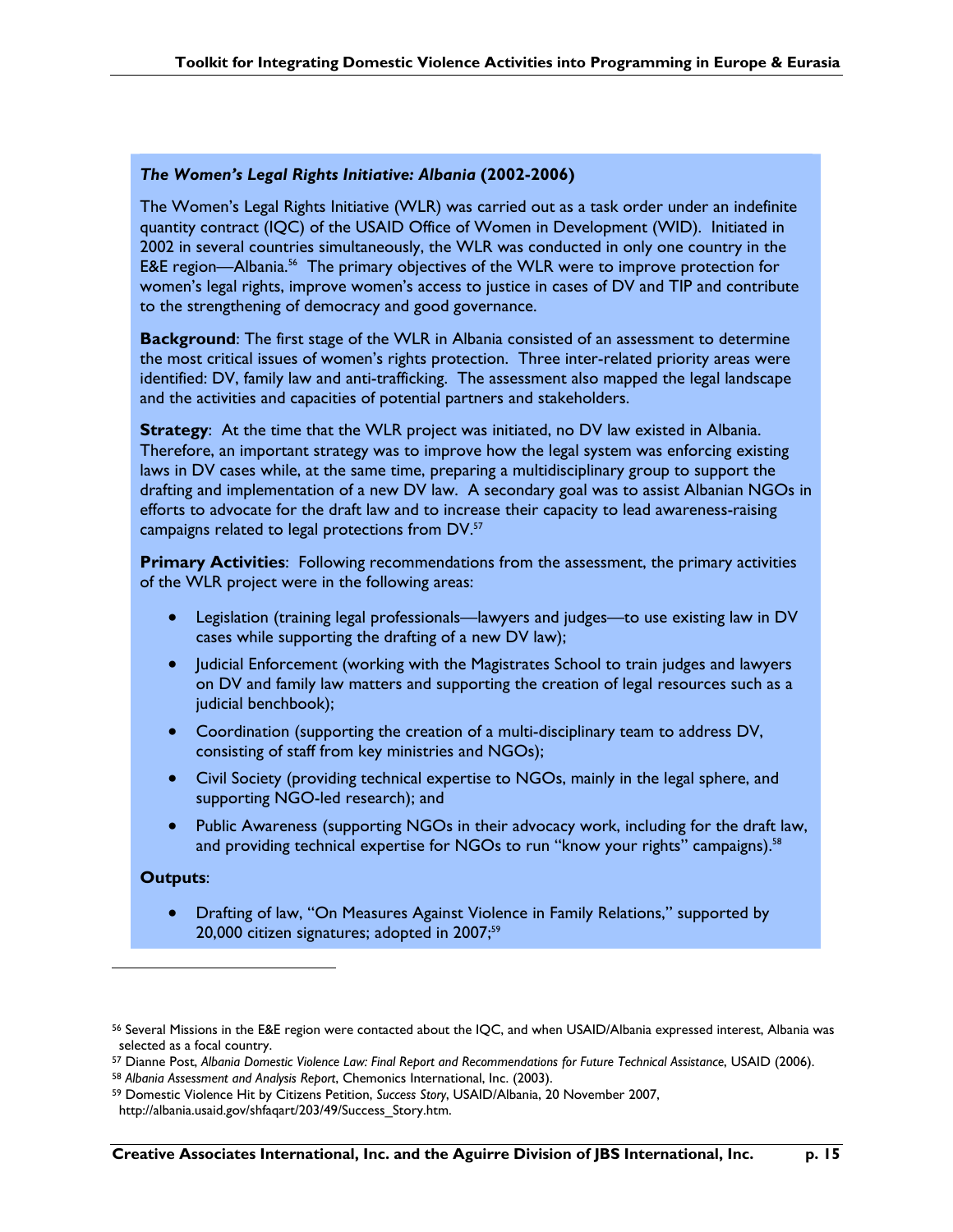### *The Women's Legal Rights Initiative: Albania* **(2002-2006)**

The Women's Legal Rights Initiative (WLR) was carried out as a task order under an indefinite quantity contract (IQC) of the USAID Office of Women in Development (WID). Initiated in 2002 in several countries simultaneously, the WLR was conducted in only one country in the E&E region—Albania.<sup>56</sup> The primary objectives of the WLR were to improve protection for women's legal rights, improve women's access to justice in cases of DV and TIP and contribute to the strengthening of democracy and good governance.

**Background:** The first stage of the WLR in Albania consisted of an assessment to determine the most critical issues of women's rights protection. Three inter-related priority areas were identified: DV, family law and anti-trafficking. The assessment also mapped the legal landscape and the activities and capacities of potential partners and stakeholders.

**Strategy**: At the time that the WLR project was initiated, no DV law existed in Albania. Therefore, an important strategy was to improve how the legal system was enforcing existing laws in DV cases while, at the same time, preparing a multidisciplinary group to support the drafting and implementation of a new DV law. A secondary goal was to assist Albanian NGOs in efforts to advocate for the draft law and to increase their capacity to lead awareness-raising campaigns related to legal protections from DV.<sup>57</sup>

**Primary Activities:** Following recommendations from the assessment, the primary activities of the WLR project were in the following areas:

- Legislation (training legal professionals—lawyers and judges—to use existing law in DV cases while supporting the drafting of a new DV law);
- Judicial Enforcement (working with the Magistrates School to train judges and lawyers on DV and family law matters and supporting the creation of legal resources such as a judicial benchbook);
- Coordination (supporting the creation of a multi-disciplinary team to address DV, consisting of staff from key ministries and NGOs);
- Civil Society (providing technical expertise to NGOs, mainly in the legal sphere, and supporting NGO-led research); and
- Public Awareness (supporting NGOs in their advocacy work, including for the draft law, and providing technical expertise for NGOs to run "know your rights" campaigns).<sup>58</sup>

### **Outputs**:

 $\overline{a}$ 

• Drafting of law, "On Measures Against Violence in Family Relations," supported by 20,000 citizen signatures; adopted in 2007;<sup>59</sup>

<sup>56</sup> Several Missions in the E&E region were contacted about the IQC, and when USAID/Albania expressed interest, Albania was selected as a focal country.

<sup>57</sup> Dianne Post, *Albania Domestic Violence Law: Final Report and Recommendations for Future Technical Assistance*, USAID (2006). <sup>58</sup> *Albania Assessment and Analysis Report*, Chemonics International, Inc. (2003).

<sup>59</sup> Domestic Violence Hit by Citizens Petition, *Success Story*, USAID/Albania, 20 November 2007,

http://albania.usaid.gov/shfaqart/203/49/Success\_Story.htm.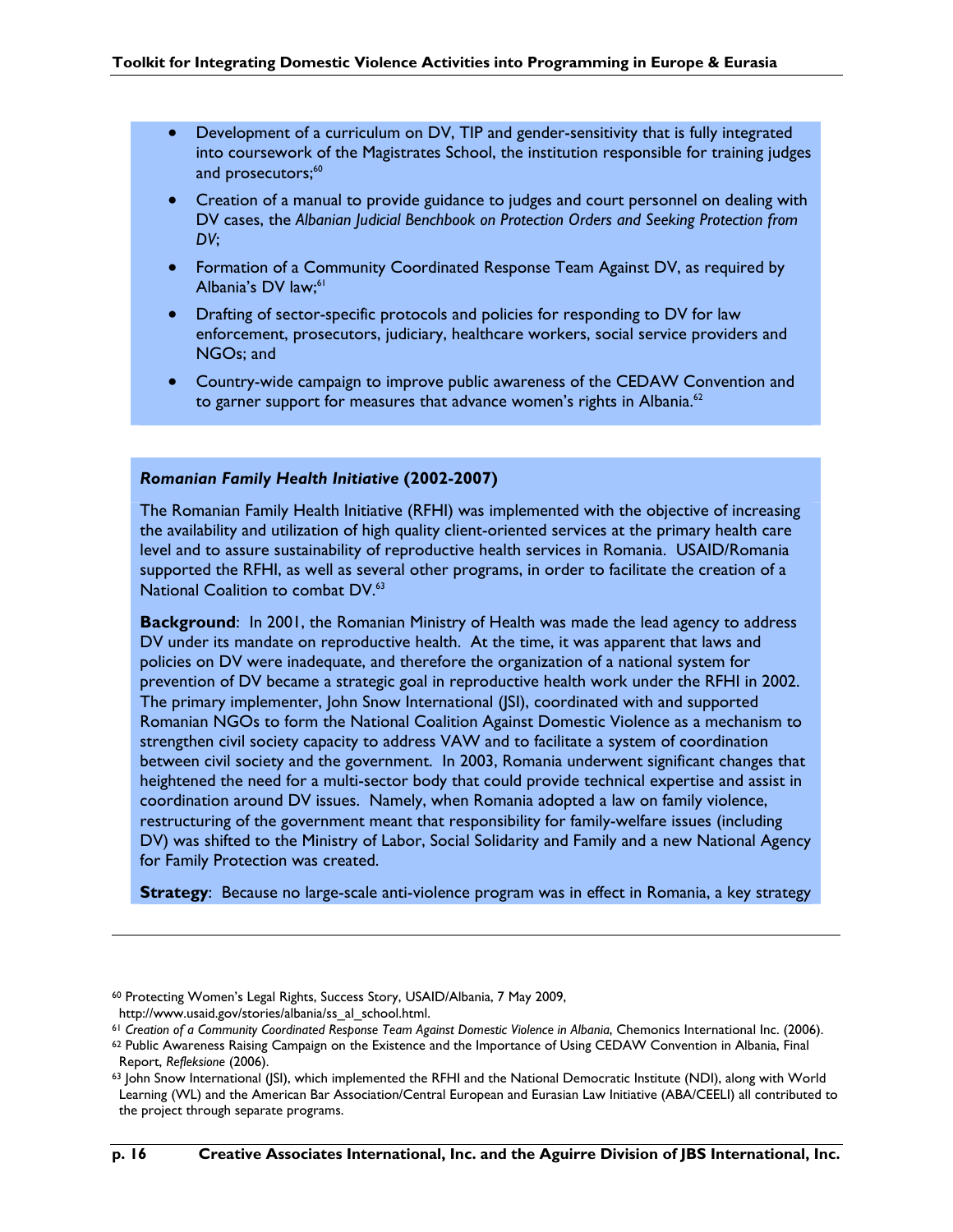- Development of a curriculum on DV, TIP and gender-sensitivity that is fully integrated into coursework of the Magistrates School, the institution responsible for training judges and prosecutors;<sup>60</sup>
- Creation of a manual to provide guidance to judges and court personnel on dealing with DV cases, the *Albanian Judicial Benchbook on Protection Orders and Seeking Protection from DV*;
- Formation of a Community Coordinated Response Team Against DV, as required by Albania's DV law;<sup>61</sup>
- Drafting of sector-specific protocols and policies for responding to DV for law enforcement, prosecutors, judiciary, healthcare workers, social service providers and NGOs; and
- Country-wide campaign to improve public awareness of the CEDAW Convention and to garner support for measures that advance women's rights in Albania. $62$

### *Romanian Family Health Initiative* **(2002-2007)**

The Romanian Family Health Initiative (RFHI) was implemented with the objective of increasing the availability and utilization of high quality client-oriented services at the primary health care level and to assure sustainability of reproductive health services in Romania. USAID/Romania supported the RFHI, as well as several other programs, in order to facilitate the creation of a National Coalition to combat DV.<sup>63</sup>

**Background**: In 2001, the Romanian Ministry of Health was made the lead agency to address DV under its mandate on reproductive health. At the time, it was apparent that laws and policies on DV were inadequate, and therefore the organization of a national system for prevention of DV became a strategic goal in reproductive health work under the RFHI in 2002. The primary implementer, John Snow International (JSI), coordinated with and supported Romanian NGOs to form the National Coalition Against Domestic Violence as a mechanism to strengthen civil society capacity to address VAW and to facilitate a system of coordination between civil society and the government. In 2003, Romania underwent significant changes that heightened the need for a multi-sector body that could provide technical expertise and assist in coordination around DV issues. Namely, when Romania adopted a law on family violence, restructuring of the government meant that responsibility for family-welfare issues (including DV) was shifted to the Ministry of Labor, Social Solidarity and Family and a new National Agency for Family Protection was created.

**Strategy**: Because no large-scale anti-violence program was in effect in Romania, a key strategy

<sup>60</sup> Protecting Women's Legal Rights, Success Story, USAID/Albania, 7 May 2009, http://www.usaid.gov/stories/albania/ss\_al\_school.html.

<sup>61</sup> *Creation of a Community Coordinated Response Team Against Domestic Violence in Albania*, Chemonics International Inc. (2006).

<sup>62</sup> Public Awareness Raising Campaign on the Existence and the Importance of Using CEDAW Convention in Albania, Final Report, *Refleksione* (2006).

<sup>63</sup> John Snow International (JSI), which implemented the RFHI and the National Democratic Institute (NDI), along with World Learning (WL) and the American Bar Association/Central European and Eurasian Law Initiative (ABA/CEELI) all contributed to the project through separate programs.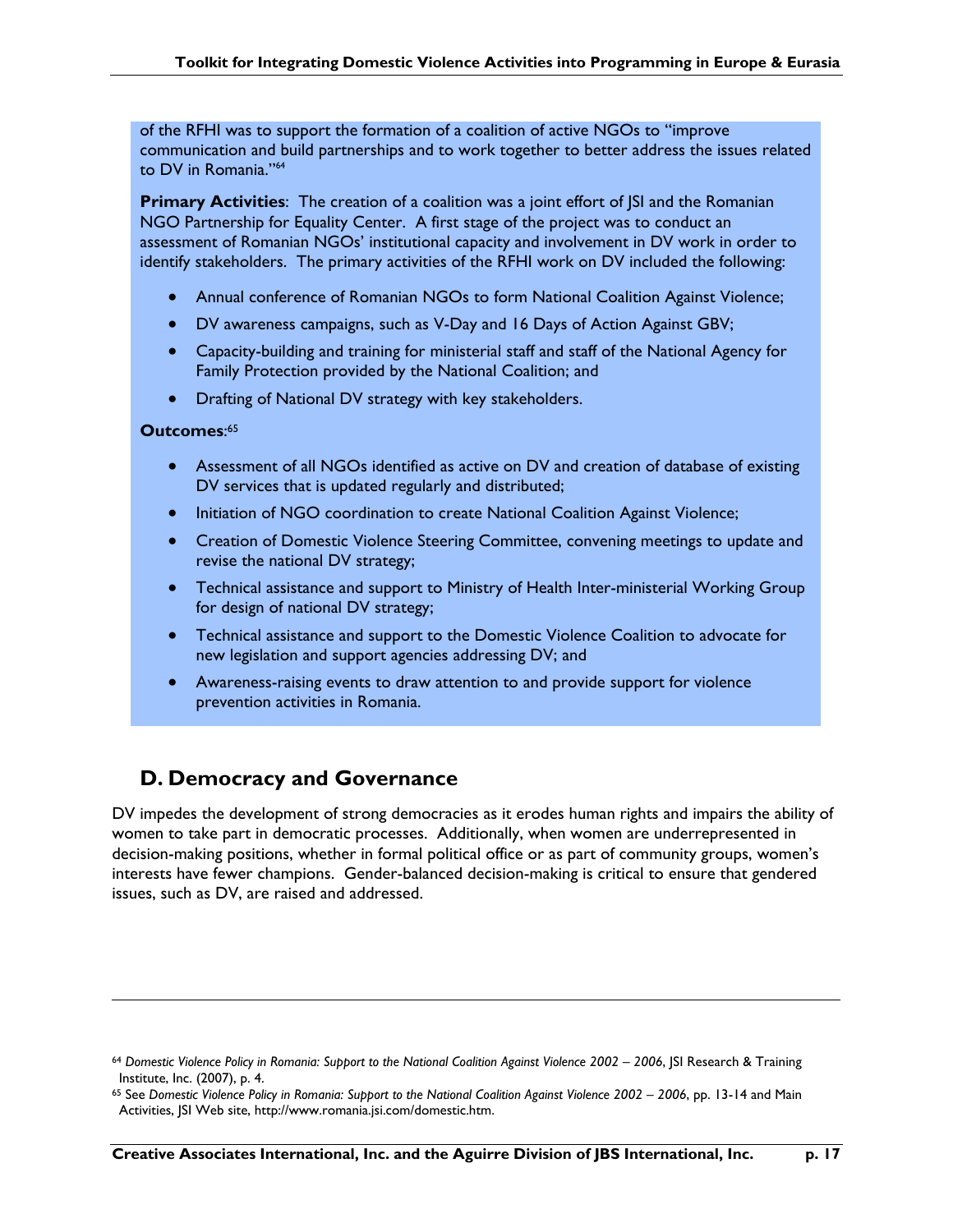of the RFHI was to support the formation of a coalition of active NGOs to "improve communication and build partnerships and to work together to better address the issues related to DV in Romania."64

**Primary Activities:** The creation of a coalition was a joint effort of SI and the Romanian NGO Partnership for Equality Center. A first stage of the project was to conduct an assessment of Romanian NGOs' institutional capacity and involvement in DV work in order to identify stakeholders. The primary activities of the RFHI work on DV included the following:

- Annual conference of Romanian NGOs to form National Coalition Against Violence;
- DV awareness campaigns, such as V-Day and 16 Days of Action Against GBV;
- Capacity-building and training for ministerial staff and staff of the National Agency for Family Protection provided by the National Coalition; and
- Drafting of National DV strategy with key stakeholders.

### **Outcomes**: 65

 $\overline{a}$ 

- Assessment of all NGOs identified as active on DV and creation of database of existing DV services that is updated regularly and distributed;
- Initiation of NGO coordination to create National Coalition Against Violence;
- Creation of Domestic Violence Steering Committee, convening meetings to update and revise the national DV strategy;
- Technical assistance and support to Ministry of Health Inter-ministerial Working Group for design of national DV strategy;
- Technical assistance and support to the Domestic Violence Coalition to advocate for new legislation and support agencies addressing DV; and
- Awareness-raising events to draw attention to and provide support for violence prevention activities in Romania.

### **D. Democracy and Governance**

DV impedes the development of strong democracies as it erodes human rights and impairs the ability of women to take part in democratic processes. Additionally, when women are underrepresented in decision-making positions, whether in formal political office or as part of community groups, women's interests have fewer champions. Gender-balanced decision-making is critical to ensure that gendered issues, such as DV, are raised and addressed.

<sup>64</sup> *Domestic Violence Policy in Romania: Support to the National Coalition Against Violence 2002 – 2006*, JSI Research & Training Institute, Inc. (2007), p. 4.

<sup>65</sup> See *Domestic Violence Policy in Romania: Support to the National Coalition Against Violence 2002 – 2006*, pp. 13-14 and Main Activities, JSI Web site, http://www.romania.jsi.com/domestic.htm.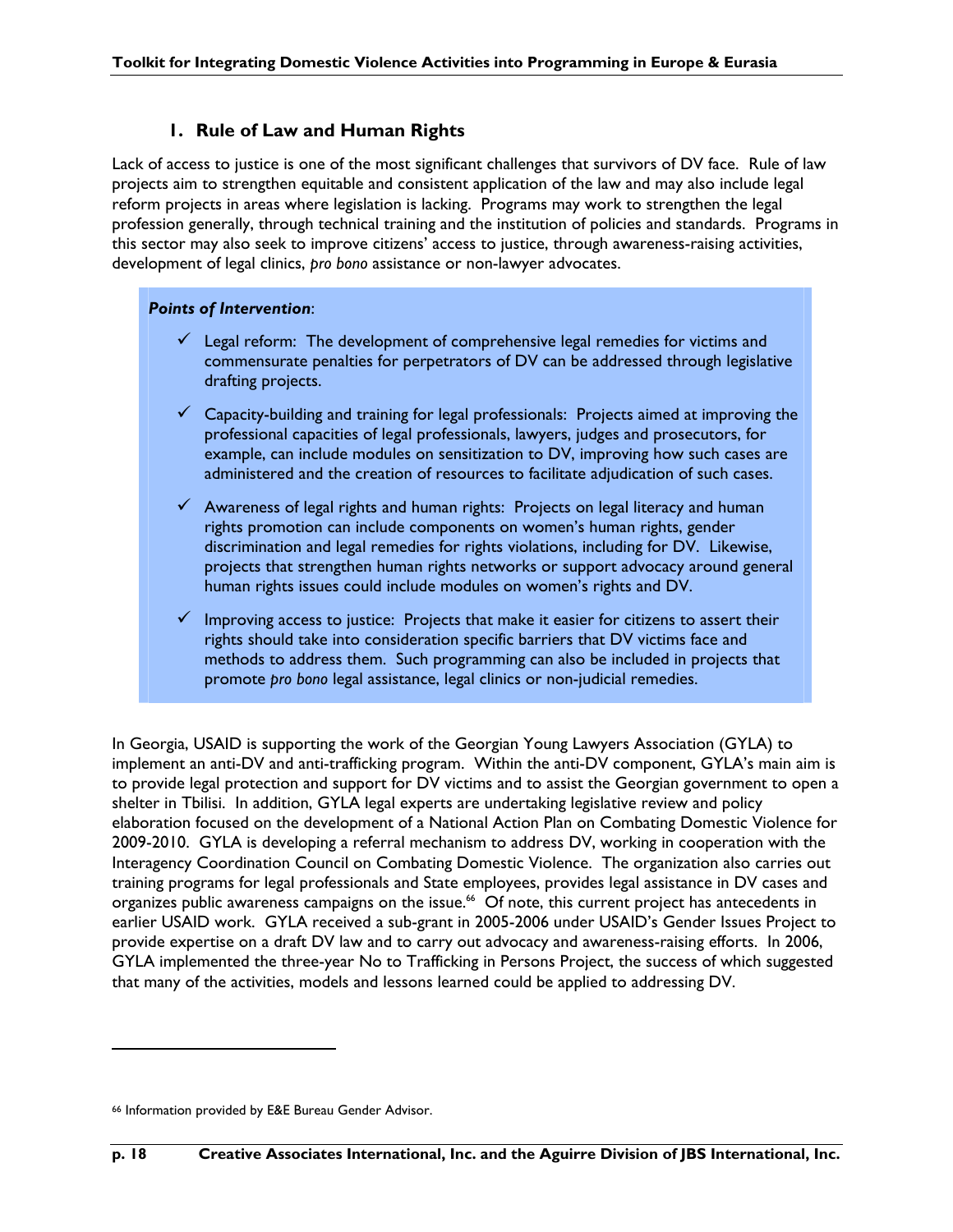### **1. Rule of Law and Human Rights**

Lack of access to justice is one of the most significant challenges that survivors of DV face. Rule of law projects aim to strengthen equitable and consistent application of the law and may also include legal reform projects in areas where legislation is lacking. Programs may work to strengthen the legal profession generally, through technical training and the institution of policies and standards. Programs in this sector may also seek to improve citizens' access to justice, through awareness-raising activities, development of legal clinics, *pro bono* assistance or non-lawyer advocates.

### *Points of Intervention*:

- $\checkmark$  Legal reform: The development of comprehensive legal remedies for victims and commensurate penalties for perpetrators of DV can be addressed through legislative drafting projects.
- $\checkmark$  Capacity-building and training for legal professionals: Projects aimed at improving the professional capacities of legal professionals, lawyers, judges and prosecutors, for example, can include modules on sensitization to DV, improving how such cases are administered and the creation of resources to facilitate adjudication of such cases.
- $\checkmark$  Awareness of legal rights and human rights: Projects on legal literacy and human rights promotion can include components on women's human rights, gender discrimination and legal remedies for rights violations, including for DV. Likewise, projects that strengthen human rights networks or support advocacy around general human rights issues could include modules on women's rights and DV.
- $\checkmark$  Improving access to justice: Projects that make it easier for citizens to assert their rights should take into consideration specific barriers that DV victims face and methods to address them. Such programming can also be included in projects that promote *pro bono* legal assistance, legal clinics or non-judicial remedies.

In Georgia, USAID is supporting the work of the Georgian Young Lawyers Association (GYLA) to implement an anti-DV and anti-trafficking program. Within the anti-DV component, GYLA's main aim is to provide legal protection and support for DV victims and to assist the Georgian government to open a shelter in Tbilisi. In addition, GYLA legal experts are undertaking legislative review and policy elaboration focused on the development of a National Action Plan on Combating Domestic Violence for 2009-2010. GYLA is developing a referral mechanism to address DV, working in cooperation with the Interagency Coordination Council on Combating Domestic Violence. The organization also carries out training programs for legal professionals and State employees, provides legal assistance in DV cases and organizes public awareness campaigns on the issue.<sup>66</sup> Of note, this current project has antecedents in earlier USAID work. GYLA received a sub-grant in 2005-2006 under USAID's Gender Issues Project to provide expertise on a draft DV law and to carry out advocacy and awareness-raising efforts. In 2006, GYLA implemented the three-year No to Trafficking in Persons Project, the success of which suggested that many of the activities, models and lessons learned could be applied to addressing DV.

<sup>66</sup> Information provided by E&E Bureau Gender Advisor.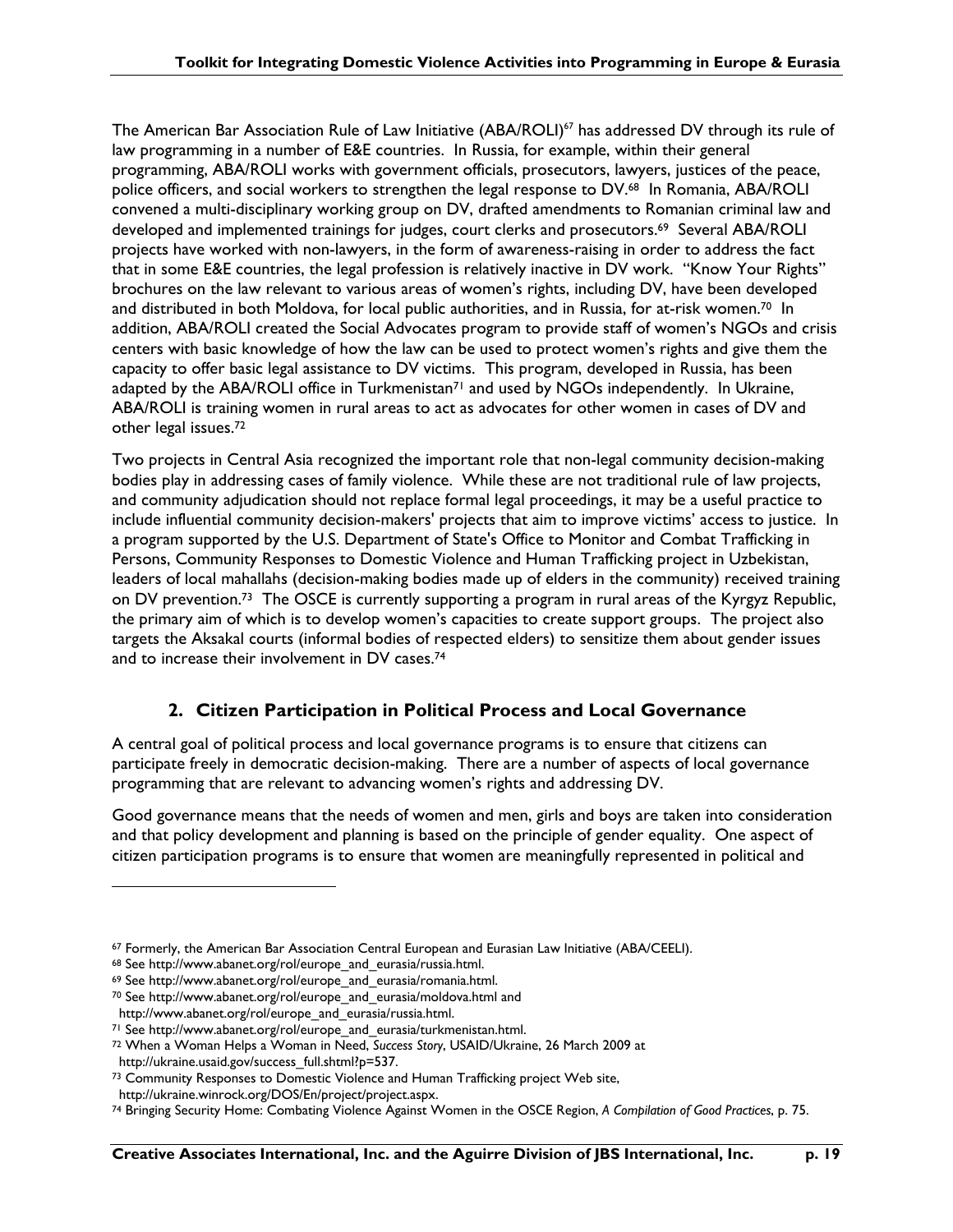The American Bar Association Rule of Law Initiative (ABA/ROLI)<sup>67</sup> has addressed DV through its rule of law programming in a number of E&E countries. In Russia, for example, within their general programming, ABA/ROLI works with government officials, prosecutors, lawyers, justices of the peace, police officers, and social workers to strengthen the legal response to DV.68 In Romania, ABA/ROLI convened a multi-disciplinary working group on DV, drafted amendments to Romanian criminal law and developed and implemented trainings for judges, court clerks and prosecutors.69 Several ABA/ROLI projects have worked with non-lawyers, in the form of awareness-raising in order to address the fact that in some E&E countries, the legal profession is relatively inactive in DV work. "Know Your Rights" brochures on the law relevant to various areas of women's rights, including DV, have been developed and distributed in both Moldova, for local public authorities, and in Russia, for at-risk women.<sup>70</sup> In addition, ABA/ROLI created the Social Advocates program to provide staff of women's NGOs and crisis centers with basic knowledge of how the law can be used to protect women's rights and give them the capacity to offer basic legal assistance to DV victims. This program, developed in Russia, has been adapted by the ABA/ROLI office in Turkmenistan<sup>71</sup> and used by NGOs independently. In Ukraine, ABA/ROLI is training women in rural areas to act as advocates for other women in cases of DV and other legal issues.72

Two projects in Central Asia recognized the important role that non-legal community decision-making bodies play in addressing cases of family violence. While these are not traditional rule of law projects, and community adjudication should not replace formal legal proceedings, it may be a useful practice to include influential community decision-makers' projects that aim to improve victims' access to justice. In a program supported by the U.S. Department of State's Office to Monitor and Combat Trafficking in Persons, Community Responses to Domestic Violence and Human Trafficking project in Uzbekistan, leaders of local mahallahs (decision-making bodies made up of elders in the community) received training on DV prevention.73 The OSCE is currently supporting a program in rural areas of the Kyrgyz Republic, the primary aim of which is to develop women's capacities to create support groups. The project also targets the Aksakal courts (informal bodies of respected elders) to sensitize them about gender issues and to increase their involvement in DV cases.74

### **2. Citizen Participation in Political Process and Local Governance**

A central goal of political process and local governance programs is to ensure that citizens can participate freely in democratic decision-making. There are a number of aspects of local governance programming that are relevant to advancing women's rights and addressing DV.

Good governance means that the needs of women and men, girls and boys are taken into consideration and that policy development and planning is based on the principle of gender equality. One aspect of citizen participation programs is to ensure that women are meaningfully represented in political and

<sup>67</sup> Formerly, the American Bar Association Central European and Eurasian Law Initiative (ABA/CEELI).

<sup>68</sup> See http://www.abanet.org/rol/europe\_and\_eurasia/russia.html.

<sup>69</sup> See http://www.abanet.org/rol/europe\_and\_eurasia/romania.html.

<sup>70</sup> See http://www.abanet.org/rol/europe\_and\_eurasia/moldova.html and http://www.abanet.org/rol/europe\_and\_eurasia/russia.html.

<sup>&</sup>lt;sup>71</sup> See http://www.abanet.org/rol/europe\_and\_eurasia/turkmenistan.html.

<sup>72</sup> When a Woman Helps a Woman in Need, *Success Story*, USAID/Ukraine, 26 March 2009 at

http://ukraine.usaid.gov/success\_full.shtml?p=537.

<sup>73</sup> Community Responses to Domestic Violence and Human Trafficking project Web site,

http://ukraine.winrock.org/DOS/En/project/project.aspx.

<sup>74</sup> Bringing Security Home: Combating Violence Against Women in the OSCE Region, *A Compilation of Good Practices*, p. 75.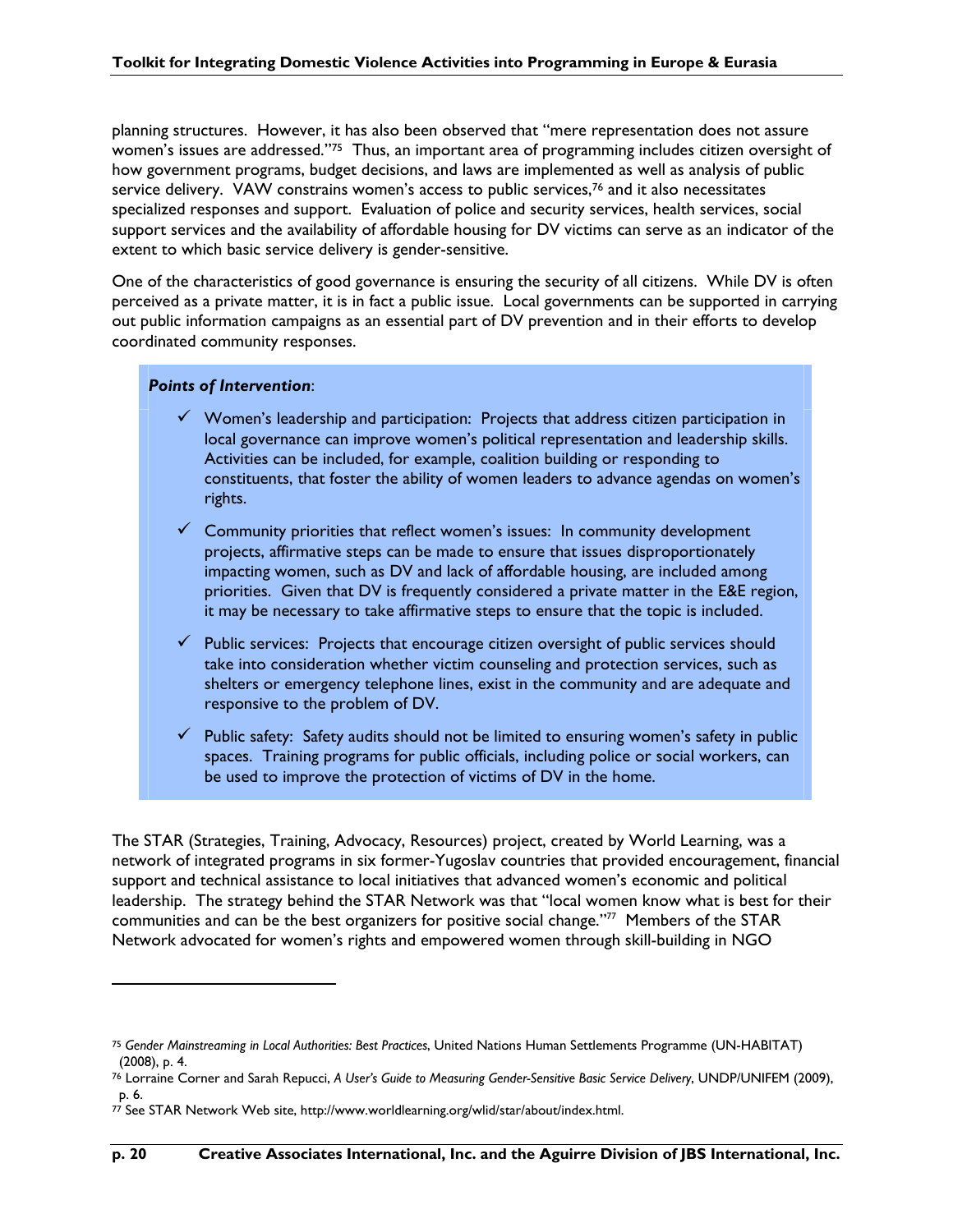planning structures. However, it has also been observed that "mere representation does not assure women's issues are addressed."<sup>75</sup> Thus, an important area of programming includes citizen oversight of how government programs, budget decisions, and laws are implemented as well as analysis of public service delivery. VAW constrains women's access to public services,<sup>76</sup> and it also necessitates specialized responses and support. Evaluation of police and security services, health services, social support services and the availability of affordable housing for DV victims can serve as an indicator of the extent to which basic service delivery is gender-sensitive.

One of the characteristics of good governance is ensuring the security of all citizens. While DV is often perceived as a private matter, it is in fact a public issue. Local governments can be supported in carrying out public information campaigns as an essential part of DV prevention and in their efforts to develop coordinated community responses.

#### *Points of Intervention*:

- $\checkmark$  Women's leadership and participation: Projects that address citizen participation in local governance can improve women's political representation and leadership skills. Activities can be included, for example, coalition building or responding to constituents, that foster the ability of women leaders to advance agendas on women's rights.
- $\checkmark$  Community priorities that reflect women's issues: In community development projects, affirmative steps can be made to ensure that issues disproportionately impacting women, such as DV and lack of affordable housing, are included among priorities. Given that DV is frequently considered a private matter in the E&E region, it may be necessary to take affirmative steps to ensure that the topic is included.
- $\checkmark$  Public services: Projects that encourage citizen oversight of public services should take into consideration whether victim counseling and protection services, such as shelters or emergency telephone lines, exist in the community and are adequate and responsive to the problem of DV.
- $\checkmark$  Public safety: Safety audits should not be limited to ensuring women's safety in public spaces. Training programs for public officials, including police or social workers, can be used to improve the protection of victims of DV in the home.

The STAR (Strategies, Training, Advocacy, Resources) project, created by World Learning, was a network of integrated programs in six former-Yugoslav countries that provided encouragement, financial support and technical assistance to local initiatives that advanced women's economic and political leadership. The strategy behind the STAR Network was that "local women know what is best for their communities and can be the best organizers for positive social change."77 Members of the STAR Network advocated for women's rights and empowered women through skill-building in NGO

<sup>75</sup> *Gender Mainstreaming in Local Authorities: Best Practices*, United Nations Human Settlements Programme (UN-HABITAT) (2008), p. 4.

<sup>76</sup> Lorraine Corner and Sarah Repucci, *A User's Guide to Measuring Gender-Sensitive Basic Service Delivery*, UNDP/UNIFEM (2009), p. 6.

 $77$  See STAR Network Web site, http://www.worldlearning.org/wlid/star/about/index.html.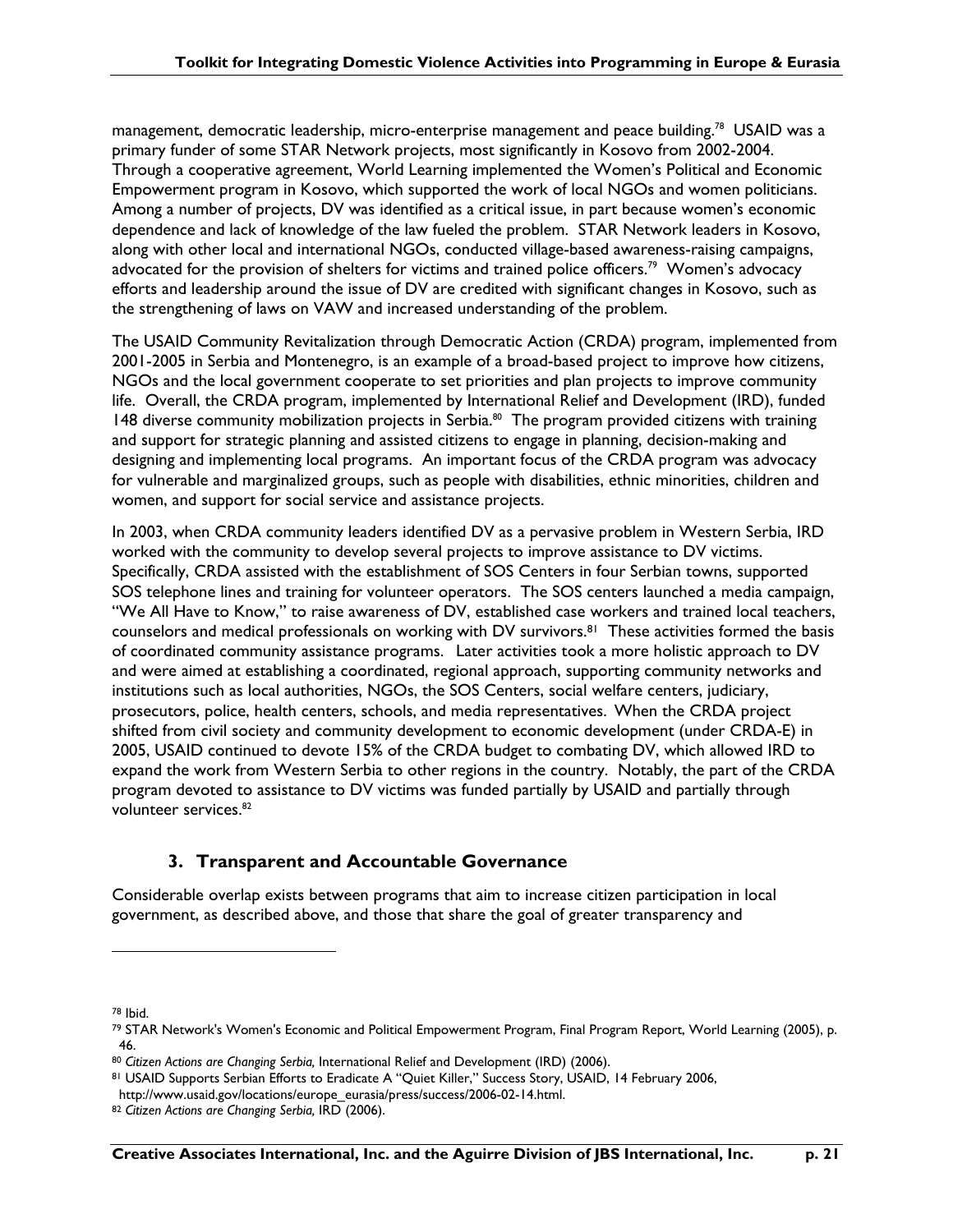management, democratic leadership, micro-enterprise management and peace building.<sup>78</sup> USAID was a primary funder of some STAR Network projects, most significantly in Kosovo from 2002-2004. Through a cooperative agreement, World Learning implemented the Women's Political and Economic Empowerment program in Kosovo, which supported the work of local NGOs and women politicians. Among a number of projects, DV was identified as a critical issue, in part because women's economic dependence and lack of knowledge of the law fueled the problem. STAR Network leaders in Kosovo, along with other local and international NGOs, conducted village-based awareness-raising campaigns, advocated for the provision of shelters for victims and trained police officers.<sup>79</sup> Women's advocacy efforts and leadership around the issue of DV are credited with significant changes in Kosovo, such as the strengthening of laws on VAW and increased understanding of the problem.

The USAID Community Revitalization through Democratic Action (CRDA) program, implemented from 2001-2005 in Serbia and Montenegro, is an example of a broad-based project to improve how citizens, NGOs and the local government cooperate to set priorities and plan projects to improve community life. Overall, the CRDA program, implemented by International Relief and Development (IRD), funded 148 diverse community mobilization projects in Serbia.<sup>80</sup> The program provided citizens with training and support for strategic planning and assisted citizens to engage in planning, decision-making and designing and implementing local programs. An important focus of the CRDA program was advocacy for vulnerable and marginalized groups, such as people with disabilities, ethnic minorities, children and women, and support for social service and assistance projects.

In 2003, when CRDA community leaders identified DV as a pervasive problem in Western Serbia, IRD worked with the community to develop several projects to improve assistance to DV victims. Specifically, CRDA assisted with the establishment of SOS Centers in four Serbian towns, supported SOS telephone lines and training for volunteer operators. The SOS centers launched a media campaign, "We All Have to Know," to raise awareness of DV, established case workers and trained local teachers, counselors and medical professionals on working with DV survivors.81 These activities formed the basis of coordinated community assistance programs. Later activities took a more holistic approach to DV and were aimed at establishing a coordinated, regional approach, supporting community networks and institutions such as local authorities, NGOs, the SOS Centers, social welfare centers, judiciary, prosecutors, police, health centers, schools, and media representatives. When the CRDA project shifted from civil society and community development to economic development (under CRDA-E) in 2005, USAID continued to devote 15% of the CRDA budget to combating DV, which allowed IRD to expand the work from Western Serbia to other regions in the country. Notably, the part of the CRDA program devoted to assistance to DV victims was funded partially by USAID and partially through volunteer services.<sup>82</sup>

### **3. Transparent and Accountable Governance**

Considerable overlap exists between programs that aim to increase citizen participation in local government, as described above, and those that share the goal of greater transparency and

78 Ibid.

<sup>79</sup> STAR Network's Women's Economic and Political Empowerment Program, Final Program Report, World Learning (2005), p. 46.

<sup>80</sup> *Citizen Actions are Changing Serbia,* International Relief and Development (IRD) (2006).

<sup>81</sup> USAID Supports Serbian Efforts to Eradicate A "Quiet Killer," Success Story, USAID, 14 February 2006, http://www.usaid.gov/locations/europe\_eurasia/press/success/2006-02-14.html.

<sup>82</sup> *Citizen Actions are Changing Serbia,* IRD (2006).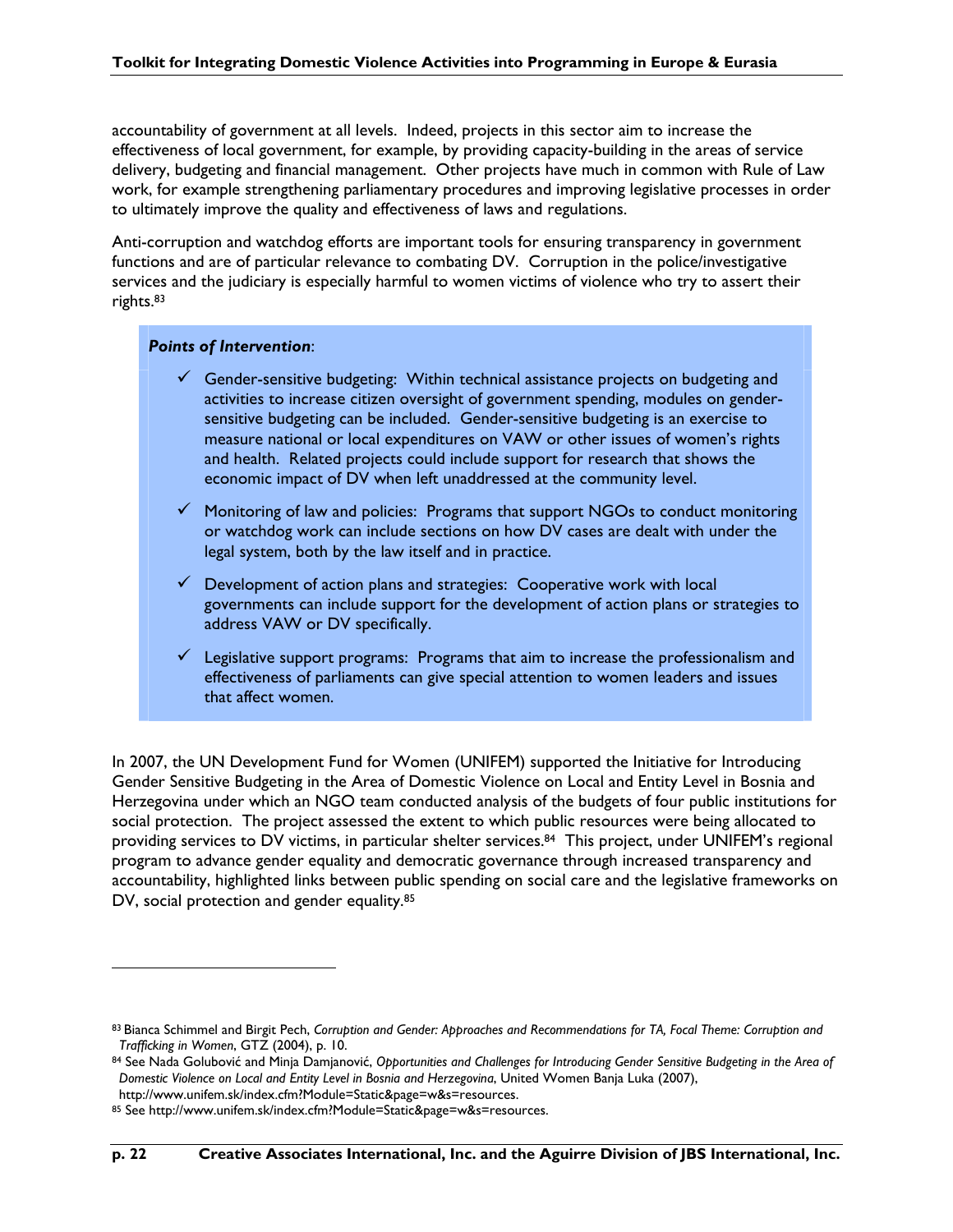accountability of government at all levels. Indeed, projects in this sector aim to increase the effectiveness of local government, for example, by providing capacity-building in the areas of service delivery, budgeting and financial management. Other projects have much in common with Rule of Law work, for example strengthening parliamentary procedures and improving legislative processes in order to ultimately improve the quality and effectiveness of laws and regulations.

Anti-corruption and watchdog efforts are important tools for ensuring transparency in government functions and are of particular relevance to combating DV. Corruption in the police/investigative services and the judiciary is especially harmful to women victims of violence who try to assert their rights.83

#### *Points of Intervention*:

- $\checkmark$  Gender-sensitive budgeting: Within technical assistance projects on budgeting and activities to increase citizen oversight of government spending, modules on gendersensitive budgeting can be included. Gender-sensitive budgeting is an exercise to measure national or local expenditures on VAW or other issues of women's rights and health. Related projects could include support for research that shows the economic impact of DV when left unaddressed at the community level.
- $\checkmark$  Monitoring of law and policies: Programs that support NGOs to conduct monitoring or watchdog work can include sections on how DV cases are dealt with under the legal system, both by the law itself and in practice.
- $\checkmark$  Development of action plans and strategies: Cooperative work with local governments can include support for the development of action plans or strategies to address VAW or DV specifically.
- $\checkmark$  Legislative support programs: Programs that aim to increase the professionalism and effectiveness of parliaments can give special attention to women leaders and issues that affect women.

In 2007, the UN Development Fund for Women (UNIFEM) supported the Initiative for Introducing Gender Sensitive Budgeting in the Area of Domestic Violence on Local and Entity Level in Bosnia and Herzegovina under which an NGO team conducted analysis of the budgets of four public institutions for social protection. The project assessed the extent to which public resources were being allocated to providing services to DV victims, in particular shelter services.<sup>84</sup> This project, under UNIFEM's regional program to advance gender equality and democratic governance through increased transparency and accountability, highlighted links between public spending on social care and the legislative frameworks on DV, social protection and gender equality.<sup>85</sup>

<sup>83</sup> Bianca Schimmel and Birgit Pech, *Corruption and Gender: Approaches and Recommendations for TA, Focal Theme: Corruption and Trafficking in Women*, GTZ (2004), p. 10.

<sup>84</sup> See Nada Golubović and Minja Damjanović, *Opportunities and Challenges for Introducing Gender Sensitive Budgeting in the Area of Domestic Violence on Local and Entity Level in Bosnia and Herzegovina*, United Women Banja Luka (2007),

http://www.unifem.sk/index.cfm?Module=Static&page=w&s=resources.

<sup>85</sup> See http://www.unifem.sk/index.cfm?Module=Static&page=w&s=resources.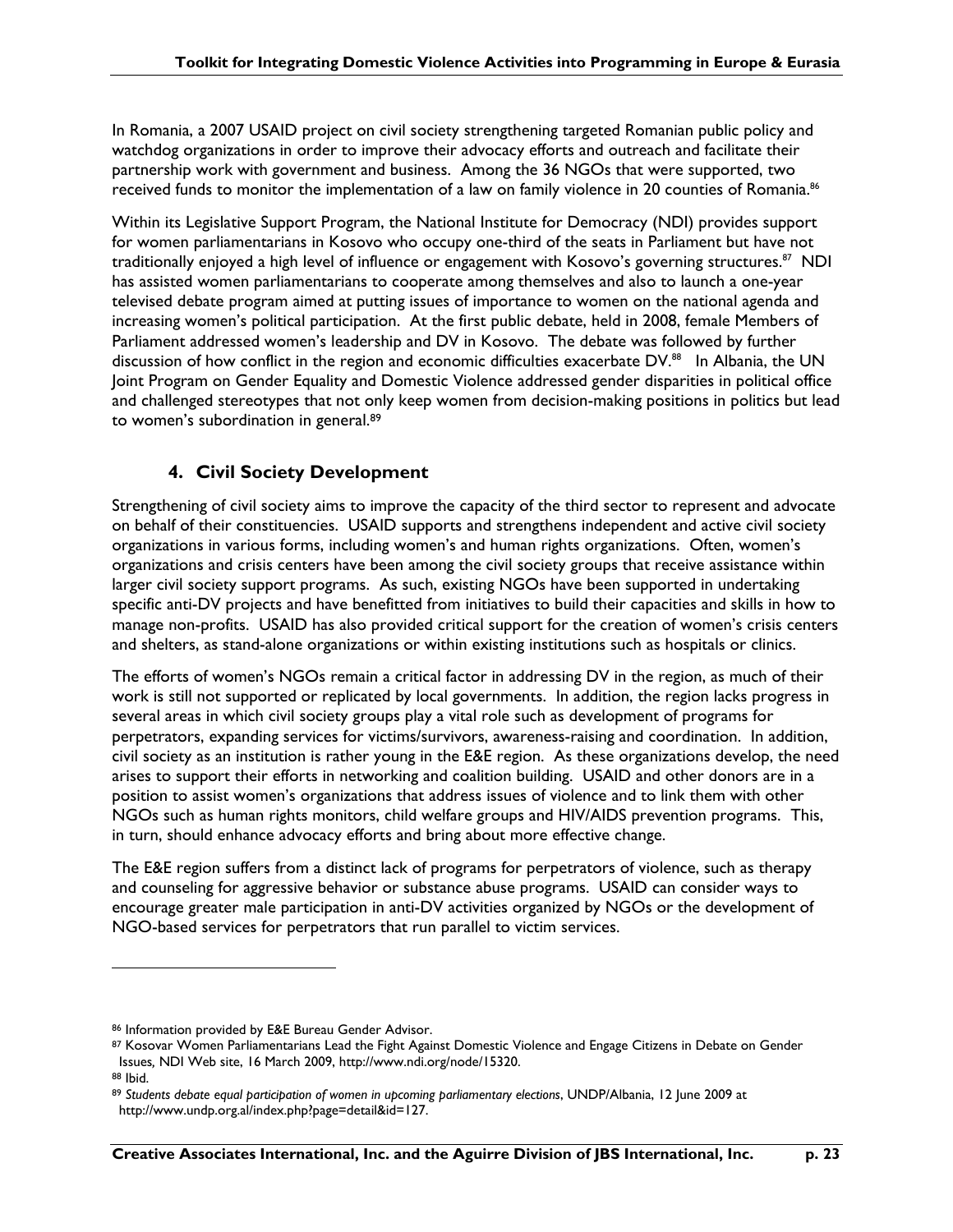In Romania, a 2007 USAID project on civil society strengthening targeted Romanian public policy and watchdog organizations in order to improve their advocacy efforts and outreach and facilitate their partnership work with government and business. Among the 36 NGOs that were supported, two received funds to monitor the implementation of a law on family violence in 20 counties of Romania.<sup>86</sup>

Within its Legislative Support Program, the National Institute for Democracy (NDI) provides support for women parliamentarians in Kosovo who occupy one-third of the seats in Parliament but have not traditionally enjoyed a high level of influence or engagement with Kosovo's governing structures.<sup>87</sup> NDI has assisted women parliamentarians to cooperate among themselves and also to launch a one-year televised debate program aimed at putting issues of importance to women on the national agenda and increasing women's political participation. At the first public debate, held in 2008, female Members of Parliament addressed women's leadership and DV in Kosovo. The debate was followed by further discussion of how conflict in the region and economic difficulties exacerbate DV.<sup>88</sup> In Albania, the UN Joint Program on Gender Equality and Domestic Violence addressed gender disparities in political office and challenged stereotypes that not only keep women from decision-making positions in politics but lead to women's subordination in general.89

### **4. Civil Society Development**

Strengthening of civil society aims to improve the capacity of the third sector to represent and advocate on behalf of their constituencies. USAID supports and strengthens independent and active civil society organizations in various forms, including women's and human rights organizations. Often, women's organizations and crisis centers have been among the civil society groups that receive assistance within larger civil society support programs. As such, existing NGOs have been supported in undertaking specific anti-DV projects and have benefitted from initiatives to build their capacities and skills in how to manage non-profits. USAID has also provided critical support for the creation of women's crisis centers and shelters, as stand-alone organizations or within existing institutions such as hospitals or clinics.

The efforts of women's NGOs remain a critical factor in addressing DV in the region, as much of their work is still not supported or replicated by local governments. In addition, the region lacks progress in several areas in which civil society groups play a vital role such as development of programs for perpetrators, expanding services for victims/survivors, awareness-raising and coordination. In addition, civil society as an institution is rather young in the E&E region. As these organizations develop, the need arises to support their efforts in networking and coalition building. USAID and other donors are in a position to assist women's organizations that address issues of violence and to link them with other NGOs such as human rights monitors, child welfare groups and HIV/AIDS prevention programs. This, in turn, should enhance advocacy efforts and bring about more effective change.

The E&E region suffers from a distinct lack of programs for perpetrators of violence, such as therapy and counseling for aggressive behavior or substance abuse programs. USAID can consider ways to encourage greater male participation in anti-DV activities organized by NGOs or the development of NGO-based services for perpetrators that run parallel to victim services.

<sup>86</sup> Information provided by E&E Bureau Gender Advisor.

<sup>87</sup> Kosovar Women Parliamentarians Lead the Fight Against Domestic Violence and Engage Citizens in Debate on Gender Issues*,* NDI Web site, 16 March 2009, http://www.ndi.org/node/15320.

<sup>88</sup> Ibid.

<sup>89</sup> *Students debate equal participation of women in upcoming parliamentary elections*, UNDP/Albania, 12 June 2009 at http://www.undp.org.al/index.php?page=detail&id=127.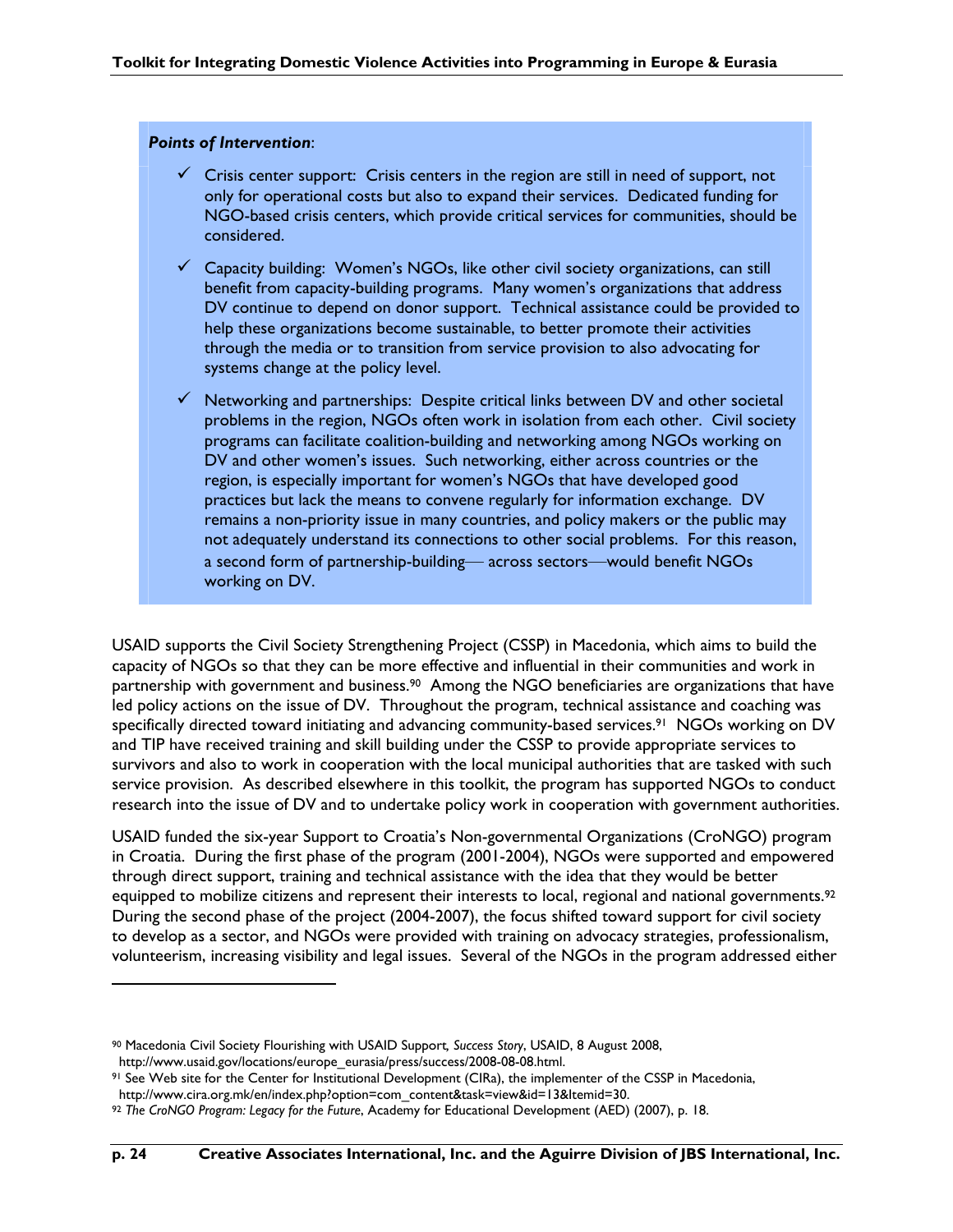#### *Points of Intervention*:

 $\overline{a}$ 

- $\checkmark$  Crisis center support: Crisis centers in the region are still in need of support, not only for operational costs but also to expand their services. Dedicated funding for NGO-based crisis centers, which provide critical services for communities, should be considered.
- $\checkmark$  Capacity building: Women's NGOs, like other civil society organizations, can still benefit from capacity-building programs. Many women's organizations that address DV continue to depend on donor support. Technical assistance could be provided to help these organizations become sustainable, to better promote their activities through the media or to transition from service provision to also advocating for systems change at the policy level.
- $\checkmark$  Networking and partnerships: Despite critical links between DV and other societal problems in the region, NGOs often work in isolation from each other. Civil society programs can facilitate coalition-building and networking among NGOs working on DV and other women's issues. Such networking, either across countries or the region, is especially important for women's NGOs that have developed good practices but lack the means to convene regularly for information exchange. DV remains a non-priority issue in many countries, and policy makers or the public may not adequately understand its connections to other social problems. For this reason, a second form of partnership-building— across sectors—would benefit NGOs working on DV.

USAID supports the Civil Society Strengthening Project (CSSP) in Macedonia, which aims to build the capacity of NGOs so that they can be more effective and influential in their communities and work in partnership with government and business.<sup>90</sup> Among the NGO beneficiaries are organizations that have led policy actions on the issue of DV. Throughout the program, technical assistance and coaching was specifically directed toward initiating and advancing community-based services.91 NGOs working on DV and TIP have received training and skill building under the CSSP to provide appropriate services to survivors and also to work in cooperation with the local municipal authorities that are tasked with such service provision. As described elsewhere in this toolkit, the program has supported NGOs to conduct research into the issue of DV and to undertake policy work in cooperation with government authorities.

USAID funded the six-year Support to Croatia's Non-governmental Organizations (CroNGO) program in Croatia. During the first phase of the program (2001-2004), NGOs were supported and empowered through direct support, training and technical assistance with the idea that they would be better equipped to mobilize citizens and represent their interests to local, regional and national governments.<sup>92</sup> During the second phase of the project (2004-2007), the focus shifted toward support for civil society to develop as a sector, and NGOs were provided with training on advocacy strategies, professionalism, volunteerism, increasing visibility and legal issues. Several of the NGOs in the program addressed either

<sup>90</sup> Macedonia Civil Society Flourishing with USAID Support*, Success Story*, USAID, 8 August 2008, http://www.usaid.gov/locations/europe\_eurasia/press/success/2008-08-08.html.

<sup>91</sup> See Web site for the Center for Institutional Development (CIRa), the implementer of the CSSP in Macedonia,

http://www.cira.org.mk/en/index.php?option=com\_content&task=view&id=13&Itemid=30.

<sup>92</sup> *The CroNGO Program: Legacy for the Future*, Academy for Educational Development (AED) (2007), p. 18.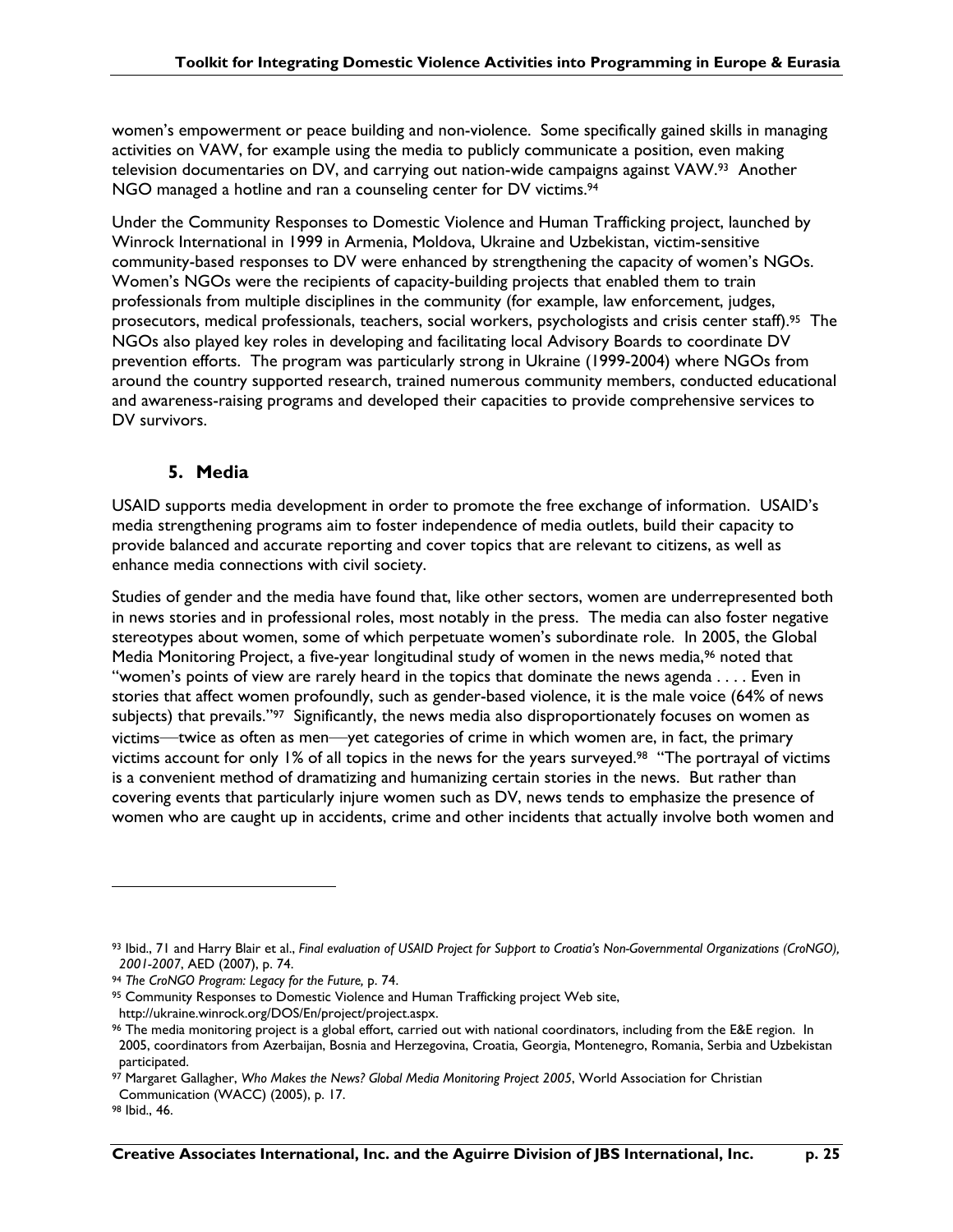women's empowerment or peace building and non-violence. Some specifically gained skills in managing activities on VAW, for example using the media to publicly communicate a position, even making television documentaries on DV, and carrying out nation-wide campaigns against VAW.93 Another NGO managed a hotline and ran a counseling center for DV victims.<sup>94</sup>

Under the Community Responses to Domestic Violence and Human Trafficking project, launched by Winrock International in 1999 in Armenia, Moldova, Ukraine and Uzbekistan, victim-sensitive community-based responses to DV were enhanced by strengthening the capacity of women's NGOs. Women's NGOs were the recipients of capacity-building projects that enabled them to train professionals from multiple disciplines in the community (for example, law enforcement, judges, prosecutors, medical professionals, teachers, social workers, psychologists and crisis center staff).95 The NGOs also played key roles in developing and facilitating local Advisory Boards to coordinate DV prevention efforts. The program was particularly strong in Ukraine (1999-2004) where NGOs from around the country supported research, trained numerous community members, conducted educational and awareness-raising programs and developed their capacities to provide comprehensive services to DV survivors.

### **5. Media**

USAID supports media development in order to promote the free exchange of information. USAID's media strengthening programs aim to foster independence of media outlets, build their capacity to provide balanced and accurate reporting and cover topics that are relevant to citizens, as well as enhance media connections with civil society.

Studies of gender and the media have found that, like other sectors, women are underrepresented both in news stories and in professional roles, most notably in the press. The media can also foster negative stereotypes about women, some of which perpetuate women's subordinate role. In 2005, the Global Media Monitoring Project, a five-year longitudinal study of women in the news media,<sup>96</sup> noted that "women's points of view are rarely heard in the topics that dominate the news agenda . . . . Even in stories that affect women profoundly, such as gender-based violence, it is the male voice (64% of news subjects) that prevails."<sup>97</sup> Significantly, the news media also disproportionately focuses on women as victims—twice as often as men—yet categories of crime in which women are, in fact, the primary victims account for only 1% of all topics in the news for the years surveyed.98 "The portrayal of victims is a convenient method of dramatizing and humanizing certain stories in the news. But rather than covering events that particularly injure women such as DV, news tends to emphasize the presence of women who are caught up in accidents, crime and other incidents that actually involve both women and

<sup>93</sup> Ibid., 71 and Harry Blair et al., *Final evaluation of USAID Project for Support to Croatia's Non-Governmental Organizations (CroNGO), 2001-2007*, AED (2007), p. 74.

<sup>94</sup> *The CroNGO Program: Legacy for the Future,* p. 74.

<sup>95</sup> Community Responses to Domestic Violence and Human Trafficking project Web site, http://ukraine.winrock.org/DOS/En/project/project.aspx.

<sup>96</sup> The media monitoring project is a global effort, carried out with national coordinators, including from the E&E region. In 2005, coordinators from Azerbaijan, Bosnia and Herzegovina, Croatia, Georgia, Montenegro, Romania, Serbia and Uzbekistan participated.

<sup>97</sup> Margaret Gallagher, *Who Makes the News? Global Media Monitoring Project 2005*, World Association for Christian Communication (WACC) (2005), p. 17.

<sup>98</sup> Ibid., 46.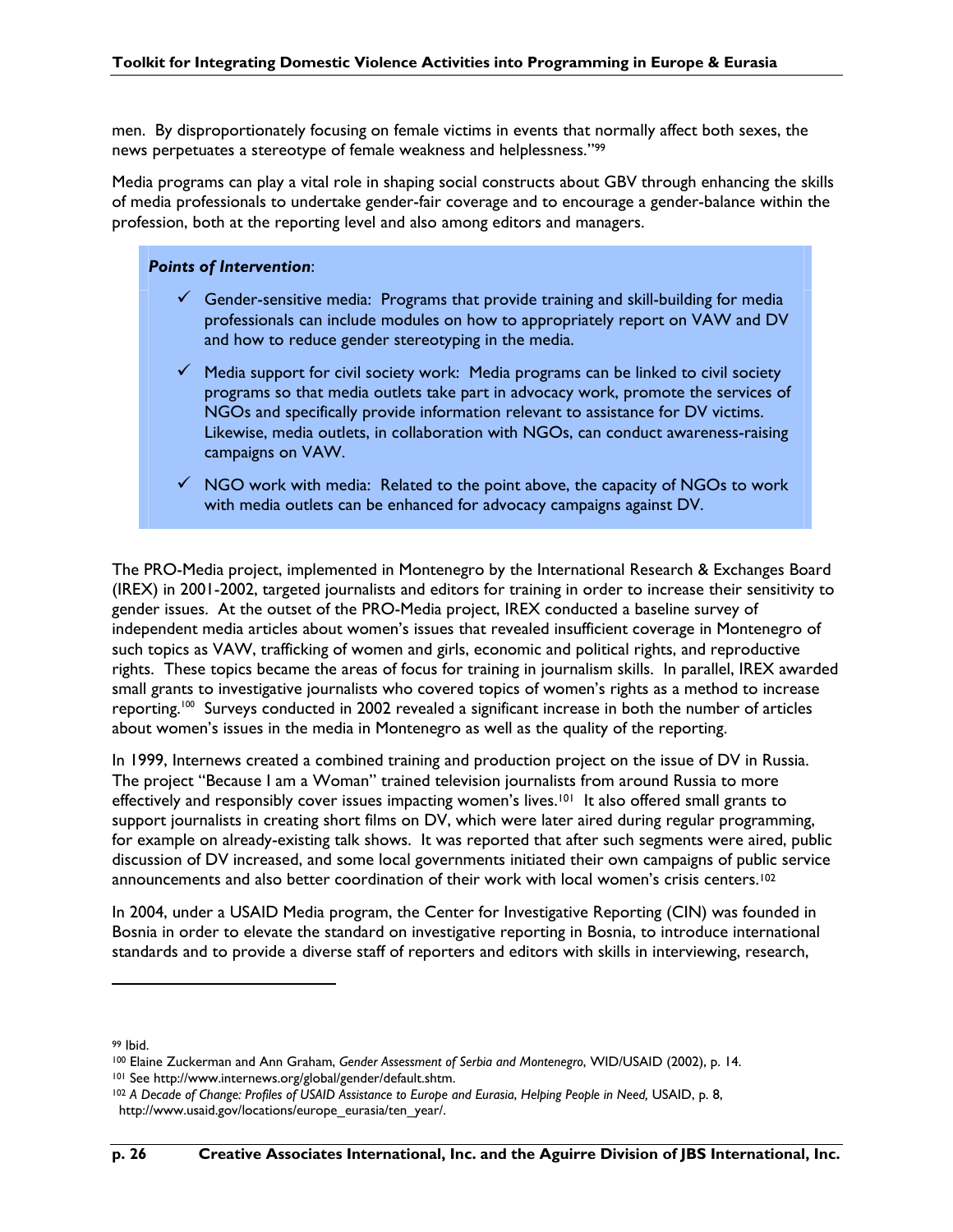men. By disproportionately focusing on female victims in events that normally affect both sexes, the news perpetuates a stereotype of female weakness and helplessness."99

Media programs can play a vital role in shaping social constructs about GBV through enhancing the skills of media professionals to undertake gender-fair coverage and to encourage a gender-balance within the profession, both at the reporting level and also among editors and managers.

### *Points of Intervention*:

- $\checkmark$  Gender-sensitive media: Programs that provide training and skill-building for media professionals can include modules on how to appropriately report on VAW and DV and how to reduce gender stereotyping in the media.
- $\checkmark$  Media support for civil society work: Media programs can be linked to civil society programs so that media outlets take part in advocacy work, promote the services of NGOs and specifically provide information relevant to assistance for DV victims. Likewise, media outlets, in collaboration with NGOs, can conduct awareness-raising campaigns on VAW.
- $\checkmark$  NGO work with media: Related to the point above, the capacity of NGOs to work with media outlets can be enhanced for advocacy campaigns against DV.

The PRO-Media project, implemented in Montenegro by the International Research & Exchanges Board (IREX) in 2001-2002, targeted journalists and editors for training in order to increase their sensitivity to gender issues. At the outset of the PRO-Media project, IREX conducted a baseline survey of independent media articles about women's issues that revealed insufficient coverage in Montenegro of such topics as VAW, trafficking of women and girls, economic and political rights, and reproductive rights. These topics became the areas of focus for training in journalism skills. In parallel, IREX awarded small grants to investigative journalists who covered topics of women's rights as a method to increase reporting.100 Surveys conducted in 2002 revealed a significant increase in both the number of articles about women's issues in the media in Montenegro as well as the quality of the reporting.

In 1999, Internews created a combined training and production project on the issue of DV in Russia. The project "Because I am a Woman" trained television journalists from around Russia to more effectively and responsibly cover issues impacting women's lives.<sup>101</sup> It also offered small grants to support journalists in creating short films on DV, which were later aired during regular programming, for example on already-existing talk shows. It was reported that after such segments were aired, public discussion of DV increased, and some local governments initiated their own campaigns of public service announcements and also better coordination of their work with local women's crisis centers.102

In 2004, under a USAID Media program, the Center for Investigative Reporting (CIN) was founded in Bosnia in order to elevate the standard on investigative reporting in Bosnia, to introduce international standards and to provide a diverse staff of reporters and editors with skills in interviewing, research,

<sup>99</sup> Ibid.

<sup>100</sup> Elaine Zuckerman and Ann Graham, *Gender Assessment of Serbia and Montenegro*, WID/USAID (2002), p. 14. 101 See http://www.internews.org/global/gender/default.shtm.

<sup>102</sup> *A Decade of Change: Profiles of USAID Assistance to Europe and Eurasia*, *Helping People in Need,* USAID, p. 8, http://www.usaid.gov/locations/europe\_eurasia/ten\_year/.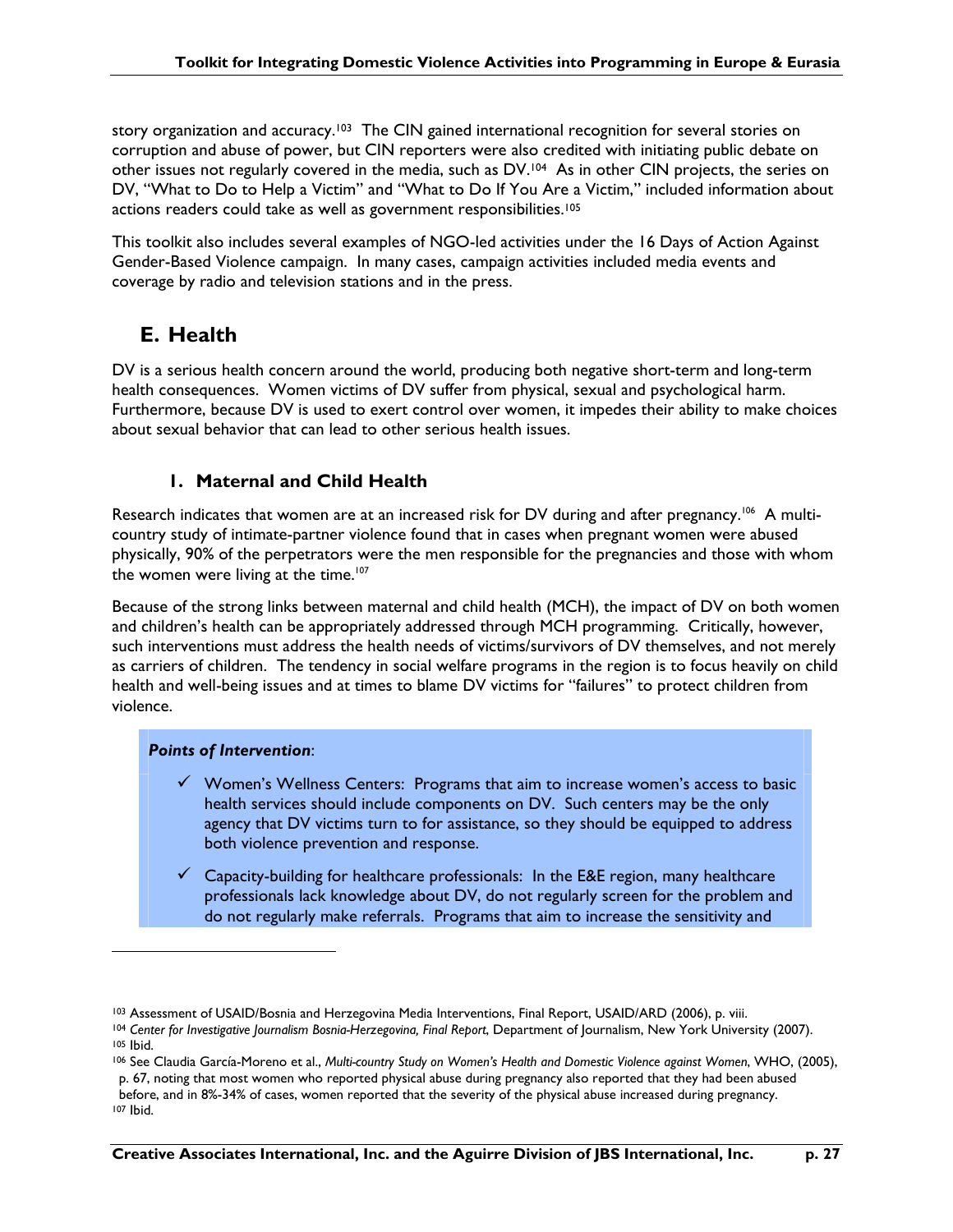story organization and accuracy.<sup>103</sup> The CIN gained international recognition for several stories on corruption and abuse of power, but CIN reporters were also credited with initiating public debate on other issues not regularly covered in the media, such as DV.104 As in other CIN projects, the series on DV, "What to Do to Help a Victim" and "What to Do If You Are a Victim," included information about actions readers could take as well as government responsibilities.<sup>105</sup>

This toolkit also includes several examples of NGO-led activities under the 16 Days of Action Against Gender-Based Violence campaign. In many cases, campaign activities included media events and coverage by radio and television stations and in the press.

## **E. Health**

DV is a serious health concern around the world, producing both negative short-term and long-term health consequences. Women victims of DV suffer from physical, sexual and psychological harm. Furthermore, because DV is used to exert control over women, it impedes their ability to make choices about sexual behavior that can lead to other serious health issues.

### **1. Maternal and Child Health**

Research indicates that women are at an increased risk for DV during and after pregnancy.<sup>106</sup> A multicountry study of intimate-partner violence found that in cases when pregnant women were abused physically, 90% of the perpetrators were the men responsible for the pregnancies and those with whom the women were living at the time. $107$ 

Because of the strong links between maternal and child health (MCH), the impact of DV on both women and children's health can be appropriately addressed through MCH programming. Critically, however, such interventions must address the health needs of victims/survivors of DV themselves, and not merely as carriers of children. The tendency in social welfare programs in the region is to focus heavily on child health and well-being issues and at times to blame DV victims for "failures" to protect children from violence.

### *Points of Intervention*:

- $\checkmark$  Women's Wellness Centers: Programs that aim to increase women's access to basic health services should include components on DV. Such centers may be the only agency that DV victims turn to for assistance, so they should be equipped to address both violence prevention and response.
- $\checkmark$  Capacity-building for healthcare professionals: In the E&E region, many healthcare professionals lack knowledge about DV, do not regularly screen for the problem and do not regularly make referrals. Programs that aim to increase the sensitivity and

<sup>103</sup> Assessment of USAID/Bosnia and Herzegovina Media Interventions, Final Report, USAID/ARD (2006), p. viii.

<sup>&</sup>lt;sup>104</sup> Center for Investigative Journalism Bosnia-Herzegovina, Final Report, Department of Journalism, New York University (2007). 105 Ibid.

<sup>106</sup> See Claudia García-Moreno et al., *Multi-country Study on Women's Health and Domestic Violence against Women*, WHO, (2005),

p. 67, noting that most women who reported physical abuse during pregnancy also reported that they had been abused before, and in 8%-34% of cases, women reported that the severity of the physical abuse increased during pregnancy.<br><sup>107</sup> Ibid.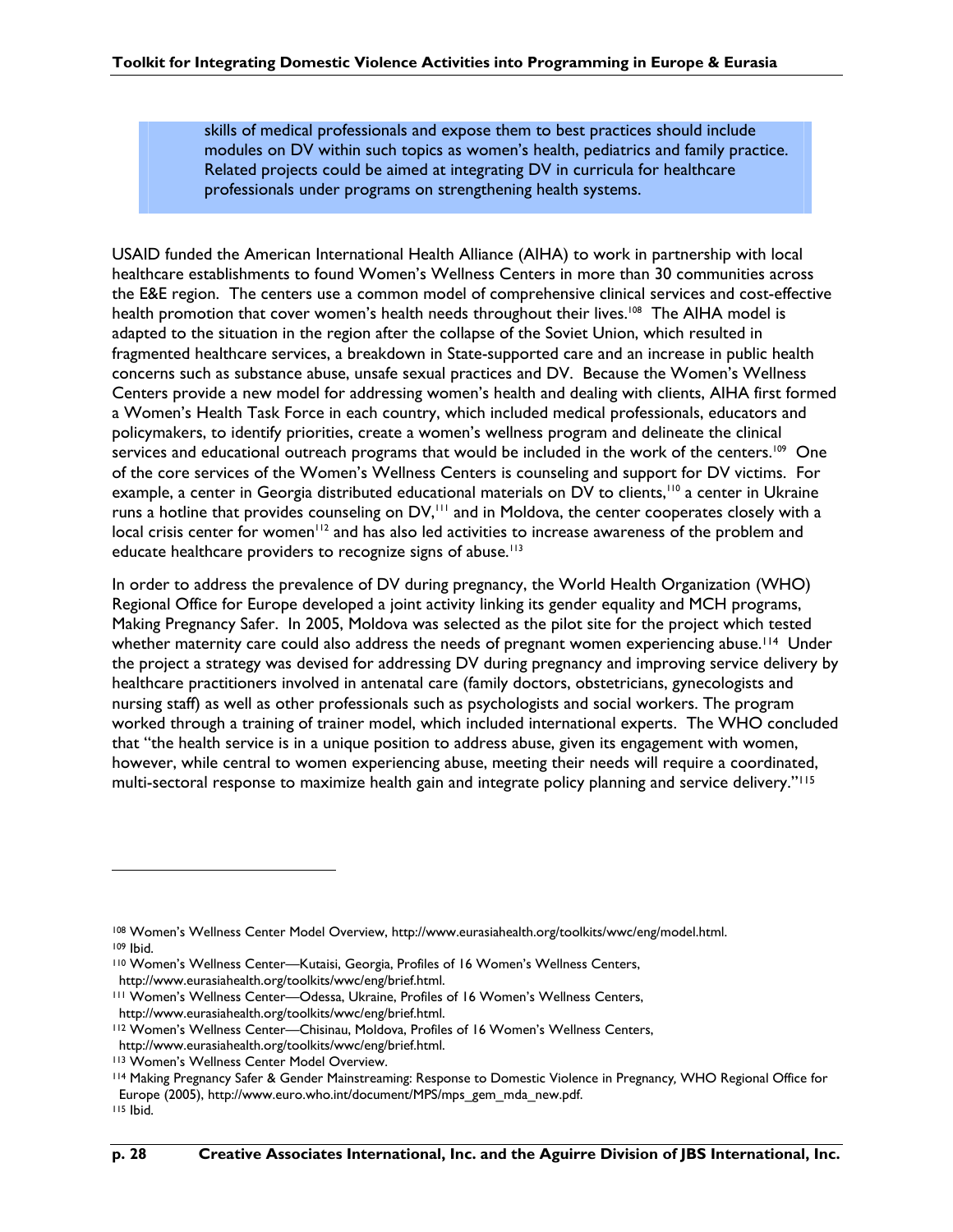skills of medical professionals and expose them to best practices should include modules on DV within such topics as women's health, pediatrics and family practice. Related projects could be aimed at integrating DV in curricula for healthcare professionals under programs on strengthening health systems.

USAID funded the American International Health Alliance (AIHA) to work in partnership with local healthcare establishments to found Women's Wellness Centers in more than 30 communities across the E&E region. The centers use a common model of comprehensive clinical services and cost-effective health promotion that cover women's health needs throughout their lives.<sup>108</sup> The AIHA model is adapted to the situation in the region after the collapse of the Soviet Union, which resulted in fragmented healthcare services, a breakdown in State-supported care and an increase in public health concerns such as substance abuse, unsafe sexual practices and DV. Because the Women's Wellness Centers provide a new model for addressing women's health and dealing with clients, AIHA first formed a Women's Health Task Force in each country, which included medical professionals, educators and policymakers, to identify priorities, create a women's wellness program and delineate the clinical services and educational outreach programs that would be included in the work of the centers.<sup>109</sup> One of the core services of the Women's Wellness Centers is counseling and support for DV victims. For example, a center in Georgia distributed educational materials on DV to clients,<sup>110</sup> a center in Ukraine runs a hotline that provides counseling on DV,<sup>111</sup> and in Moldova, the center cooperates closely with a local crisis center for women<sup>112</sup> and has also led activities to increase awareness of the problem and educate healthcare providers to recognize signs of abuse.<sup>113</sup>

In order to address the prevalence of DV during pregnancy, the World Health Organization (WHO) Regional Office for Europe developed a joint activity linking its gender equality and MCH programs, Making Pregnancy Safer. In 2005, Moldova was selected as the pilot site for the project which tested whether maternity care could also address the needs of pregnant women experiencing abuse.<sup>114</sup> Under the project a strategy was devised for addressing DV during pregnancy and improving service delivery by healthcare practitioners involved in antenatal care (family doctors, obstetricians, gynecologists and nursing staff) as well as other professionals such as psychologists and social workers. The program worked through a training of trainer model, which included international experts. The WHO concluded that "the health service is in a unique position to address abuse, given its engagement with women, however, while central to women experiencing abuse, meeting their needs will require a coordinated, multi-sectoral response to maximize health gain and integrate policy planning and service delivery."115

<sup>108</sup> Women's Wellness Center Model Overview, http://www.eurasiahealth.org/toolkits/wwc/eng/model.html. 109 Ibid.

<sup>110</sup> Women's Wellness Center—Kutaisi, Georgia, Profiles of 16 Women's Wellness Centers, http://www.eurasiahealth.org/toolkits/wwc/eng/brief.html.

<sup>111</sup> Women's Wellness Center—Odessa, Ukraine, Profiles of 16 Women's Wellness Centers, http://www.eurasiahealth.org/toolkits/wwc/eng/brief.html.

<sup>112</sup> Women's Wellness Center—Chisinau, Moldova, Profiles of 16 Women's Wellness Centers, http://www.eurasiahealth.org/toolkits/wwc/eng/brief.html.

<sup>113</sup> Women's Wellness Center Model Overview.

<sup>114</sup> Making Pregnancy Safer & Gender Mainstreaming: Response to Domestic Violence in Pregnancy*,* WHO Regional Office for Europe (2005), http://www.euro.who.int/document/MPS/mps\_gem\_mda\_new.pdf.

<sup>115</sup> Ibid.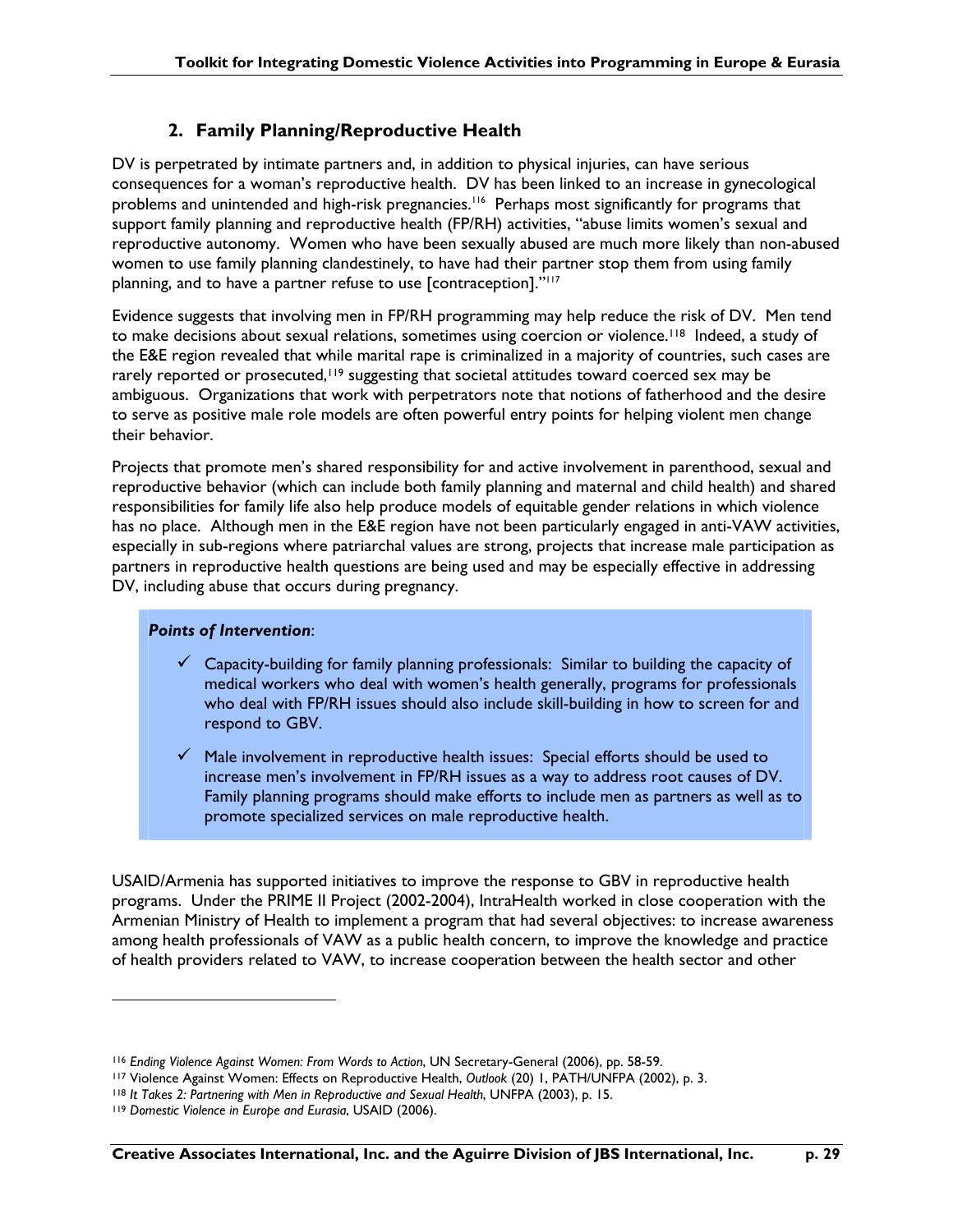### **2. Family Planning/Reproductive Health**

DV is perpetrated by intimate partners and, in addition to physical injuries, can have serious consequences for a woman's reproductive health. DV has been linked to an increase in gynecological problems and unintended and high-risk pregnancies.<sup>116</sup> Perhaps most significantly for programs that support family planning and reproductive health (FP/RH) activities, "abuse limits women's sexual and reproductive autonomy. Women who have been sexually abused are much more likely than non-abused women to use family planning clandestinely, to have had their partner stop them from using family planning, and to have a partner refuse to use [contraception]."<sup>117</sup>

Evidence suggests that involving men in FP/RH programming may help reduce the risk of DV. Men tend to make decisions about sexual relations, sometimes using coercion or violence.<sup>118</sup> Indeed, a study of the E&E region revealed that while marital rape is criminalized in a majority of countries, such cases are rarely reported or prosecuted,<sup>119</sup> suggesting that societal attitudes toward coerced sex may be ambiguous. Organizations that work with perpetrators note that notions of fatherhood and the desire to serve as positive male role models are often powerful entry points for helping violent men change their behavior.

Projects that promote men's shared responsibility for and active involvement in parenthood, sexual and reproductive behavior (which can include both family planning and maternal and child health) and shared responsibilities for family life also help produce models of equitable gender relations in which violence has no place. Although men in the E&E region have not been particularly engaged in anti-VAW activities, especially in sub-regions where patriarchal values are strong, projects that increase male participation as partners in reproductive health questions are being used and may be especially effective in addressing DV, including abuse that occurs during pregnancy.

### *Points of Intervention*:

- $\checkmark$  Capacity-building for family planning professionals: Similar to building the capacity of medical workers who deal with women's health generally, programs for professionals who deal with FP/RH issues should also include skill-building in how to screen for and respond to GBV.
- $\checkmark$  Male involvement in reproductive health issues: Special efforts should be used to increase men's involvement in FP/RH issues as a way to address root causes of DV. Family planning programs should make efforts to include men as partners as well as to promote specialized services on male reproductive health.

USAID/Armenia has supported initiatives to improve the response to GBV in reproductive health programs. Under the PRIME II Project (2002-2004), IntraHealth worked in close cooperation with the Armenian Ministry of Health to implement a program that had several objectives: to increase awareness among health professionals of VAW as a public health concern, to improve the knowledge and practice of health providers related to VAW, to increase cooperation between the health sector and other

<sup>116</sup> *Ending Violence Against Women: From Words to Action*, UN Secretary-General (2006), pp. 58-59.

<sup>117</sup> Violence Against Women: Effects on Reproductive Health, *Outlook* (20) 1, PATH/UNFPA (2002), p. 3.

<sup>118</sup> *It Takes 2: Partnering with Men in Reproductive and Sexual Health*, UNFPA (2003), p. 15.

<sup>119</sup> *Domestic Violence in Europe and Eurasia*, USAID (2006).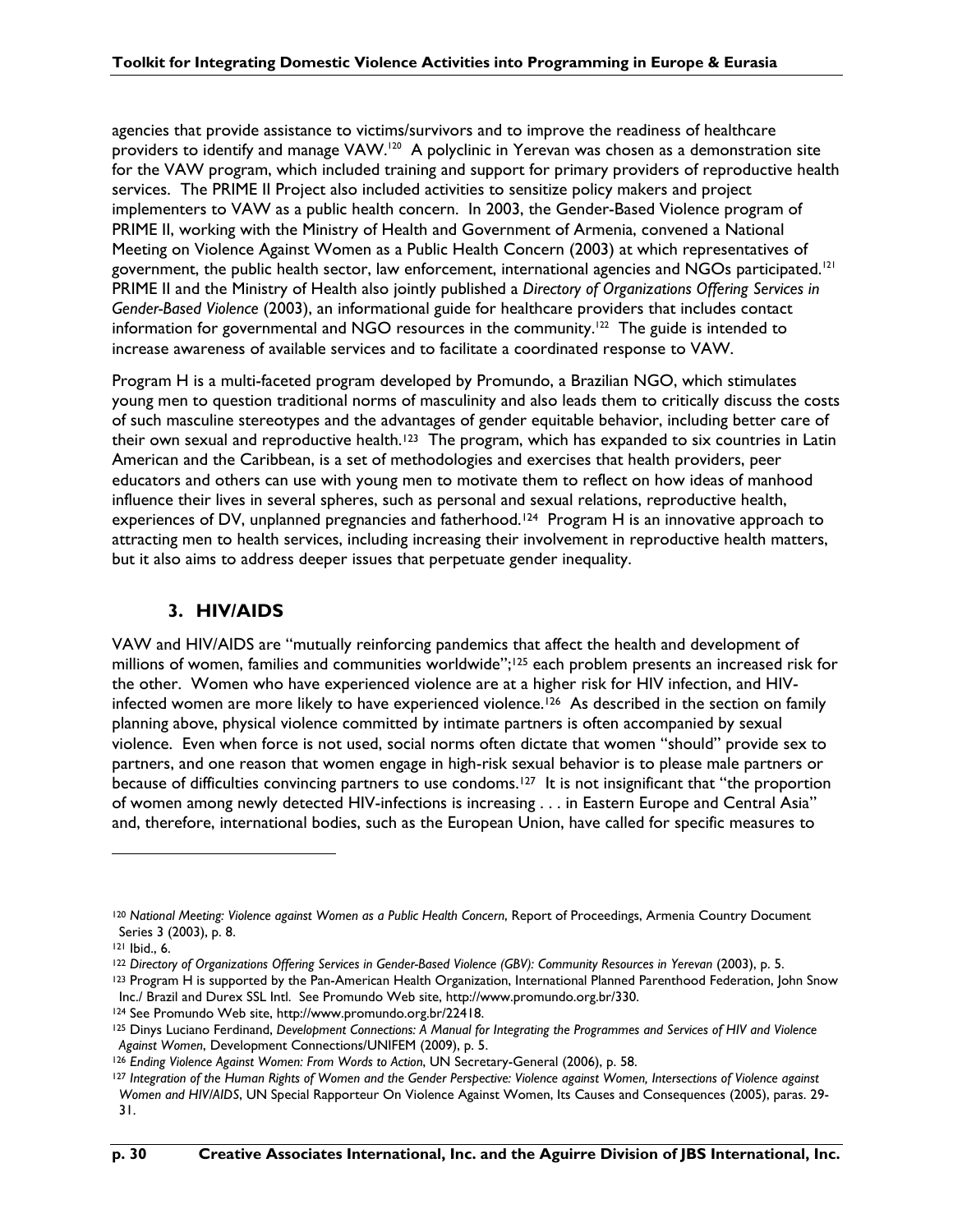agencies that provide assistance to victims/survivors and to improve the readiness of healthcare providers to identify and manage VAW.<sup>120</sup> A polyclinic in Yerevan was chosen as a demonstration site for the VAW program, which included training and support for primary providers of reproductive health services. The PRIME II Project also included activities to sensitize policy makers and project implementers to VAW as a public health concern. In 2003, the Gender-Based Violence program of PRIME II, working with the Ministry of Health and Government of Armenia, convened a National Meeting on Violence Against Women as a Public Health Concern (2003) at which representatives of government, the public health sector, law enforcement, international agencies and NGOs participated.<sup>[2]</sup> PRIME II and the Ministry of Health also jointly published a *Directory of Organizations Offering Services in Gender-Based Violence* (2003), an informational guide for healthcare providers that includes contact information for governmental and NGO resources in the community.<sup>122</sup> The guide is intended to increase awareness of available services and to facilitate a coordinated response to VAW.

Program H is a multi-faceted program developed by Promundo, a Brazilian NGO, which stimulates young men to question traditional norms of masculinity and also leads them to critically discuss the costs of such masculine stereotypes and the advantages of gender equitable behavior, including better care of their own sexual and reproductive health.<sup>123</sup> The program, which has expanded to six countries in Latin American and the Caribbean, is a set of methodologies and exercises that health providers, peer educators and others can use with young men to motivate them to reflect on how ideas of manhood influence their lives in several spheres, such as personal and sexual relations, reproductive health, experiences of DV, unplanned pregnancies and fatherhood.<sup>124</sup> Program H is an innovative approach to attracting men to health services, including increasing their involvement in reproductive health matters, but it also aims to address deeper issues that perpetuate gender inequality.

### **3. HIV/AIDS**

VAW and HIV/AIDS are "mutually reinforcing pandemics that affect the health and development of millions of women, families and communities worldwide";125 each problem presents an increased risk for the other. Women who have experienced violence are at a higher risk for HIV infection, and HIVinfected women are more likely to have experienced violence.<sup>126</sup> As described in the section on family planning above, physical violence committed by intimate partners is often accompanied by sexual violence. Even when force is not used, social norms often dictate that women "should" provide sex to partners, and one reason that women engage in high-risk sexual behavior is to please male partners or because of difficulties convincing partners to use condoms.<sup>127</sup> It is not insignificant that "the proportion of women among newly detected HIV-infections is increasing . . . in Eastern Europe and Central Asia" and, therefore, international bodies, such as the European Union, have called for specific measures to

<sup>&</sup>lt;sup>120</sup> National Meeting: Violence against Women as a Public Health Concern, Report of Proceedings, Armenia Country Document Series 3 (2003), p. 8.

<sup>121</sup> Ibid., 6.

<sup>122</sup> *Directory of Organizations Offering Services in Gender-Based Violence (GBV): Community Resources in Yerevan* (2003), p. 5.

<sup>&</sup>lt;sup>123</sup> Program H is supported by the Pan-American Health Organization, International Planned Parenthood Federation, John Snow Inc./ Brazil and Durex SSL Intl. See Promundo Web site, http://www.promundo.org.br/330.

<sup>124</sup> See Promundo Web site, http://www.promundo.org.br/22418.

<sup>125</sup> Dinys Luciano Ferdinand, *Development Connections: A Manual for Integrating the Programmes and Services of HIV and Violence Against Women*, Development Connections/UNIFEM (2009), p. 5.

<sup>126</sup> *Ending Violence Against Women: From Words to Action*, UN Secretary-General (2006), p. 58.

<sup>127</sup> *Integration of the Human Rights of Women and the Gender Perspective: Violence against Women, Intersections of Violence against Women and HIV/AIDS*, UN Special Rapporteur On Violence Against Women, Its Causes and Consequences (2005), paras. 29- 31.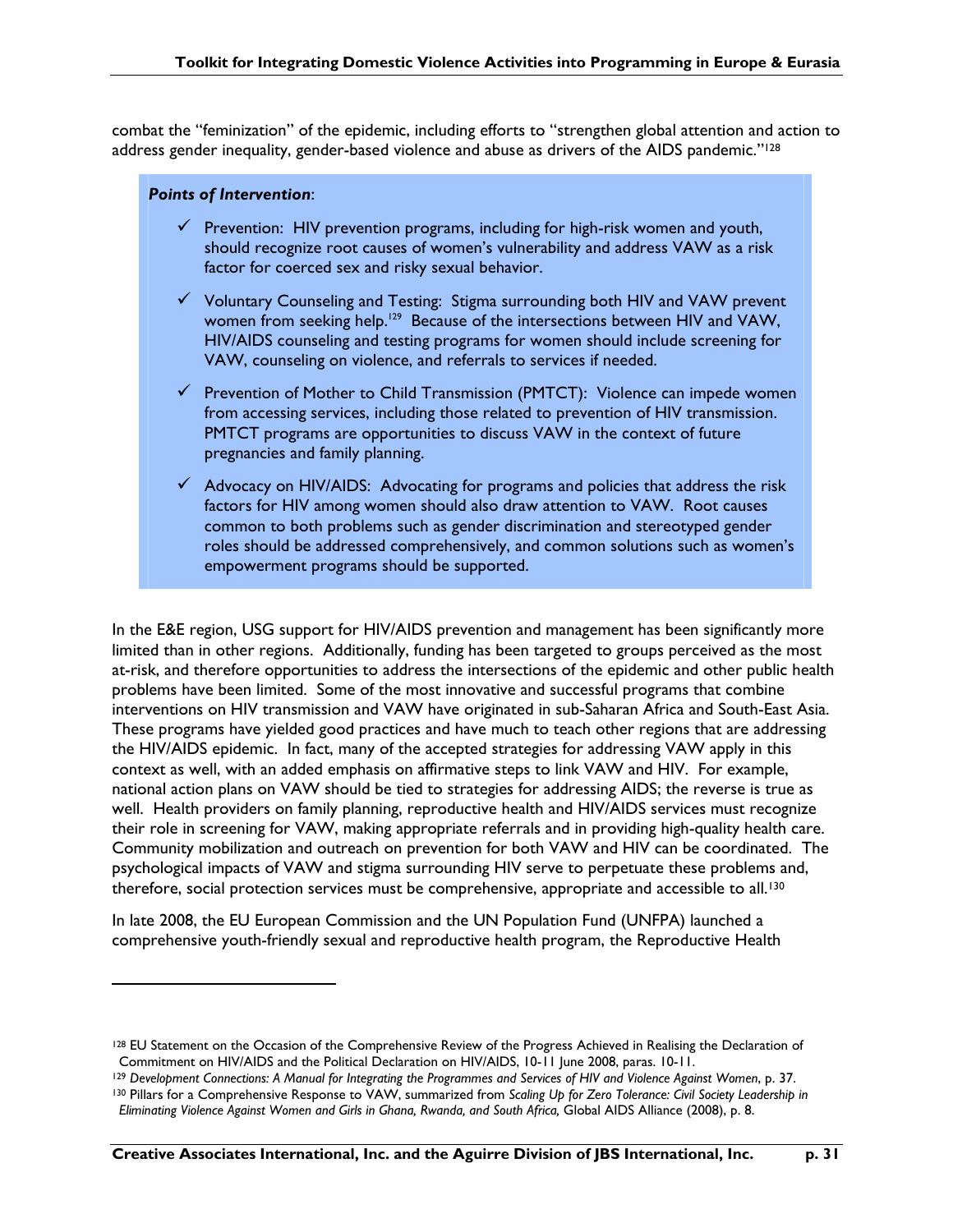combat the "feminization" of the epidemic, including efforts to "strengthen global attention and action to address gender inequality, gender-based violence and abuse as drivers of the AIDS pandemic."128

#### *Points of Intervention*:

 $\overline{a}$ 

- $\checkmark$  Prevention: HIV prevention programs, including for high-risk women and youth, should recognize root causes of women's vulnerability and address VAW as a risk factor for coerced sex and risky sexual behavior.
- $\checkmark$  Voluntary Counseling and Testing: Stigma surrounding both HIV and VAW prevent women from seeking help.<sup>129</sup> Because of the intersections between HIV and VAW, HIV/AIDS counseling and testing programs for women should include screening for VAW, counseling on violence, and referrals to services if needed.
- $\checkmark$  Prevention of Mother to Child Transmission (PMTCT): Violence can impede women from accessing services, including those related to prevention of HIV transmission. PMTCT programs are opportunities to discuss VAW in the context of future pregnancies and family planning.
- $\checkmark$  Advocacy on HIV/AIDS: Advocating for programs and policies that address the risk factors for HIV among women should also draw attention to VAW. Root causes common to both problems such as gender discrimination and stereotyped gender roles should be addressed comprehensively, and common solutions such as women's empowerment programs should be supported.

In the E&E region, USG support for HIV/AIDS prevention and management has been significantly more limited than in other regions. Additionally, funding has been targeted to groups perceived as the most at-risk, and therefore opportunities to address the intersections of the epidemic and other public health problems have been limited. Some of the most innovative and successful programs that combine interventions on HIV transmission and VAW have originated in sub-Saharan Africa and South-East Asia. These programs have yielded good practices and have much to teach other regions that are addressing the HIV/AIDS epidemic. In fact, many of the accepted strategies for addressing VAW apply in this context as well, with an added emphasis on affirmative steps to link VAW and HIV. For example, national action plans on VAW should be tied to strategies for addressing AIDS; the reverse is true as well. Health providers on family planning, reproductive health and HIV/AIDS services must recognize their role in screening for VAW, making appropriate referrals and in providing high-quality health care. Community mobilization and outreach on prevention for both VAW and HIV can be coordinated. The psychological impacts of VAW and stigma surrounding HIV serve to perpetuate these problems and, therefore, social protection services must be comprehensive, appropriate and accessible to all.<sup>130</sup>

In late 2008, the EU European Commission and the UN Population Fund (UNFPA) launched a comprehensive youth-friendly sexual and reproductive health program, the Reproductive Health

<sup>&</sup>lt;sup>128</sup> EU Statement on the Occasion of the Comprehensive Review of the Progress Achieved in Realising the Declaration of Commitment on HIV/AIDS and the Political Declaration on HIV/AIDS, 10-11 June 2008, paras. 10-11.

<sup>129</sup> *Development Connections: A Manual for Integrating the Programmes and Services of HIV and Violence Against Women*, p. 37. 130 Pillars for a Comprehensive Response to VAW, summarized from *Scaling Up for Zero Tolerance: Civil Society Leadership in Eliminating Violence Against Women and Girls in Ghana, Rwanda, and South Africa,* Global AIDS Alliance (2008), p. 8.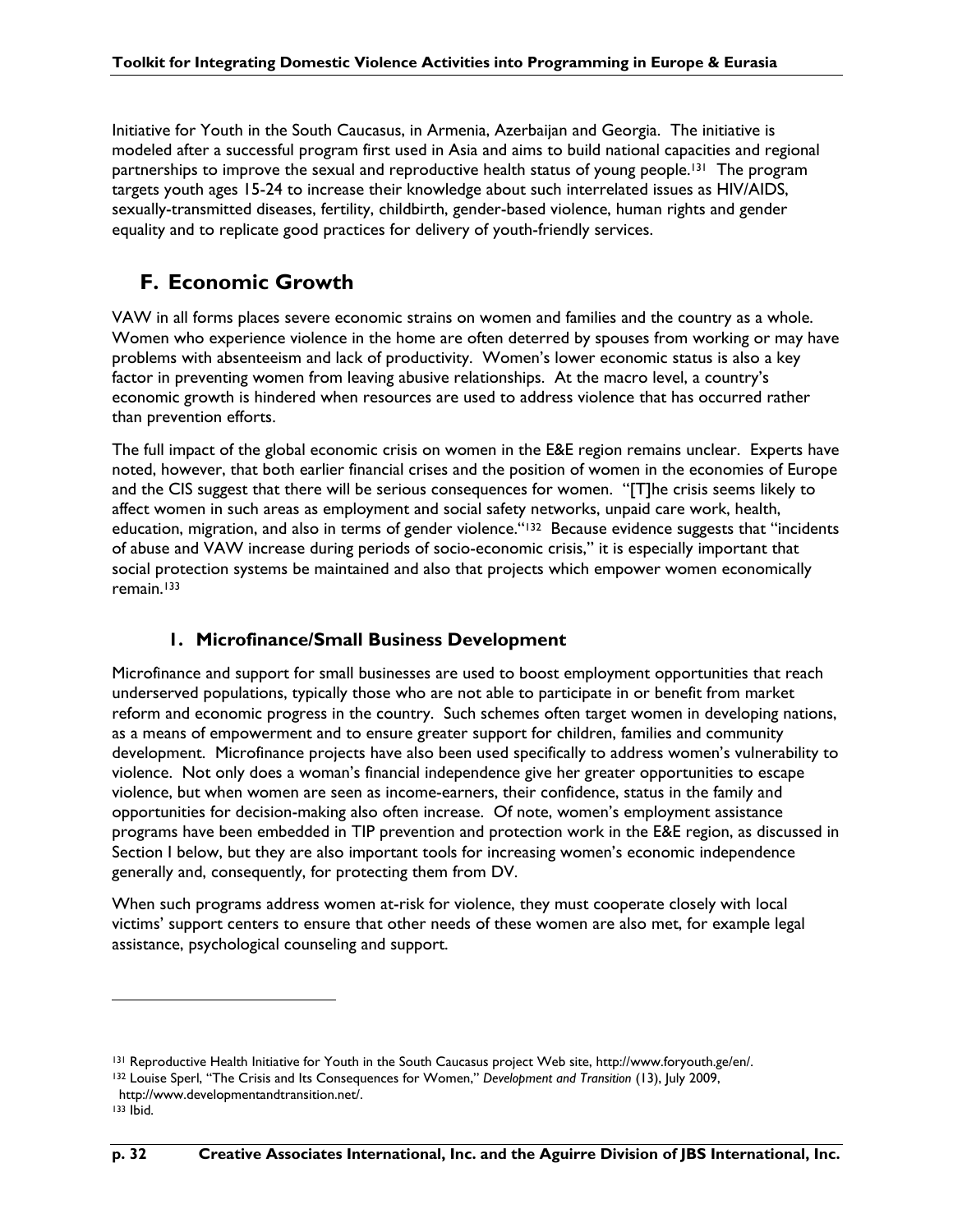Initiative for Youth in the South Caucasus, in Armenia, Azerbaijan and Georgia. The initiative is modeled after a successful program first used in Asia and aims to build national capacities and regional partnerships to improve the sexual and reproductive health status of young people.<sup>131</sup> The program targets youth ages 15-24 to increase their knowledge about such interrelated issues as HIV/AIDS, sexually-transmitted diseases, fertility, childbirth, gender-based violence, human rights and gender equality and to replicate good practices for delivery of youth-friendly services.

## **F. Economic Growth**

VAW in all forms places severe economic strains on women and families and the country as a whole. Women who experience violence in the home are often deterred by spouses from working or may have problems with absenteeism and lack of productivity. Women's lower economic status is also a key factor in preventing women from leaving abusive relationships. At the macro level, a country's economic growth is hindered when resources are used to address violence that has occurred rather than prevention efforts.

The full impact of the global economic crisis on women in the E&E region remains unclear. Experts have noted, however, that both earlier financial crises and the position of women in the economies of Europe and the CIS suggest that there will be serious consequences for women. "[T]he crisis seems likely to affect women in such areas as employment and social safety networks, unpaid care work, health, education, migration, and also in terms of gender violence."132 Because evidence suggests that "incidents of abuse and VAW increase during periods of socio-economic crisis," it is especially important that social protection systems be maintained and also that projects which empower women economically remain.133

### **1. Microfinance/Small Business Development**

Microfinance and support for small businesses are used to boost employment opportunities that reach underserved populations, typically those who are not able to participate in or benefit from market reform and economic progress in the country. Such schemes often target women in developing nations, as a means of empowerment and to ensure greater support for children, families and community development. Microfinance projects have also been used specifically to address women's vulnerability to violence. Not only does a woman's financial independence give her greater opportunities to escape violence, but when women are seen as income-earners, their confidence, status in the family and opportunities for decision-making also often increase. Of note, women's employment assistance programs have been embedded in TIP prevention and protection work in the E&E region, as discussed in Section I below, but they are also important tools for increasing women's economic independence generally and, consequently, for protecting them from DV.

When such programs address women at-risk for violence, they must cooperate closely with local victims' support centers to ensure that other needs of these women are also met, for example legal assistance, psychological counseling and support.

<sup>131</sup> Reproductive Health Initiative for Youth in the South Caucasus project Web site, http://www.foryouth.ge/en/.

<sup>132</sup> Louise Sperl, "The Crisis and Its Consequences for Women," *Development and Transition* (13), July 2009,

http://www.developmentandtransition.net/.

 $133$  Ibid.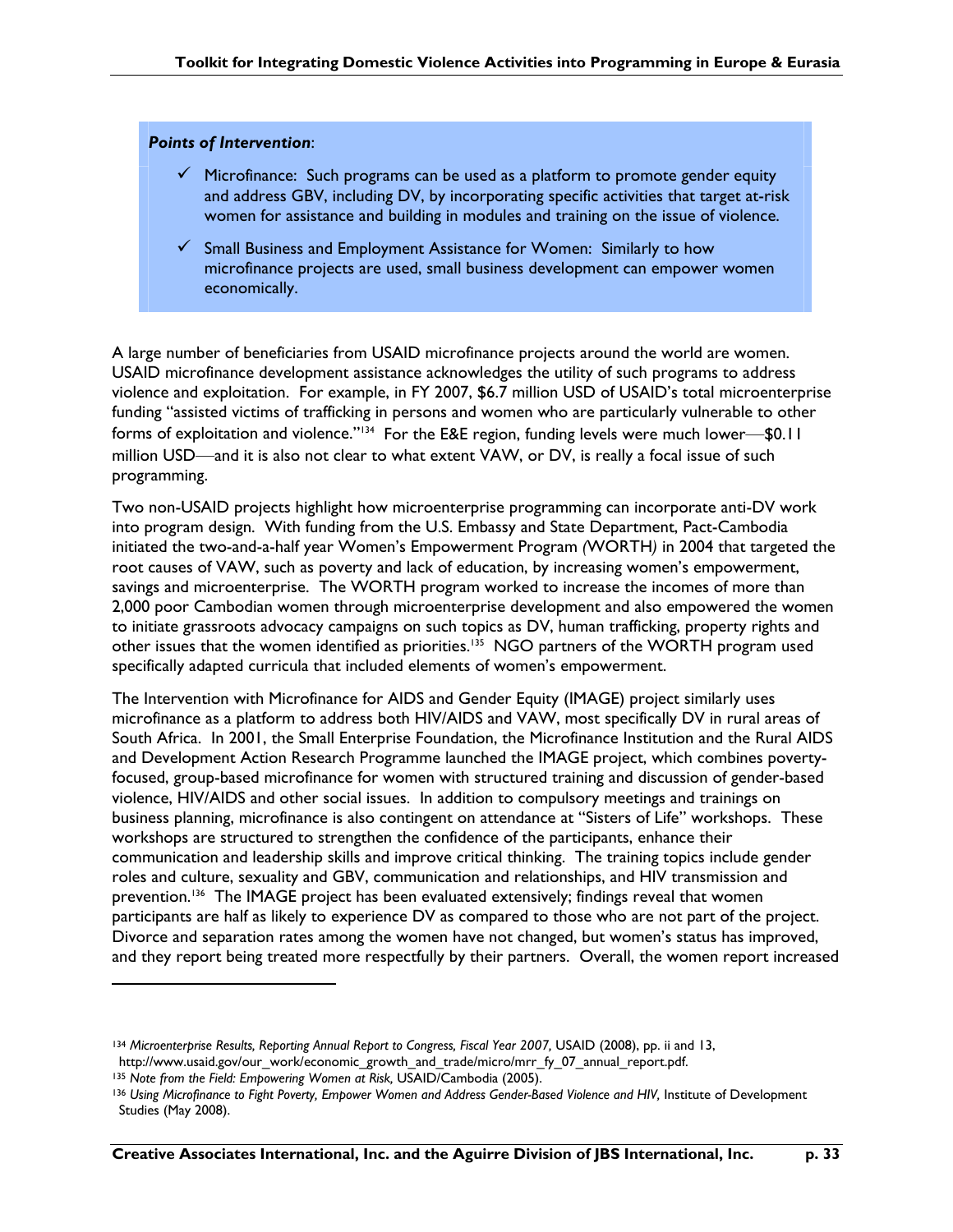#### *Points of Intervention*:

- $\checkmark$  Microfinance: Such programs can be used as a platform to promote gender equity and address GBV, including DV, by incorporating specific activities that target at-risk women for assistance and building in modules and training on the issue of violence.
- $\checkmark$  Small Business and Employment Assistance for Women: Similarly to how microfinance projects are used, small business development can empower women economically.

A large number of beneficiaries from USAID microfinance projects around the world are women. USAID microfinance development assistance acknowledges the utility of such programs to address violence and exploitation. For example, in FY 2007, \$6.7 million USD of USAID's total microenterprise funding "assisted victims of trafficking in persons and women who are particularly vulnerable to other forms of exploitation and violence."<sup>134</sup> For the E&E region, funding levels were much lower—\$0.11 million USD—and it is also not clear to what extent VAW, or DV, is really a focal issue of such programming.

Two non-USAID projects highlight how microenterprise programming can incorporate anti-DV work into program design. With funding from the U.S. Embassy and State Department, Pact-Cambodia initiated the two-and-a-half year Women's Empowerment Program *(*WORTH*)* in 2004 that targeted the root causes of VAW, such as poverty and lack of education, by increasing women's empowerment, savings and microenterprise. The WORTH program worked to increase the incomes of more than 2,000 poor Cambodian women through microenterprise development and also empowered the women to initiate grassroots advocacy campaigns on such topics as DV, human trafficking, property rights and other issues that the women identified as priorities.<sup>135</sup> NGO partners of the WORTH program used specifically adapted curricula that included elements of women's empowerment.

The Intervention with Microfinance for AIDS and Gender Equity (IMAGE) project similarly uses microfinance as a platform to address both HIV/AIDS and VAW, most specifically DV in rural areas of South Africa. In 2001, the Small Enterprise Foundation, the Microfinance Institution and the Rural AIDS and Development Action Research Programme launched the IMAGE project, which combines povertyfocused, group-based microfinance for women with structured training and discussion of gender-based violence, HIV/AIDS and other social issues. In addition to compulsory meetings and trainings on business planning, microfinance is also contingent on attendance at "Sisters of Life" workshops. These workshops are structured to strengthen the confidence of the participants, enhance their communication and leadership skills and improve critical thinking. The training topics include gender roles and culture, sexuality and GBV, communication and relationships, and HIV transmission and prevention.<sup>136</sup> The IMAGE project has been evaluated extensively; findings reveal that women participants are half as likely to experience DV as compared to those who are not part of the project. Divorce and separation rates among the women have not changed, but women's status has improved, and they report being treated more respectfully by their partners. Overall, the women report increased

<sup>&</sup>lt;sup>134</sup> Microenterprise Results, Reporting Annual Report to Congress, Fiscal Year 2007, USAID (2008), pp. ii and 13, http://www.usaid.gov/our\_work/economic\_growth\_and\_trade/micro/mrr\_fy\_07\_annual\_report.pdf.

<sup>135</sup> Note from the Field: Empowering Women at Risk, USAID/Cambodia (2005).

<sup>136</sup> *Using Microfinance to Fight Poverty, Empower Women and Address Gender-Based Violence and HIV,* Institute of Development Studies (May 2008).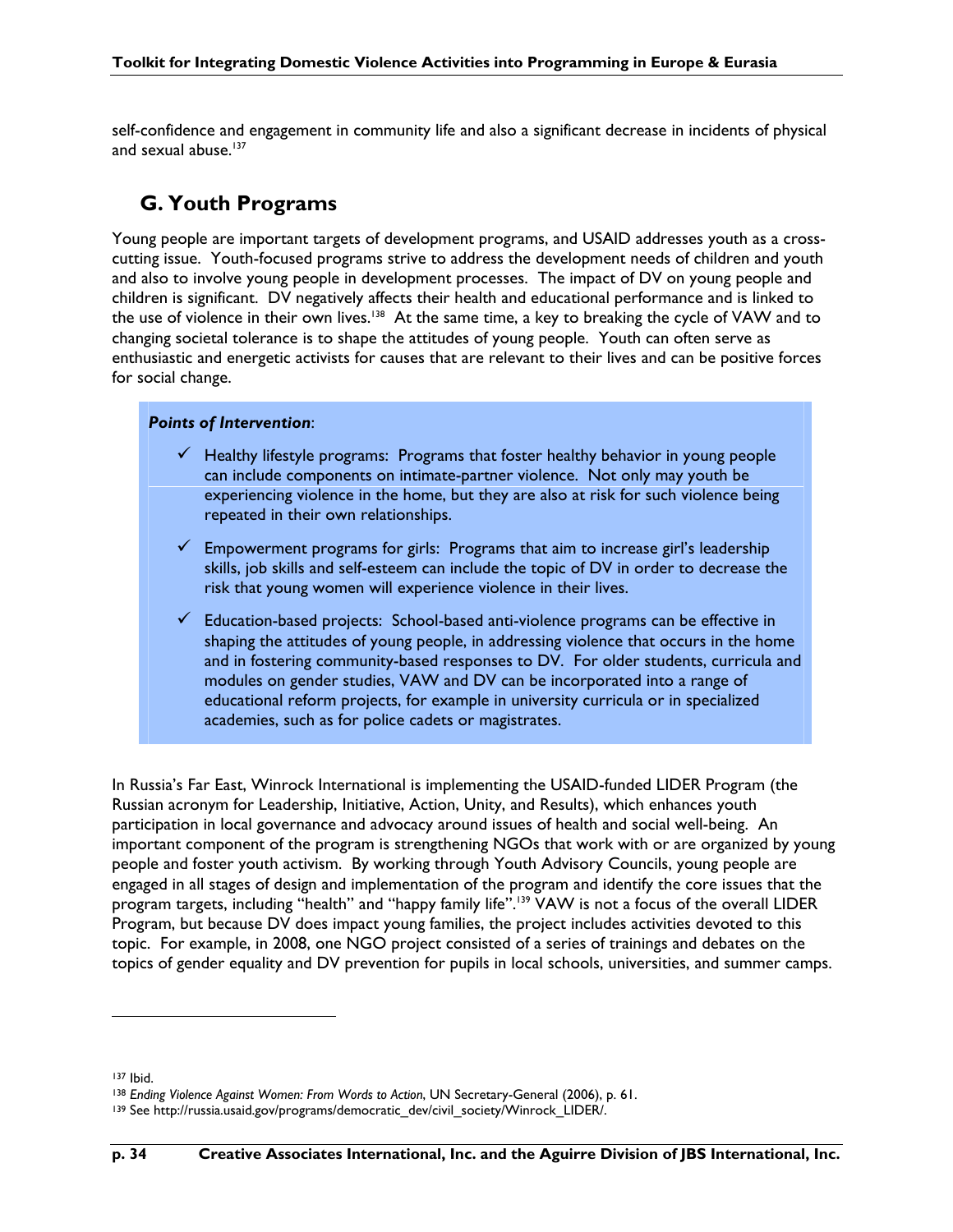self-confidence and engagement in community life and also a significant decrease in incidents of physical and sexual abuse.<sup>137</sup>

### **G. Youth Programs**

Young people are important targets of development programs, and USAID addresses youth as a crosscutting issue. Youth-focused programs strive to address the development needs of children and youth and also to involve young people in development processes. The impact of DV on young people and children is significant. DV negatively affects their health and educational performance and is linked to the use of violence in their own lives.<sup>138</sup> At the same time, a key to breaking the cycle of VAW and to changing societal tolerance is to shape the attitudes of young people. Youth can often serve as enthusiastic and energetic activists for causes that are relevant to their lives and can be positive forces for social change.

### *Points of Intervention*:

- $\checkmark$  Healthy lifestyle programs: Programs that foster healthy behavior in young people can include components on intimate-partner violence. Not only may youth be experiencing violence in the home, but they are also at risk for such violence being repeated in their own relationships.
- $\checkmark$  Empowerment programs for girls: Programs that aim to increase girl's leadership skills, job skills and self-esteem can include the topic of DV in order to decrease the risk that young women will experience violence in their lives.
- Education-based projects: School-based anti-violence programs can be effective in shaping the attitudes of young people, in addressing violence that occurs in the home and in fostering community-based responses to DV. For older students, curricula and modules on gender studies, VAW and DV can be incorporated into a range of educational reform projects, for example in university curricula or in specialized academies, such as for police cadets or magistrates.

In Russia's Far East, Winrock International is implementing the USAID-funded LIDER Program (the Russian acronym for Leadership, Initiative, Action, Unity, and Results), which enhances youth participation in local governance and advocacy around issues of health and social well-being. An important component of the program is strengthening NGOs that work with or are organized by young people and foster youth activism. By working through Youth Advisory Councils, young people are engaged in all stages of design and implementation of the program and identify the core issues that the program targets, including "health" and "happy family life".<sup>139</sup> VAW is not a focus of the overall LIDER Program, but because DV does impact young families, the project includes activities devoted to this topic. For example, in 2008, one NGO project consisted of a series of trainings and debates on the topics of gender equality and DV prevention for pupils in local schools, universities, and summer camps.

<sup>&</sup>lt;sup>137</sup> Ibid.<br><sup>138</sup> Ending Violence Against Women: From Words to Action, UN Secretary-General (2006), p. 61.

<sup>139</sup> See http://russia.usaid.gov/programs/democratic\_dev/civil\_society/Winrock\_LIDER/.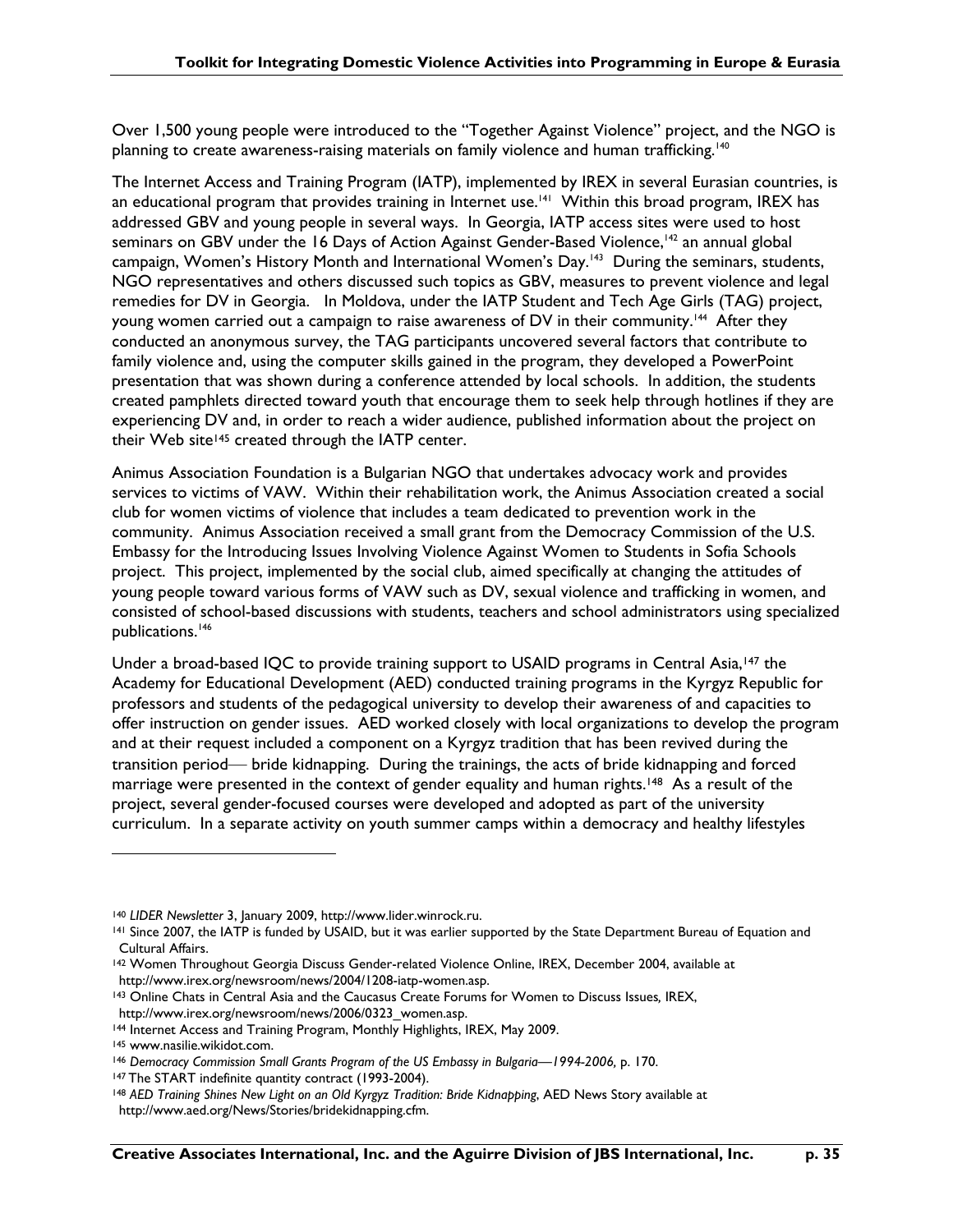Over 1,500 young people were introduced to the "Together Against Violence" project, and the NGO is planning to create awareness-raising materials on family violence and human trafficking.140

The Internet Access and Training Program (IATP), implemented by IREX in several Eurasian countries, is an educational program that provides training in Internet use.<sup>141</sup> Within this broad program, IREX has addressed GBV and young people in several ways. In Georgia, IATP access sites were used to host seminars on GBV under the 16 Days of Action Against Gender-Based Violence,<sup>142</sup> an annual global campaign, Women's History Month and International Women's Day.<sup>143</sup> During the seminars, students, NGO representatives and others discussed such topics as GBV, measures to prevent violence and legal remedies for DV in Georgia. In Moldova, under the IATP Student and Tech Age Girls (TAG) project, young women carried out a campaign to raise awareness of DV in their community.<sup>144</sup> After they conducted an anonymous survey, the TAG participants uncovered several factors that contribute to family violence and, using the computer skills gained in the program, they developed a PowerPoint presentation that was shown during a conference attended by local schools. In addition, the students created pamphlets directed toward youth that encourage them to seek help through hotlines if they are experiencing DV and, in order to reach a wider audience, published information about the project on their Web site<sup>145</sup> created through the IATP center.

Animus Association Foundation is a Bulgarian NGO that undertakes advocacy work and provides services to victims of VAW. Within their rehabilitation work, the Animus Association created a social club for women victims of violence that includes a team dedicated to prevention work in the community. Animus Association received a small grant from the Democracy Commission of the U.S. Embassy for the Introducing Issues Involving Violence Against Women to Students in Sofia Schools project.This project, implemented by the social club, aimed specifically at changing the attitudes of young people toward various forms of VAW such as DV, sexual violence and trafficking in women, and consisted of school-based discussions with students, teachers and school administrators using specialized publications.<sup>146</sup>

Under a broad-based IQC to provide training support to USAID programs in Central Asia,<sup>147</sup> the Academy for Educational Development (AED) conducted training programs in the Kyrgyz Republic for professors and students of the pedagogical university to develop their awareness of and capacities to offer instruction on gender issues. AED worked closely with local organizations to develop the program and at their request included a component on a Kyrgyz tradition that has been revived during the transition period— bride kidnapping. During the trainings, the acts of bride kidnapping and forced marriage were presented in the context of gender equality and human rights.<sup>148</sup> As a result of the project, several gender-focused courses were developed and adopted as part of the university curriculum. In a separate activity on youth summer camps within a democracy and healthy lifestyles

143 Online Chats in Central Asia and the Caucasus Create Forums for Women to Discuss Issues*,* IREX, http://www.irex.org/newsroom/news/2006/0323\_women.asp.

<sup>140</sup> *LIDER Newsletter* 3, January 2009, http://www.lider.winrock.ru.

<sup>141</sup> Since 2007, the IATP is funded by USAID, but it was earlier supported by the State Department Bureau of Equation and Cultural Affairs.

<sup>142</sup> Women Throughout Georgia Discuss Gender-related Violence Online, IREX, December 2004, available at http://www.irex.org/newsroom/news/2004/1208-iatp-women.asp.

<sup>144</sup> Internet Access and Training Program, Monthly Highlights, IREX, May 2009.

<sup>145</sup> www.nasilie.wikidot.com.

<sup>&</sup>lt;sup>146</sup> Democracy Commission Small Grants Program of the US Embassy in Bulgaria—1994-2006, p. 170.

<sup>&</sup>lt;sup>147</sup> The START indefinite quantity contract (1993-2004).<br><sup>148</sup> AED Training Shines New Light on an Old Kyrgyz Tradition: Bride Kidnapping, AED News Story available at http://www.aed.org/News/Stories/bridekidnapping.cfm.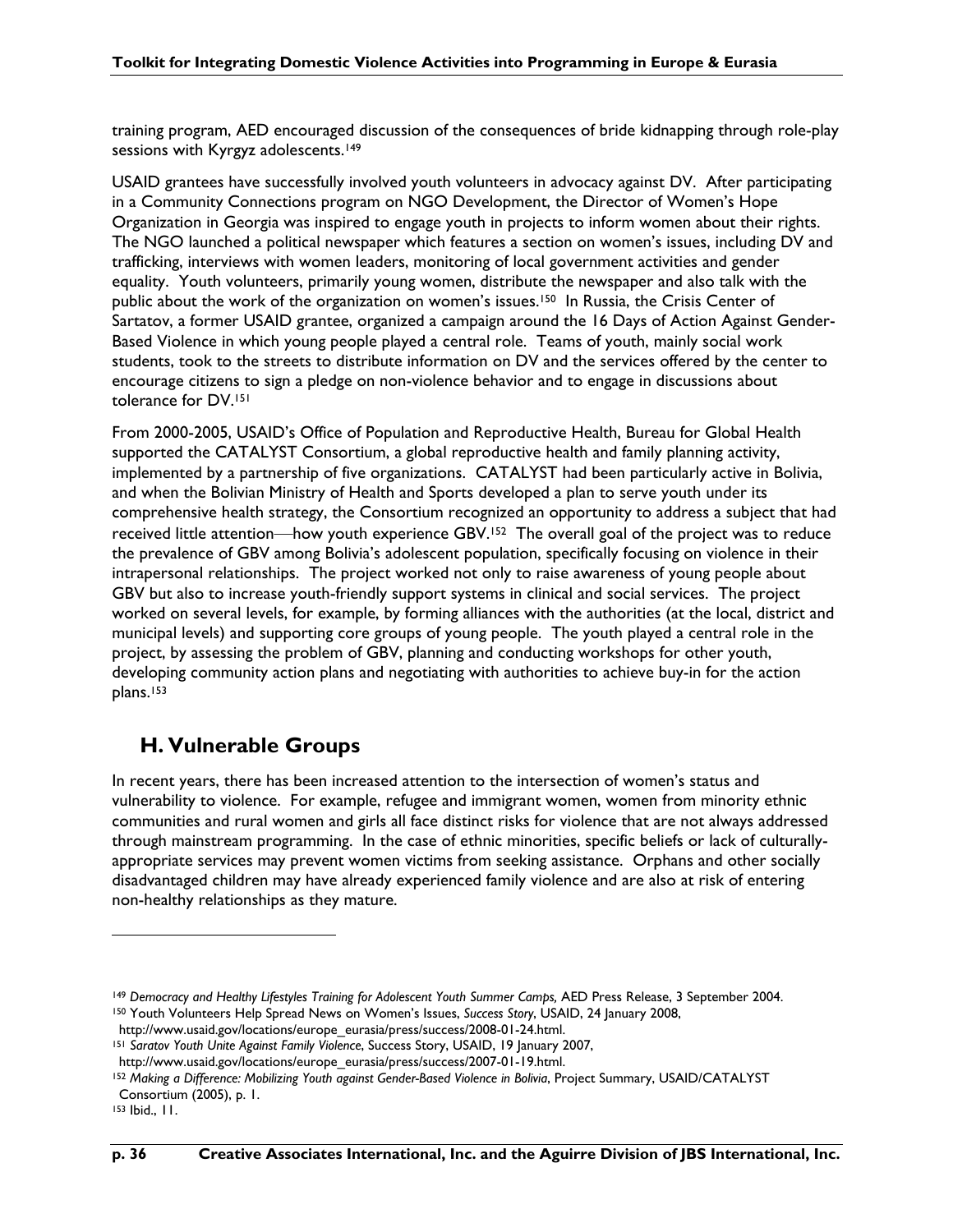training program, AED encouraged discussion of the consequences of bride kidnapping through role-play sessions with Kyrgyz adolescents.<sup>149</sup>

USAID grantees have successfully involved youth volunteers in advocacy against DV. After participating in a Community Connections program on NGO Development, the Director of Women's Hope Organization in Georgia was inspired to engage youth in projects to inform women about their rights. The NGO launched a political newspaper which features a section on women's issues, including DV and trafficking, interviews with women leaders, monitoring of local government activities and gender equality. Youth volunteers, primarily young women, distribute the newspaper and also talk with the public about the work of the organization on women's issues.<sup>150</sup> In Russia, the Crisis Center of Sartatov, a former USAID grantee, organized a campaign around the 16 Days of Action Against Gender-Based Violence in which young people played a central role. Teams of youth, mainly social work students, took to the streets to distribute information on DV and the services offered by the center to encourage citizens to sign a pledge on non-violence behavior and to engage in discussions about tolerance for DV.151

From 2000-2005, USAID's Office of Population and Reproductive Health, Bureau for Global Health supported the CATALYST Consortium, a global reproductive health and family planning activity, implemented by a partnership of five organizations. CATALYST had been particularly active in Bolivia, and when the Bolivian Ministry of Health and Sports developed a plan to serve youth under its comprehensive health strategy, the Consortium recognized an opportunity to address a subject that had received little attention—how youth experience GBV.152 The overall goal of the project was to reduce the prevalence of GBV among Bolivia's adolescent population, specifically focusing on violence in their intrapersonal relationships. The project worked not only to raise awareness of young people about GBV but also to increase youth-friendly support systems in clinical and social services. The project worked on several levels, for example, by forming alliances with the authorities (at the local, district and municipal levels) and supporting core groups of young people. The youth played a central role in the project, by assessing the problem of GBV, planning and conducting workshops for other youth, developing community action plans and negotiating with authorities to achieve buy-in for the action plans.153

### **H. Vulnerable Groups**

In recent years, there has been increased attention to the intersection of women's status and vulnerability to violence. For example, refugee and immigrant women, women from minority ethnic communities and rural women and girls all face distinct risks for violence that are not always addressed through mainstream programming. In the case of ethnic minorities, specific beliefs or lack of culturallyappropriate services may prevent women victims from seeking assistance. Orphans and other socially disadvantaged children may have already experienced family violence and are also at risk of entering non-healthy relationships as they mature.

153 Ibid., 11.

<sup>&</sup>lt;sup>149</sup> Democracy and Healthy Lifestyles Training for Adolescent Youth Summer Camps, AED Press Release, 3 September 2004.<br><sup>150</sup> Youth Volunteers Help Spread News on Women's Issues, Success Story, USAID, 24 January 2008,

http://www.usaid.gov/locations/europe\_eurasia/press/success/2008-01-24.html.

<sup>151</sup> *Saratov Youth Unite Against Family Violence*, Success Story, USAID, 19 January 2007,

http://www.usaid.gov/locations/europe\_eurasia/press/success/2007-01-19.html.

<sup>152</sup> *Making a Difference: Mobilizing Youth against Gender-Based Violence in Bolivia*, Project Summary, USAID/CATALYST Consortium (2005), p. 1.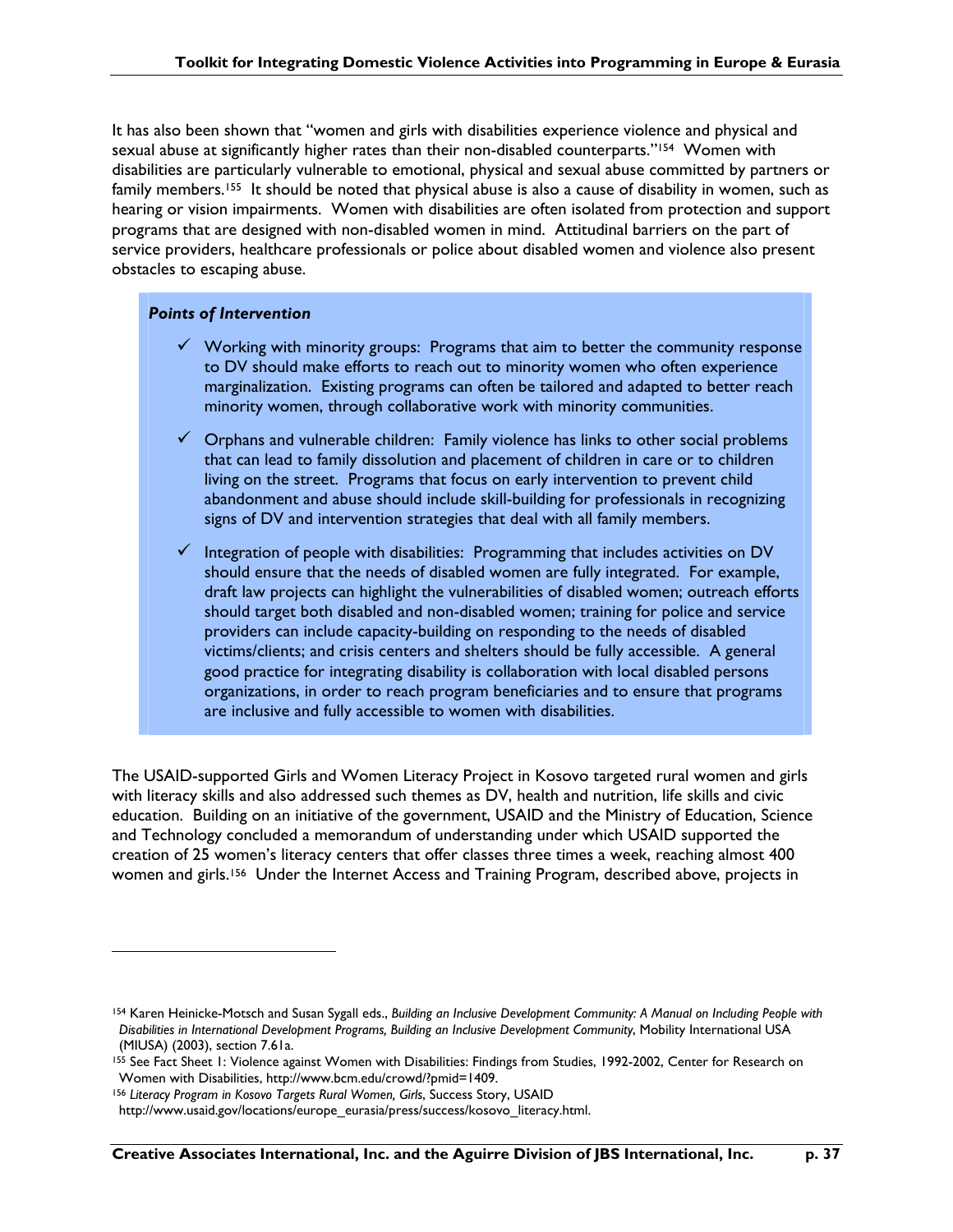It has also been shown that "women and girls with disabilities experience violence and physical and sexual abuse at significantly higher rates than their non-disabled counterparts."<sup>154</sup> Women with disabilities are particularly vulnerable to emotional, physical and sexual abuse committed by partners or family members.<sup>155</sup> It should be noted that physical abuse is also a cause of disability in women, such as hearing or vision impairments. Women with disabilities are often isolated from protection and support programs that are designed with non-disabled women in mind. Attitudinal barriers on the part of service providers, healthcare professionals or police about disabled women and violence also present obstacles to escaping abuse.

### *Points of Intervention*

 $\overline{a}$ 

- $\checkmark$  Working with minority groups: Programs that aim to better the community response to DV should make efforts to reach out to minority women who often experience marginalization. Existing programs can often be tailored and adapted to better reach minority women, through collaborative work with minority communities.
- $\checkmark$  Orphans and vulnerable children: Family violence has links to other social problems that can lead to family dissolution and placement of children in care or to children living on the street. Programs that focus on early intervention to prevent child abandonment and abuse should include skill-building for professionals in recognizing signs of DV and intervention strategies that deal with all family members.
- $\checkmark$  Integration of people with disabilities: Programming that includes activities on DV should ensure that the needs of disabled women are fully integrated. For example, draft law projects can highlight the vulnerabilities of disabled women; outreach efforts should target both disabled and non-disabled women; training for police and service providers can include capacity-building on responding to the needs of disabled victims/clients; and crisis centers and shelters should be fully accessible. A general good practice for integrating disability is collaboration with local disabled persons organizations, in order to reach program beneficiaries and to ensure that programs are inclusive and fully accessible to women with disabilities.

The USAID-supported Girls and Women Literacy Project in Kosovo targeted rural women and girls with literacy skills and also addressed such themes as DV, health and nutrition, life skills and civic education. Building on an initiative of the government, USAID and the Ministry of Education, Science and Technology concluded a memorandum of understanding under which USAID supported the creation of 25 women's literacy centers that offer classes three times a week, reaching almost 400 women and girls.<sup>156</sup> Under the Internet Access and Training Program, described above, projects in

<sup>154</sup> Karen Heinicke-Motsch and Susan Sygall eds., *Building an Inclusive Development Community: A Manual on Including People with Disabilities in International Development Programs, Building an Inclusive Development Community*, Mobility International USA (MIUSA) (2003), section 7.61a.

<sup>155</sup> See Fact Sheet 1: Violence against Women with Disabilities: Findings from Studies, 1992-2002, Center for Research on Women with Disabilities, http://www.bcm.edu/crowd/?pmid=1409.

<sup>156</sup> Literacy Program in Kosovo Targets Rural Women, Girls, Success Story, USAID

http://www.usaid.gov/locations/europe\_eurasia/press/success/kosovo\_literacy.html.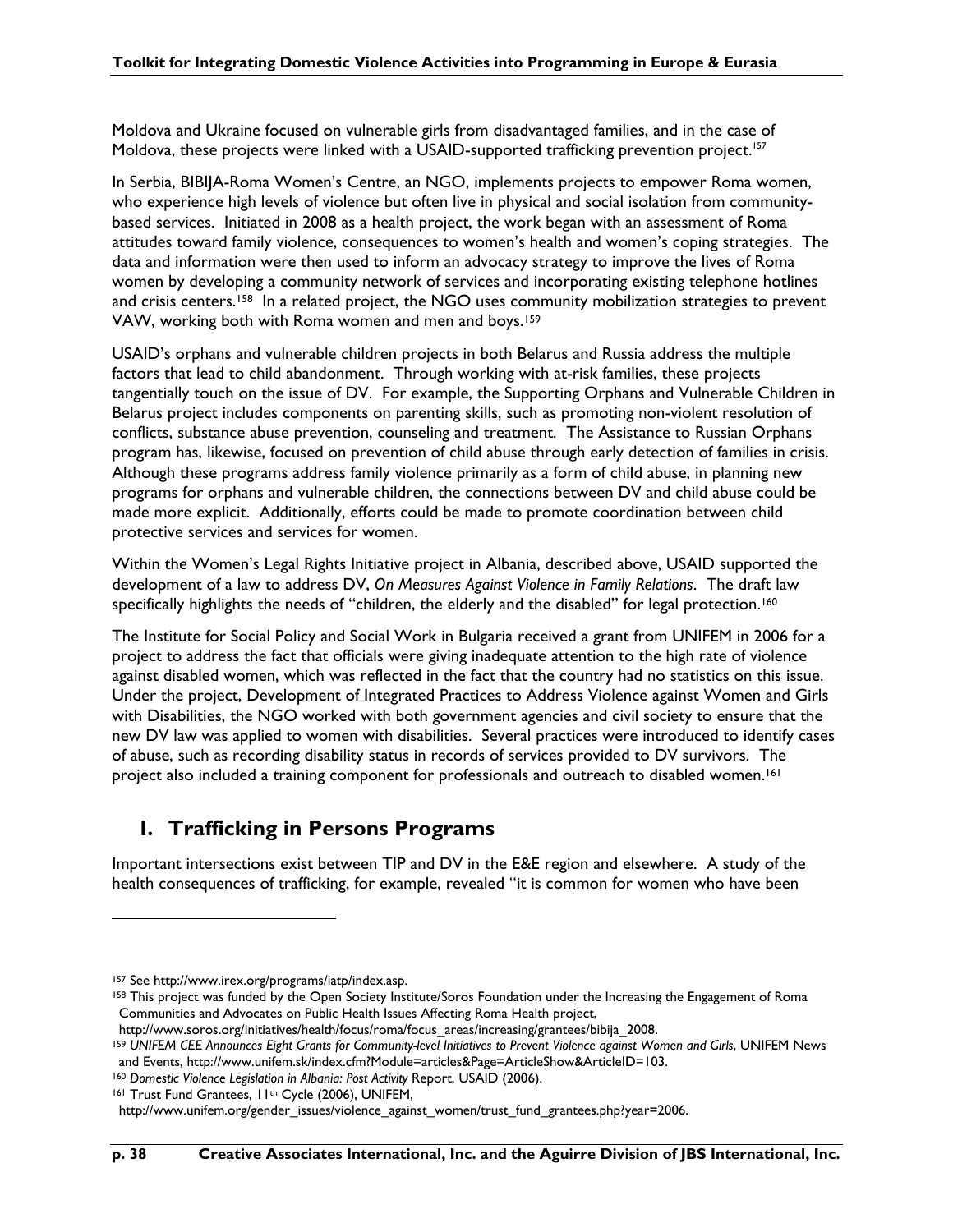Moldova and Ukraine focused on vulnerable girls from disadvantaged families, and in the case of Moldova, these projects were linked with a USAID-supported trafficking prevention project.<sup>157</sup>

In Serbia, BIBIJA-Roma Women's Centre, an NGO, implements projects to empower Roma women, who experience high levels of violence but often live in physical and social isolation from communitybased services. Initiated in 2008 as a health project, the work began with an assessment of Roma attitudes toward family violence, consequences to women's health and women's coping strategies. The data and information were then used to inform an advocacy strategy to improve the lives of Roma women by developing a community network of services and incorporating existing telephone hotlines and crisis centers.<sup>158</sup> In a related project, the NGO uses community mobilization strategies to prevent VAW, working both with Roma women and men and boys.159

USAID's orphans and vulnerable children projects in both Belarus and Russia address the multiple factors that lead to child abandonment. Through working with at-risk families, these projects tangentially touch on the issue of DV. For example, the Supporting Orphans and Vulnerable Children in Belarus project includes components on parenting skills, such as promoting non-violent resolution of conflicts, substance abuse prevention, counseling and treatment. The Assistance to Russian Orphans program has, likewise, focused on prevention of child abuse through early detection of families in crisis. Although these programs address family violence primarily as a form of child abuse, in planning new programs for orphans and vulnerable children, the connections between DV and child abuse could be made more explicit. Additionally, efforts could be made to promote coordination between child protective services and services for women.

Within the Women's Legal Rights Initiative project in Albania, described above, USAID supported the development of a law to address DV, *On Measures Against Violence in Family Relations*. The draft law specifically highlights the needs of "children, the elderly and the disabled" for legal protection.<sup>160</sup>

The Institute for Social Policy and Social Work in Bulgaria received a grant from UNIFEM in 2006 for a project to address the fact that officials were giving inadequate attention to the high rate of violence against disabled women, which was reflected in the fact that the country had no statistics on this issue. Under the project, Development of Integrated Practices to Address Violence against Women and Girls with Disabilities, the NGO worked with both government agencies and civil society to ensure that the new DV law was applied to women with disabilities. Several practices were introduced to identify cases of abuse, such as recording disability status in records of services provided to DV survivors. The project also included a training component for professionals and outreach to disabled women.<sup>161</sup>

### **I. Trafficking in Persons Programs**

Important intersections exist between TIP and DV in the E&E region and elsewhere. A study of the health consequences of trafficking, for example, revealed "it is common for women who have been

<sup>157</sup> See http://www.irex.org/programs/iatp/index.asp.

<sup>158</sup> This project was funded by the Open Society Institute/Soros Foundation under the Increasing the Engagement of Roma Communities and Advocates on Public Health Issues Affecting Roma Health project,

http://www.soros.org/initiatives/health/focus/roma/focus\_areas/increasing/grantees/bibija\_2008.

<sup>&</sup>lt;sup>159</sup> UNIFEM CEE Announces Eight Grants for Community-level Initiatives to Prevent Violence against Women and Girls, UNIFEM News and Events, http://www.unifem.sk/index.cfm?Module=articles&Page=ArticleShow&ArticleID=103.

<sup>160</sup> *Domestic Violence Legislation in Albania: Post Activity* Report, USAID (2006).

<sup>161</sup> Trust Fund Grantees, II<sup>th</sup> Cycle (2006), UNIFEM,

http://www.unifem.org/gender\_issues/violence\_against\_women/trust\_fund\_grantees.php?year=2006.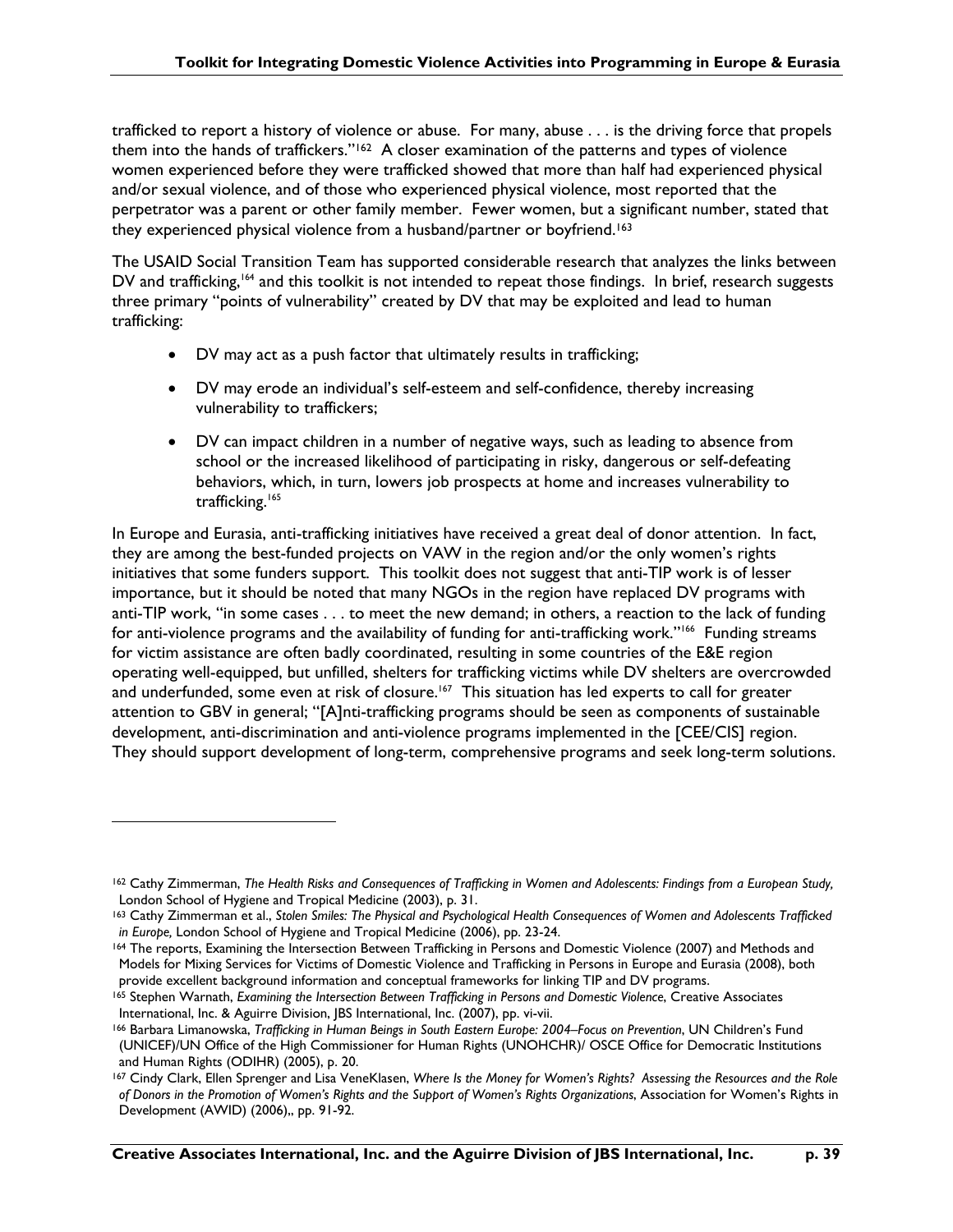trafficked to report a history of violence or abuse. For many, abuse . . . is the driving force that propels them into the hands of traffickers." $162$  A closer examination of the patterns and types of violence women experienced before they were trafficked showed that more than half had experienced physical and/or sexual violence, and of those who experienced physical violence, most reported that the perpetrator was a parent or other family member. Fewer women, but a significant number, stated that they experienced physical violence from a husband/partner or boyfriend.<sup>163</sup>

The USAID Social Transition Team has supported considerable research that analyzes the links between DV and trafficking,<sup>164</sup> and this toolkit is not intended to repeat those findings. In brief, research suggests three primary "points of vulnerability" created by DV that may be exploited and lead to human trafficking:

- DV may act as a push factor that ultimately results in trafficking;
- DV may erode an individual's self-esteem and self-confidence, thereby increasing vulnerability to traffickers;
- DV can impact children in a number of negative ways, such as leading to absence from school or the increased likelihood of participating in risky, dangerous or self-defeating behaviors, which, in turn, lowers job prospects at home and increases vulnerability to trafficking.<sup>165</sup>

In Europe and Eurasia, anti-trafficking initiatives have received a great deal of donor attention. In fact, they are among the best-funded projects on VAW in the region and/or the only women's rights initiatives that some funders support. This toolkit does not suggest that anti-TIP work is of lesser importance, but it should be noted that many NGOs in the region have replaced DV programs with anti-TIP work, "in some cases . . . to meet the new demand; in others, a reaction to the lack of funding for anti-violence programs and the availability of funding for anti-trafficking work."<sup>166</sup> Funding streams for victim assistance are often badly coordinated, resulting in some countries of the E&E region operating well-equipped, but unfilled, shelters for trafficking victims while DV shelters are overcrowded and underfunded, some even at risk of closure.<sup>167</sup> This situation has led experts to call for greater attention to GBV in general; "[A]nti-trafficking programs should be seen as components of sustainable development, anti-discrimination and anti-violence programs implemented in the [CEE/CIS] region. They should support development of long-term, comprehensive programs and seek long-term solutions.

<sup>162</sup> Cathy Zimmerman, *The Health Risks and Consequences of Trafficking in Women and Adolescents: Findings from a European Study,* London School of Hygiene and Tropical Medicine (2003), p. 31.

<sup>163</sup> Cathy Zimmerman et al., *Stolen Smiles: The Physical and Psychological Health Consequences of Women and Adolescents Trafficked in Europe,* London School of Hygiene and Tropical Medicine (2006), pp. 23-24.

<sup>164</sup> The reports, Examining the Intersection Between Trafficking in Persons and Domestic Violence (2007) and Methods and Models for Mixing Services for Victims of Domestic Violence and Trafficking in Persons in Europe and Eurasia (2008), both provide excellent background information and conceptual frameworks for linking TIP and DV programs.<br><sup>165</sup> Stephen Warnath, *Examining the Intersection Between Trafficking in Persons and Domestic Violence, Creative Associat* 

International, Inc. & Aguirre Division, JBS International, Inc. (2007), pp. vi-vii.

<sup>166</sup> Barbara Limanowska, *Trafficking in Human Beings in South Eastern Europe: 2004–Focus on Prevention*, UN Children's Fund (UNICEF)/UN Office of the High Commissioner for Human Rights (UNOHCHR)/ OSCE Office for Democratic Institutions and Human Rights (ODIHR) (2005), p. 20.

<sup>167</sup> Cindy Clark, Ellen Sprenger and Lisa VeneKlasen, *Where Is the Money for Women's Rights? Assessing the Resources and the Role of Donors in the Promotion of Women's Rights and the Support of Women's Rights Organizations*, Association for Women's Rights in Development (AWID) (2006),, pp. 91-92.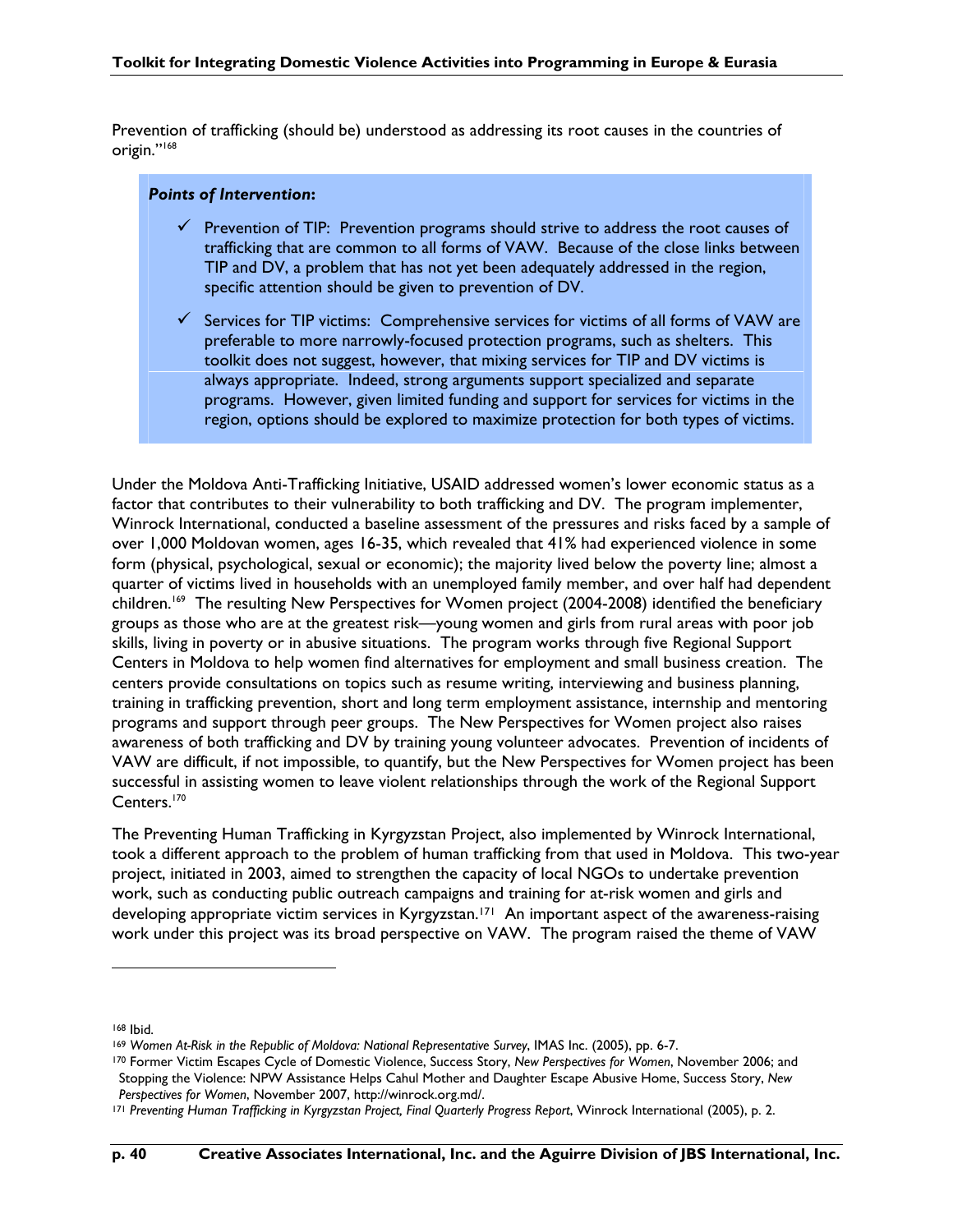Prevention of trafficking (should be) understood as addressing its root causes in the countries of origin."168

#### *Points of Intervention***:**

- $\checkmark$  Prevention of TIP: Prevention programs should strive to address the root causes of trafficking that are common to all forms of VAW. Because of the close links between TIP and DV, a problem that has not yet been adequately addressed in the region, specific attention should be given to prevention of DV.
- $\checkmark$  Services for TIP victims: Comprehensive services for victims of all forms of VAW are preferable to more narrowly-focused protection programs, such as shelters. This toolkit does not suggest, however, that mixing services for TIP and DV victims is always appropriate. Indeed, strong arguments support specialized and separate programs. However, given limited funding and support for services for victims in the region, options should be explored to maximize protection for both types of victims.

Under the Moldova Anti-Trafficking Initiative, USAID addressed women's lower economic status as a factor that contributes to their vulnerability to both trafficking and DV. The program implementer, Winrock International, conducted a baseline assessment of the pressures and risks faced by a sample of over 1,000 Moldovan women, ages 16-35, which revealed that 41% had experienced violence in some form (physical, psychological, sexual or economic); the majority lived below the poverty line; almost a quarter of victims lived in households with an unemployed family member, and over half had dependent children.<sup>169</sup> The resulting New Perspectives for Women project (2004-2008) identified the beneficiary groups as those who are at the greatest risk—young women and girls from rural areas with poor job skills, living in poverty or in abusive situations. The program works through five Regional Support Centers in Moldova to help women find alternatives for employment and small business creation. The centers provide consultations on topics such as resume writing, interviewing and business planning, training in trafficking prevention, short and long term employment assistance, internship and mentoring programs and support through peer groups. The New Perspectives for Women project also raises awareness of both trafficking and DV by training young volunteer advocates. Prevention of incidents of VAW are difficult, if not impossible, to quantify, but the New Perspectives for Women project has been successful in assisting women to leave violent relationships through the work of the Regional Support Centers.<sup>170</sup>

The Preventing Human Trafficking in Kyrgyzstan Project, also implemented by Winrock International, took a different approach to the problem of human trafficking from that used in Moldova. This two-year project, initiated in 2003, aimed to strengthen the capacity of local NGOs to undertake prevention work, such as conducting public outreach campaigns and training for at-risk women and girls and developing appropriate victim services in Kyrgyzstan.<sup>171</sup> An important aspect of the awareness-raising work under this project was its broad perspective on VAW. The program raised the theme of VAW

<sup>168</sup> Ibid.

<sup>169</sup> *Women At-Risk in the Republic of Moldova: National Representative Survey*, IMAS Inc. (2005), pp. 6-7.

<sup>170</sup> Former Victim Escapes Cycle of Domestic Violence, Success Story, *New Perspectives for Women*, November 2006; and Stopping the Violence: NPW Assistance Helps Cahul Mother and Daughter Escape Abusive Home, Success Story, *New Perspectives for Women*, November 2007, http://winrock.org.md/.

<sup>171</sup> *Preventing Human Trafficking in Kyrgyzstan Project, Final Quarterly Progress Report*, Winrock International (2005), p. 2.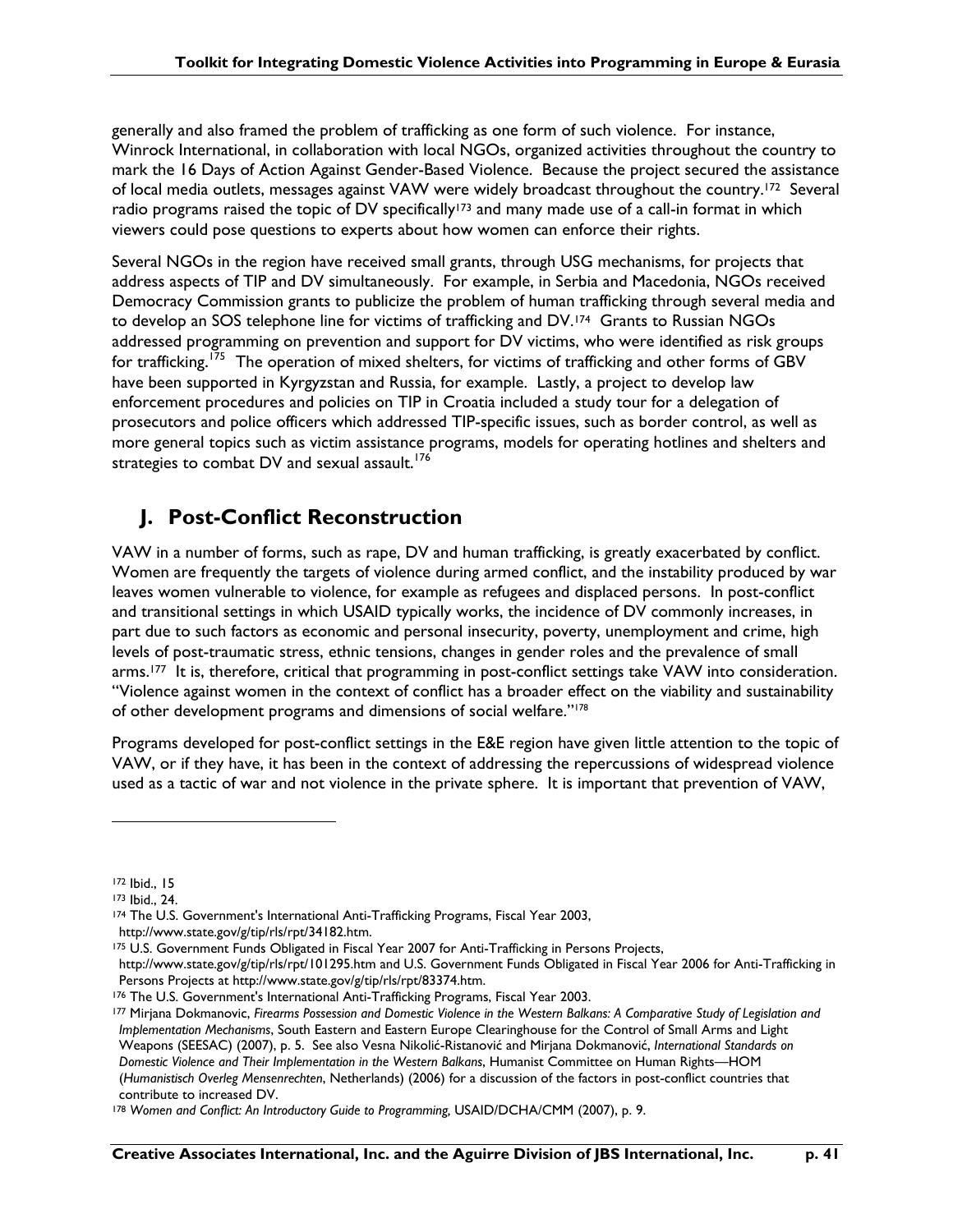generally and also framed the problem of trafficking as one form of such violence. For instance, Winrock International, in collaboration with local NGOs, organized activities throughout the country to mark the 16 Days of Action Against Gender-Based Violence. Because the project secured the assistance of local media outlets, messages against VAW were widely broadcast throughout the country.172 Several radio programs raised the topic of DV specifically<sup>173</sup> and many made use of a call-in format in which viewers could pose questions to experts about how women can enforce their rights.

Several NGOs in the region have received small grants, through USG mechanisms, for projects that address aspects of TIP and DV simultaneously. For example, in Serbia and Macedonia, NGOs received Democracy Commission grants to publicize the problem of human trafficking through several media and to develop an SOS telephone line for victims of trafficking and DV.<sup>174</sup> Grants to Russian NGOs addressed programming on prevention and support for DV victims, who were identified as risk groups for trafficking. <sup>175</sup> The operation of mixed shelters, for victims of trafficking and other forms of GBV have been supported in Kyrgyzstan and Russia, for example. Lastly, a project to develop law enforcement procedures and policies on TIP in Croatia included a study tour for a delegation of prosecutors and police officers which addressed TIP-specific issues, such as border control, as well as more general topics such as victim assistance programs, models for operating hotlines and shelters and strategies to combat DV and sexual assault.<sup>176</sup>

## **J. Post-Conflict Reconstruction**

VAW in a number of forms, such as rape, DV and human trafficking, is greatly exacerbated by conflict. Women are frequently the targets of violence during armed conflict, and the instability produced by war leaves women vulnerable to violence, for example as refugees and displaced persons. In post-conflict and transitional settings in which USAID typically works, the incidence of DV commonly increases, in part due to such factors as economic and personal insecurity, poverty, unemployment and crime, high levels of post-traumatic stress, ethnic tensions, changes in gender roles and the prevalence of small arms.177 It is, therefore, critical that programming in post-conflict settings take VAW into consideration. "Violence against women in the context of conflict has a broader effect on the viability and sustainability of other development programs and dimensions of social welfare."178

Programs developed for post-conflict settings in the E&E region have given little attention to the topic of VAW, or if they have, it has been in the context of addressing the repercussions of widespread violence used as a tactic of war and not violence in the private sphere. It is important that prevention of VAW,

<sup>172</sup> Ibid., 15

<sup>173</sup> Ibid., 24.

<sup>174</sup> The U.S. Government's International Anti-Trafficking Programs, Fiscal Year 2003,

http://www.state.gov/g/tip/rls/rpt/34182.htm.

<sup>175</sup> U.S. Government Funds Obligated in Fiscal Year 2007 for Anti-Trafficking in Persons Projects,

http://www.state.gov/g/tip/rls/rpt/101295.htm and U.S. Government Funds Obligated in Fiscal Year 2006 for Anti-Trafficking in Persons Projects at http://www.state.gov/g/tip/rls/rpt/83374.htm.

<sup>176</sup> The U.S. Government's International Anti-Trafficking Programs, Fiscal Year 2003.

<sup>177</sup> Mirjana Dokmanovic, *Firearms Possession and Domestic Violence in the Western Balkans: A Comparative Study of Legislation and Implementation Mechanisms*, South Eastern and Eastern Europe Clearinghouse for the Control of Small Arms and Light Weapons (SEESAC) (2007), p. 5. See also Vesna Nikolić-Ristanović and Mirjana Dokmanović, *International Standards on Domestic Violence and Their Implementation in the Western Balkans*, Humanist Committee on Human Rights—HOM (*Humanistisch Overleg Mensenrechten*, Netherlands) (2006) for a discussion of the factors in post-conflict countries that contribute to increased DV.

<sup>178</sup> Women and Conflict: An Introductory Guide to Programming, USAID/DCHA/CMM (2007), p. 9.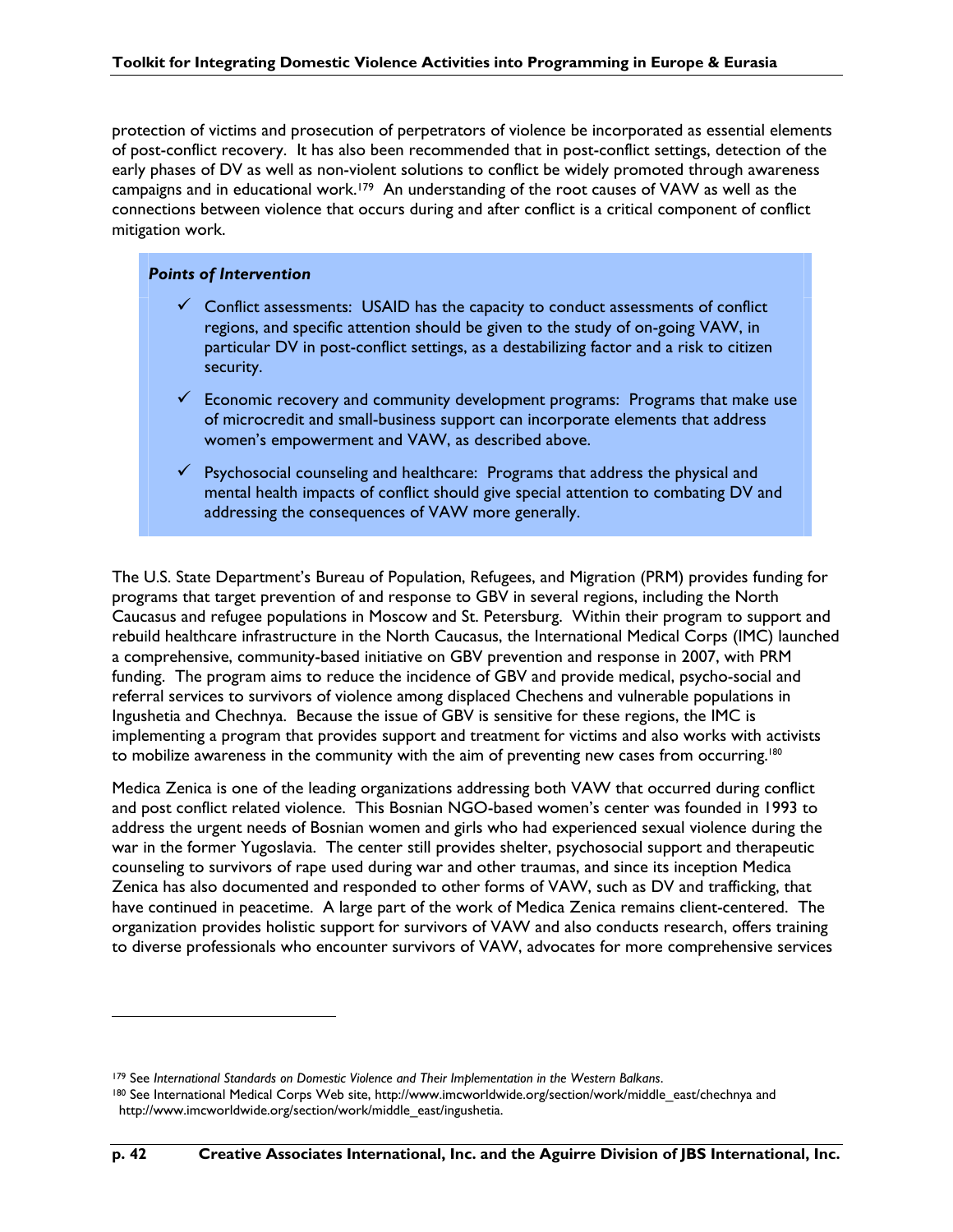protection of victims and prosecution of perpetrators of violence be incorporated as essential elements of post-conflict recovery. It has also been recommended that in post-conflict settings, detection of the early phases of DV as well as non-violent solutions to conflict be widely promoted through awareness campaigns and in educational work.179 An understanding of the root causes of VAW as well as the connections between violence that occurs during and after conflict is a critical component of conflict mitigation work.

### *Points of Intervention*

- $\checkmark$  Conflict assessments: USAID has the capacity to conduct assessments of conflict regions, and specific attention should be given to the study of on-going VAW, in particular DV in post-conflict settings, as a destabilizing factor and a risk to citizen security.
- $\checkmark$  Economic recovery and community development programs: Programs that make use of microcredit and small-business support can incorporate elements that address women's empowerment and VAW, as described above.
- $\checkmark$  Psychosocial counseling and healthcare: Programs that address the physical and mental health impacts of conflict should give special attention to combating DV and addressing the consequences of VAW more generally.

The U.S. State Department's Bureau of Population, Refugees, and Migration (PRM) provides funding for programs that target prevention of and response to GBV in several regions, including the North Caucasus and refugee populations in Moscow and St. Petersburg. Within their program to support and rebuild healthcare infrastructure in the North Caucasus, the International Medical Corps (IMC) launched a comprehensive, community-based initiative on GBV prevention and response in 2007, with PRM funding. The program aims to reduce the incidence of GBV and provide medical, psycho-social and referral services to survivors of violence among displaced Chechens and vulnerable populations in Ingushetia and Chechnya. Because the issue of GBV is sensitive for these regions, the IMC is implementing a program that provides support and treatment for victims and also works with activists to mobilize awareness in the community with the aim of preventing new cases from occurring.<sup>180</sup>

Medica Zenica is one of the leading organizations addressing both VAW that occurred during conflict and post conflict related violence. This Bosnian NGO-based women's center was founded in 1993 to address the urgent needs of Bosnian women and girls who had experienced sexual violence during the war in the former Yugoslavia. The center still provides shelter, psychosocial support and therapeutic counseling to survivors of rape used during war and other traumas, and since its inception Medica Zenica has also documented and responded to other forms of VAW, such as DV and trafficking, that have continued in peacetime. A large part of the work of Medica Zenica remains client-centered. The organization provides holistic support for survivors of VAW and also conducts research, offers training to diverse professionals who encounter survivors of VAW, advocates for more comprehensive services

<sup>179</sup> See *International Standards on Domestic Violence and Their Implementation in the Western Balkans*.

<sup>180</sup> See International Medical Corps Web site, http://www.imcworldwide.org/section/work/middle\_east/chechnya and http://www.imcworldwide.org/section/work/middle\_east/ingushetia.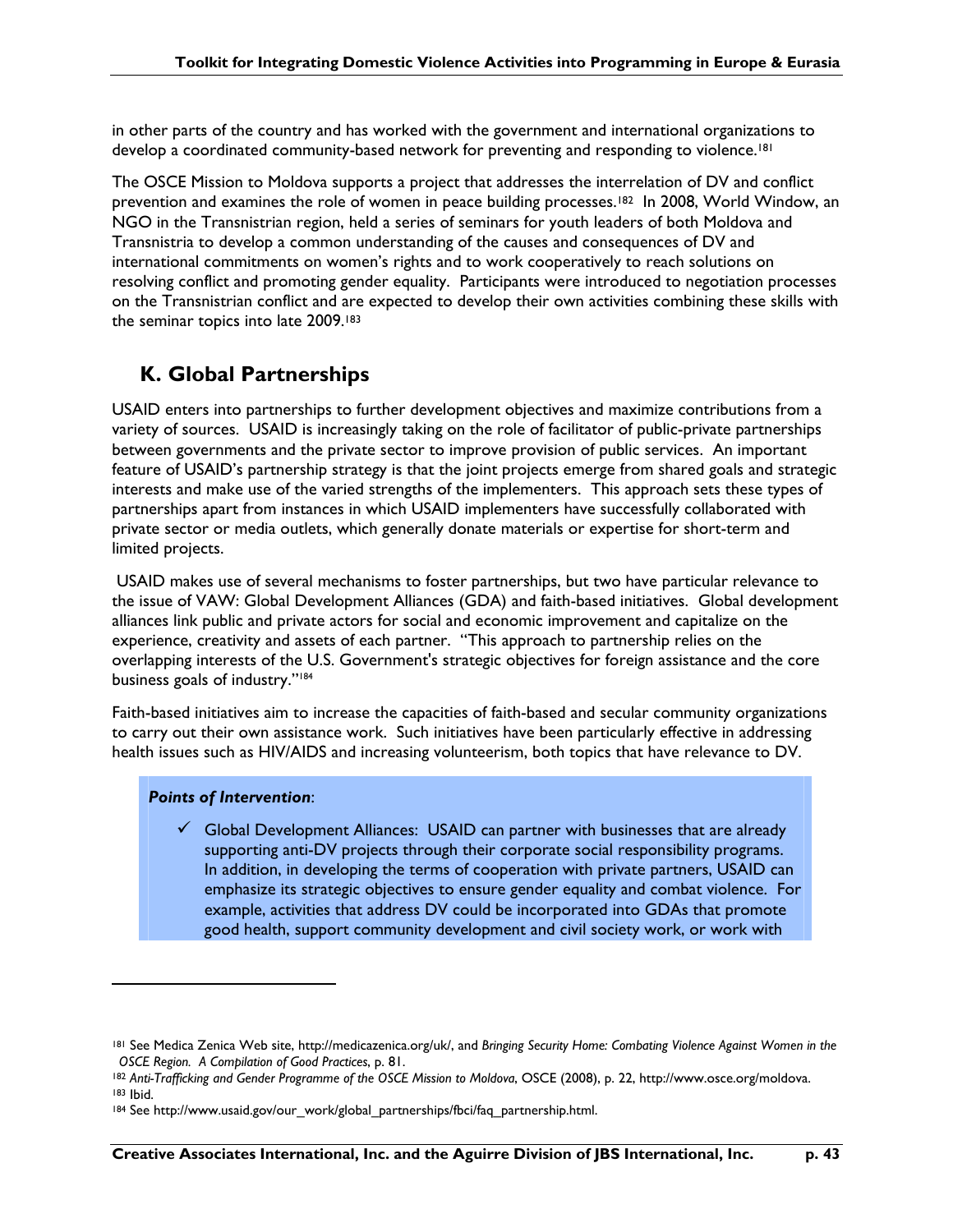in other parts of the country and has worked with the government and international organizations to develop a coordinated community-based network for preventing and responding to violence.<sup>[8]</sup>

The OSCE Mission to Moldova supports a project that addresses the interrelation of DV and conflict prevention and examines the role of women in peace building processes.182 In 2008, World Window, an NGO in the Transnistrian region, held a series of seminars for youth leaders of both Moldova and Transnistria to develop a common understanding of the causes and consequences of DV and international commitments on women's rights and to work cooperatively to reach solutions on resolving conflict and promoting gender equality. Participants were introduced to negotiation processes on the Transnistrian conflict and are expected to develop their own activities combining these skills with the seminar topics into late 2009.<sup>183</sup>

## **K. Global Partnerships**

USAID enters into partnerships to further development objectives and maximize contributions from a variety of sources. USAID is increasingly taking on the role of facilitator of public-private partnerships between governments and the private sector to improve provision of public services. An important feature of USAID's partnership strategy is that the joint projects emerge from shared goals and strategic interests and make use of the varied strengths of the implementers. This approach sets these types of partnerships apart from instances in which USAID implementers have successfully collaborated with private sector or media outlets, which generally donate materials or expertise for short-term and limited projects.

 USAID makes use of several mechanisms to foster partnerships, but two have particular relevance to the issue of VAW: Global Development Alliances (GDA) and faith-based initiatives. Global development alliances link public and private actors for social and economic improvement and capitalize on the experience, creativity and assets of each partner. "This approach to partnership relies on the overlapping interests of the U.S. Government's strategic objectives for foreign assistance and the core business goals of industry."184

Faith-based initiatives aim to increase the capacities of faith-based and secular community organizations to carry out their own assistance work. Such initiatives have been particularly effective in addressing health issues such as HIV/AIDS and increasing volunteerism, both topics that have relevance to DV.

### *Points of Intervention*:

 $\overline{a}$ 

 $\checkmark$  Global Development Alliances: USAID can partner with businesses that are already supporting anti-DV projects through their corporate social responsibility programs. In addition, in developing the terms of cooperation with private partners, USAID can emphasize its strategic objectives to ensure gender equality and combat violence. For example, activities that address DV could be incorporated into GDAs that promote good health, support community development and civil society work, or work with

<sup>181</sup> See Medica Zenica Web site, http://medicazenica.org/uk/, and *Bringing Security Home: Combating Violence Against Women in the OSCE Region. A Compilation of Good Practices*, p. 81.

<sup>182</sup> *Anti-Trafficking and Gender Programme of the OSCE Mission to Moldova*, OSCE (2008), p. 22, http://www.osce.org/moldova. 183 Ibid.

<sup>184</sup> See http://www.usaid.gov/our\_work/global\_partnerships/fbci/faq\_partnership.html.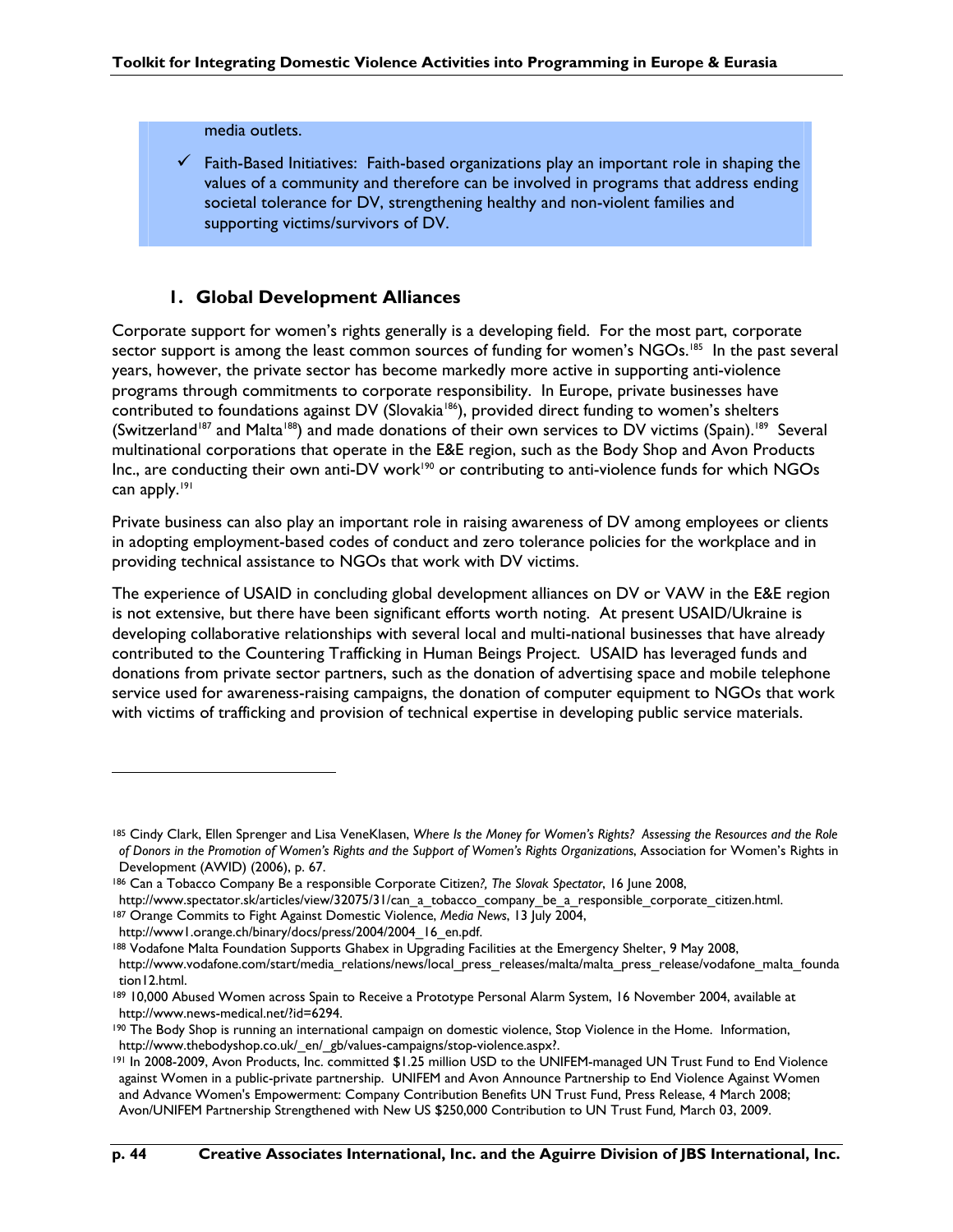#### media outlets.

Faith-Based Initiatives: Faith-based organizations play an important role in shaping the values of a community and therefore can be involved in programs that address ending societal tolerance for DV, strengthening healthy and non-violent families and supporting victims/survivors of DV.

### **1. Global Development Alliances**

Corporate support for women's rights generally is a developing field. For the most part, corporate sector support is among the least common sources of funding for women's NGOs.<sup>185</sup> In the past several years, however, the private sector has become markedly more active in supporting anti-violence programs through commitments to corporate responsibility. In Europe, private businesses have contributed to foundations against DV (Slovakia<sup>186</sup>), provided direct funding to women's shelters (Switzerland<sup>187</sup> and Malta<sup>188</sup>) and made donations of their own services to DV victims (Spain).<sup>189</sup> Several multinational corporations that operate in the E&E region, such as the Body Shop and Avon Products Inc., are conducting their own anti-DV work<sup>190</sup> or contributing to anti-violence funds for which NGOs can apply.<sup>191</sup>

Private business can also play an important role in raising awareness of DV among employees or clients in adopting employment-based codes of conduct and zero tolerance policies for the workplace and in providing technical assistance to NGOs that work with DV victims.

The experience of USAID in concluding global development alliances on DV or VAW in the E&E region is not extensive, but there have been significant efforts worth noting. At present USAID/Ukraine is developing collaborative relationships with several local and multi-national businesses that have already contributed to the Countering Trafficking in Human Beings Project. USAID has leveraged funds and donations from private sector partners, such as the donation of advertising space and mobile telephone service used for awareness-raising campaigns, the donation of computer equipment to NGOs that work with victims of trafficking and provision of technical expertise in developing public service materials.

<sup>185</sup> Cindy Clark, Ellen Sprenger and Lisa VeneKlasen, *Where Is the Money for Women's Rights? Assessing the Resources and the Role of Donors in the Promotion of Women's Rights and the Support of Women's Rights Organizations*, Association for Women's Rights in Development (AWID) (2006), p. 67.

<sup>186</sup> Can a Tobacco Company Be a responsible Corporate Citizen*?, The Slovak Spectator*, 16 June 2008,

http://www.spectator.sk/articles/view/32075/31/can\_a\_tobacco\_company\_be\_a\_responsible\_corporate\_citizen.html.

<sup>187</sup> Orange Commits to Fight Against Domestic Violence, *Media News*, 13 July 2004,

http://www1.orange.ch/binary/docs/press/2004/2004\_16\_en.pdf.

<sup>188</sup> Vodafone Malta Foundation Supports Ghabex in Upgrading Facilities at the Emergency Shelter, 9 May 2008, http://www.vodafone.com/start/media\_relations/news/local\_press\_releases/malta/malta\_press\_release/vodafone\_malta\_founda tion12.html.

<sup>189 10,000</sup> Abused Women across Spain to Receive a Prototype Personal Alarm System, 16 November 2004, available at http://www.news-medical.net/?id=6294.

<sup>190</sup> The Body Shop is running an international campaign on domestic violence, Stop Violence in the Home. Information, http://www.thebodyshop.co.uk/\_en/\_gb/values-campaigns/stop-violence.aspx?.

<sup>191</sup> In 2008-2009, Avon Products, Inc. committed \$1.25 million USD to the UNIFEM-managed UN Trust Fund to End Violence against Women in a public-private partnership. UNIFEM and Avon Announce Partnership to End Violence Against Women and Advance Women's Empowerment: Company Contribution Benefits UN Trust Fund, Press Release, 4 March 2008; Avon/UNIFEM Partnership Strengthened with New US \$250,000 Contribution to UN Trust Fund*,* March 03, 2009.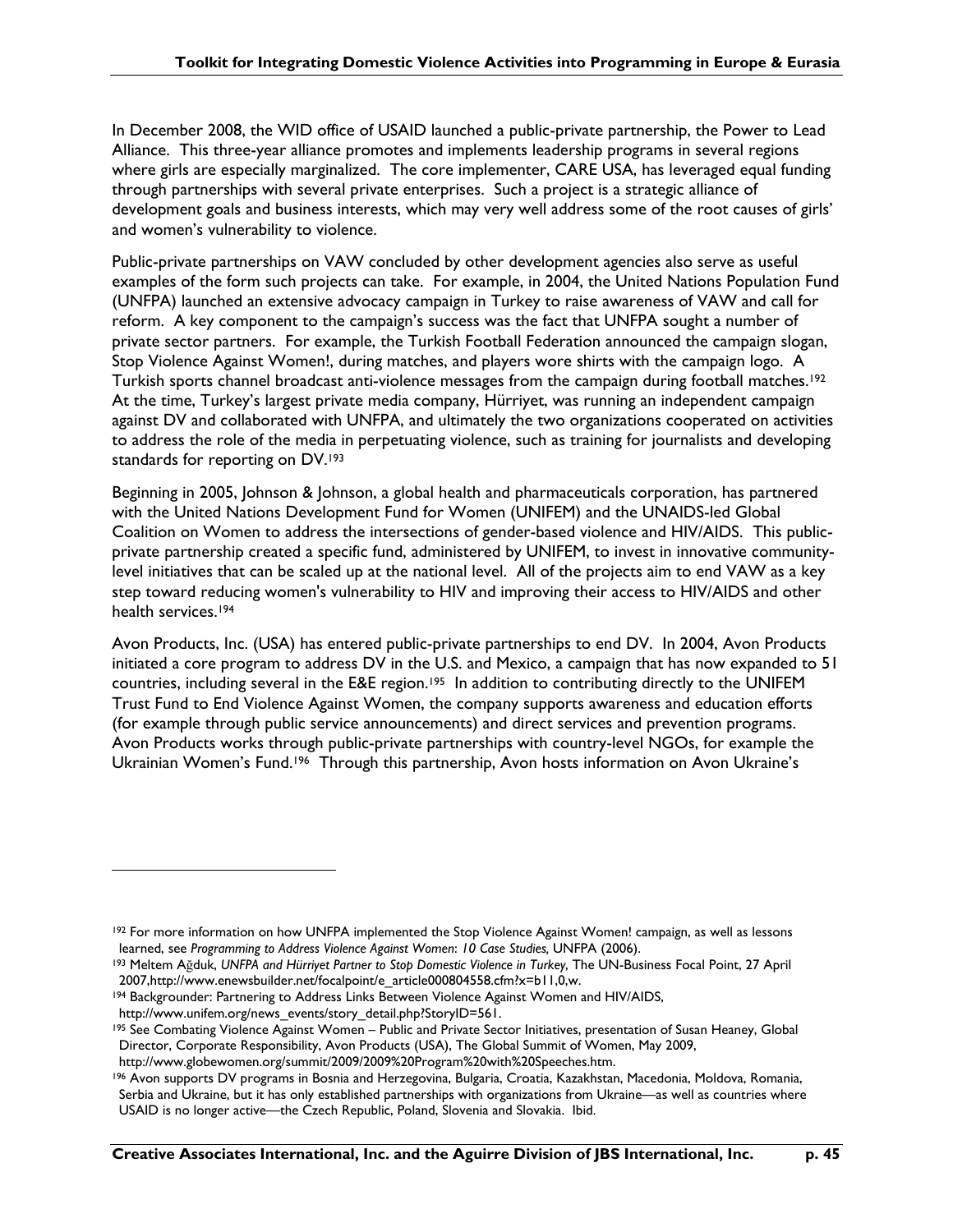In December 2008, the WID office of USAID launched a public-private partnership, the Power to Lead Alliance. This three-year alliance promotes and implements leadership programs in several regions where girls are especially marginalized. The core implementer, CARE USA, has leveraged equal funding through partnerships with several private enterprises. Such a project is a strategic alliance of development goals and business interests, which may very well address some of the root causes of girls' and women's vulnerability to violence.

Public-private partnerships on VAW concluded by other development agencies also serve as useful examples of the form such projects can take. For example, in 2004, the United Nations Population Fund (UNFPA) launched an extensive advocacy campaign in Turkey to raise awareness of VAW and call for reform. A key component to the campaign's success was the fact that UNFPA sought a number of private sector partners. For example, the Turkish Football Federation announced the campaign slogan, Stop Violence Against Women!, during matches, and players wore shirts with the campaign logo. A Turkish sports channel broadcast anti-violence messages from the campaign during football matches.192 At the time, Turkey's largest private media company, Hürriyet, was running an independent campaign against DV and collaborated with UNFPA, and ultimately the two organizations cooperated on activities to address the role of the media in perpetuating violence, such as training for journalists and developing standards for reporting on DV.193

Beginning in 2005, Johnson & Johnson, a global health and pharmaceuticals corporation, has partnered with the United Nations Development Fund for Women (UNIFEM) and the UNAIDS-led Global Coalition on Women to address the intersections of gender-based violence and HIV/AIDS. This publicprivate partnership created a specific fund, administered by UNIFEM, to invest in innovative communitylevel initiatives that can be scaled up at the national level. All of the projects aim to end VAW as a key step toward reducing women's vulnerability to HIV and improving their access to HIV/AIDS and other health services.194

Avon Products, Inc. (USA) has entered public-private partnerships to end DV. In 2004, Avon Products initiated a core program to address DV in the U.S. and Mexico, a campaign that has now expanded to 51 countries, including several in the E&E region.<sup>195</sup> In addition to contributing directly to the UNIFEM Trust Fund to End Violence Against Women, the company supports awareness and education efforts (for example through public service announcements) and direct services and prevention programs. Avon Products works through public-private partnerships with country-level NGOs, for example the Ukrainian Women's Fund.<sup>196</sup> Through this partnership, Avon hosts information on Avon Ukraine's

194 Backgrounder: Partnering to Address Links Between Violence Against Women and HIV/AIDS, http://www.unifem.org/news\_events/story\_detail.php?StoryID=561.

<sup>&</sup>lt;sup>192</sup> For more information on how UNFPA implemented the Stop Violence Against Women! campaign, as well as lessons learned, see *Programming to Address Violence Against Women*: *10 Case Studies,* UNFPA (2006).

<sup>193</sup> Meltem Ağduk, *UNFPA and Hürriyet Partner to Stop Domestic Violence in Turkey*, The UN-Business Focal Point, 27 April 2007,http://www.enewsbuilder.net/focalpoint/e\_article000804558.cfm?x=b11,0,w.

<sup>195</sup> See Combating Violence Against Women – Public and Private Sector Initiatives, presentation of Susan Heaney, Global Director, Corporate Responsibility, Avon Products (USA), The Global Summit of Women, May 2009,

http://www.globewomen.org/summit/2009/2009%20Program%20with%20Speeches.htm.

<sup>196</sup> Avon supports DV programs in Bosnia and Herzegovina, Bulgaria, Croatia, Kazakhstan, Macedonia, Moldova, Romania, Serbia and Ukraine, but it has only established partnerships with organizations from Ukraine—as well as countries where USAID is no longer active—the Czech Republic, Poland, Slovenia and Slovakia. Ibid.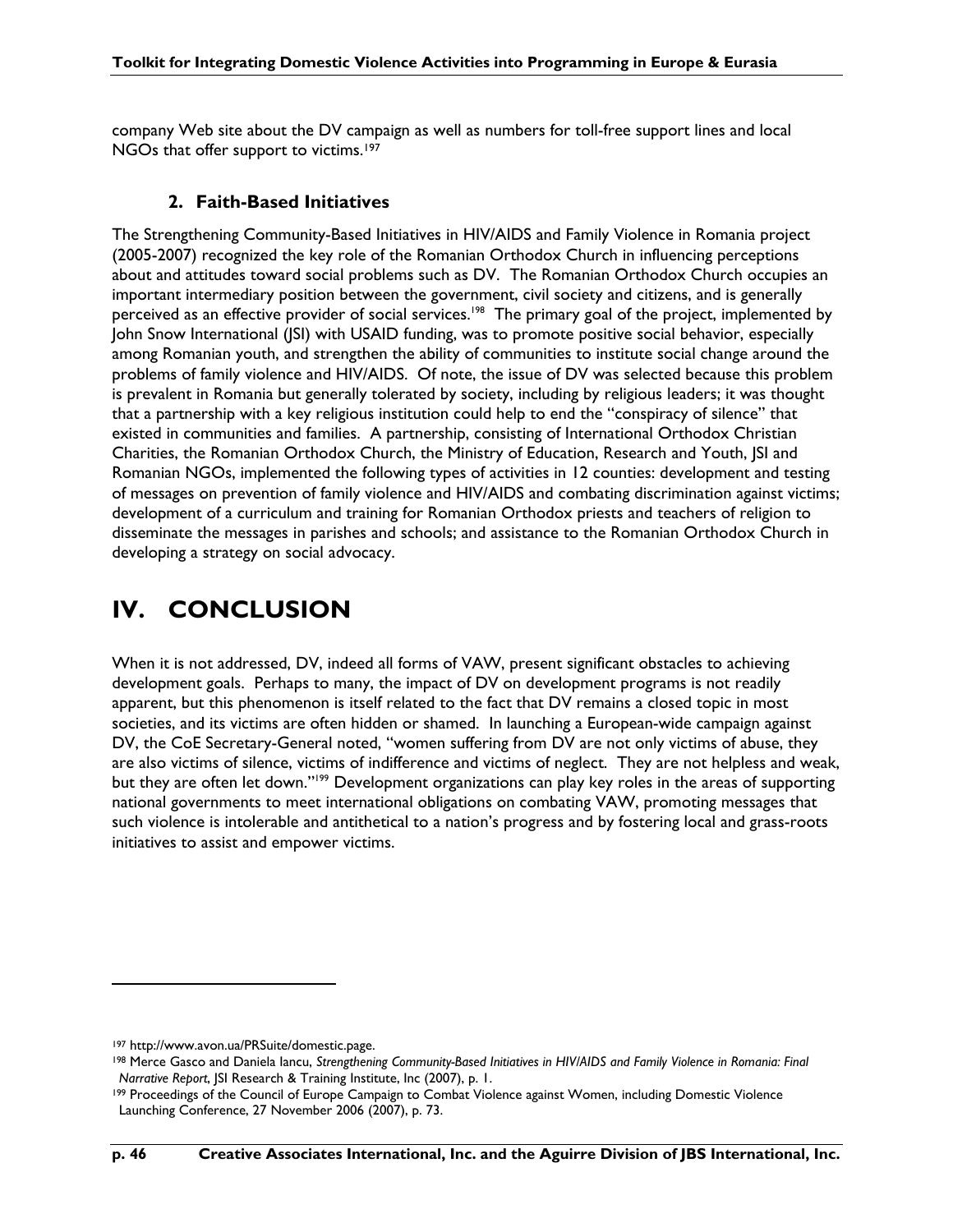company Web site about the DV campaign as well as numbers for toll-free support lines and local NGOs that offer support to victims.197

### **2. Faith-Based Initiatives**

The Strengthening Community-Based Initiatives in HIV/AIDS and Family Violence in Romania project (2005-2007) recognized the key role of the Romanian Orthodox Church in influencing perceptions about and attitudes toward social problems such as DV. The Romanian Orthodox Church occupies an important intermediary position between the government, civil society and citizens, and is generally perceived as an effective provider of social services.<sup>198</sup> The primary goal of the project, implemented by John Snow International (JSI) with USAID funding, was to promote positive social behavior, especially among Romanian youth, and strengthen the ability of communities to institute social change around the problems of family violence and HIV/AIDS. Of note, the issue of DV was selected because this problem is prevalent in Romania but generally tolerated by society, including by religious leaders; it was thought that a partnership with a key religious institution could help to end the "conspiracy of silence" that existed in communities and families. A partnership, consisting of International Orthodox Christian Charities, the Romanian Orthodox Church, the Ministry of Education, Research and Youth, JSI and Romanian NGOs, implemented the following types of activities in 12 counties: development and testing of messages on prevention of family violence and HIV/AIDS and combating discrimination against victims; development of a curriculum and training for Romanian Orthodox priests and teachers of religion to disseminate the messages in parishes and schools; and assistance to the Romanian Orthodox Church in developing a strategy on social advocacy.

## **IV. CONCLUSION**

When it is not addressed, DV, indeed all forms of VAW, present significant obstacles to achieving development goals. Perhaps to many, the impact of DV on development programs is not readily apparent, but this phenomenon is itself related to the fact that DV remains a closed topic in most societies, and its victims are often hidden or shamed. In launching a European-wide campaign against DV, the CoE Secretary-General noted, "women suffering from DV are not only victims of abuse, they are also victims of silence, victims of indifference and victims of neglect. They are not helpless and weak, but they are often let down."<sup>199</sup> Development organizations can play key roles in the areas of supporting national governments to meet international obligations on combating VAW, promoting messages that such violence is intolerable and antithetical to a nation's progress and by fostering local and grass-roots initiatives to assist and empower victims.

<sup>197</sup> http://www.avon.ua/PRSuite/domestic.page.

<sup>198</sup> Merce Gasco and Daniela Iancu, *Strengthening Community-Based Initiatives in HIV/AIDS and Family Violence in Romania: Final Narrative Report*, JSI Research & Training Institute, Inc (2007), p. 1.

<sup>199</sup> Proceedings of the Council of Europe Campaign to Combat Violence against Women, including Domestic Violence Launching Conference, 27 November 2006 (2007), p. 73.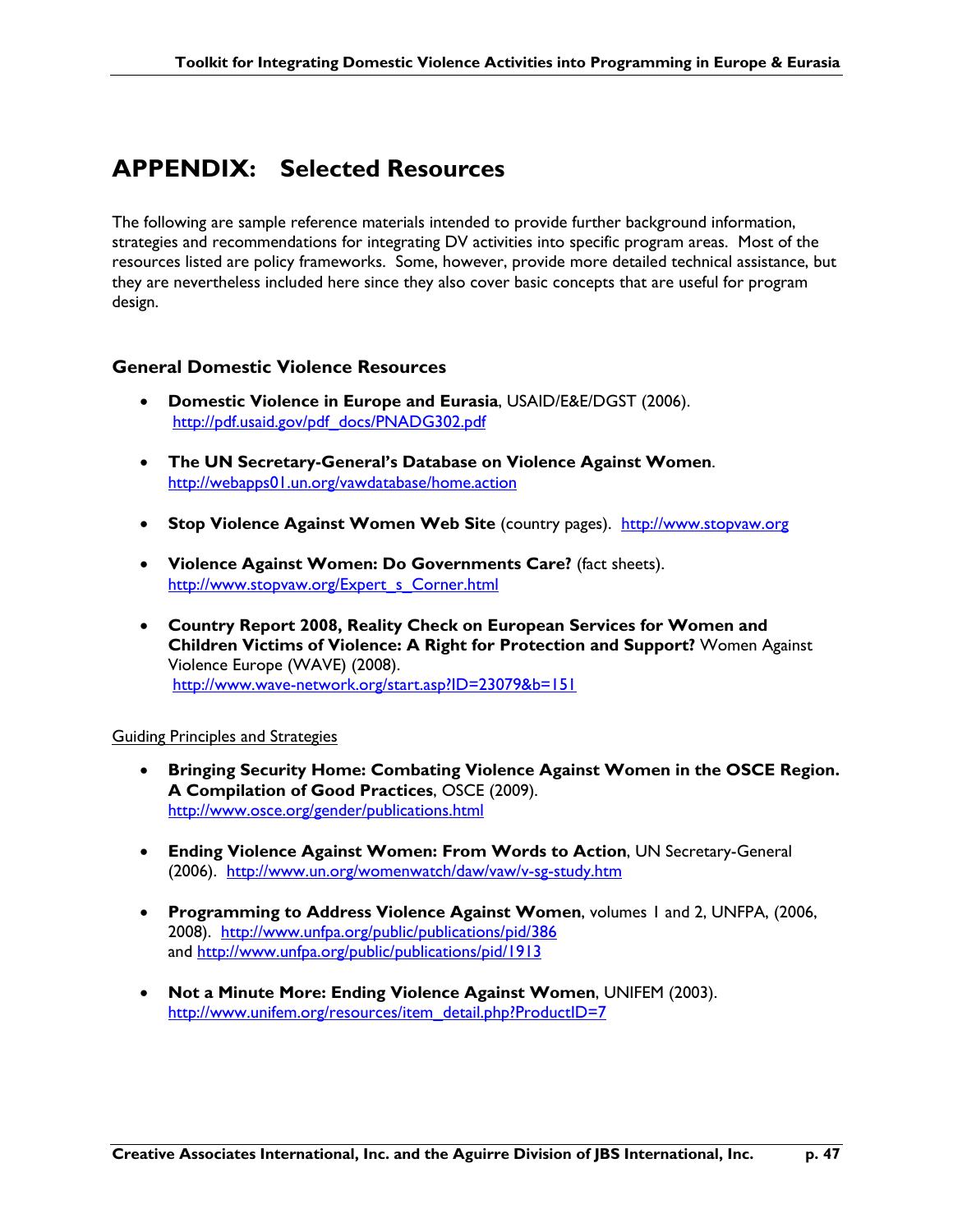## **APPENDIX: Selected Resources**

The following are sample reference materials intended to provide further background information, strategies and recommendations for integrating DV activities into specific program areas. Most of the resources listed are policy frameworks. Some, however, provide more detailed technical assistance, but they are nevertheless included here since they also cover basic concepts that are useful for program design.

### **General Domestic Violence Resources**

- **Domestic Violence in Europe and Eurasia**, USAID/E&E/DGST (2006). http://pdf.usaid.gov/pdf\_docs/PNADG302.pdf
- **The UN Secretary-General's Database on Violence Against Women**. http://webapps01.un.org/vawdatabase/home.action
- **Stop Violence Against Women Web Site** (country pages). http://www.stopvaw.org
- **Violence Against Women: Do Governments Care?** (fact sheets). http://www.stopvaw.org/Expert\_s\_Corner.html
- **Country Report 2008, Reality Check on European Services for Women and Children Victims of Violence: A Right for Protection and Support?** Women Against Violence Europe (WAVE) (2008). http://www.wave-network.org/start.asp?ID=23079&b=151

### Guiding Principles and Strategies

- **Bringing Security Home: Combating Violence Against Women in the OSCE Region. A Compilation of Good Practices**, OSCE (2009). http://www.osce.org/gender/publications.html
- **Ending Violence Against Women: From Words to Action**, UN Secretary-General (2006). http://www.un.org/womenwatch/daw/vaw/v-sg-study.htm
- **Programming to Address Violence Against Women**, volumes 1 and 2, UNFPA, (2006, 2008). http://www.unfpa.org/public/publications/pid/386 and http://www.unfpa.org/public/publications/pid/1913
- **Not a Minute More: Ending Violence Against Women**, UNIFEM (2003). http://www.unifem.org/resources/item\_detail.php?ProductID=7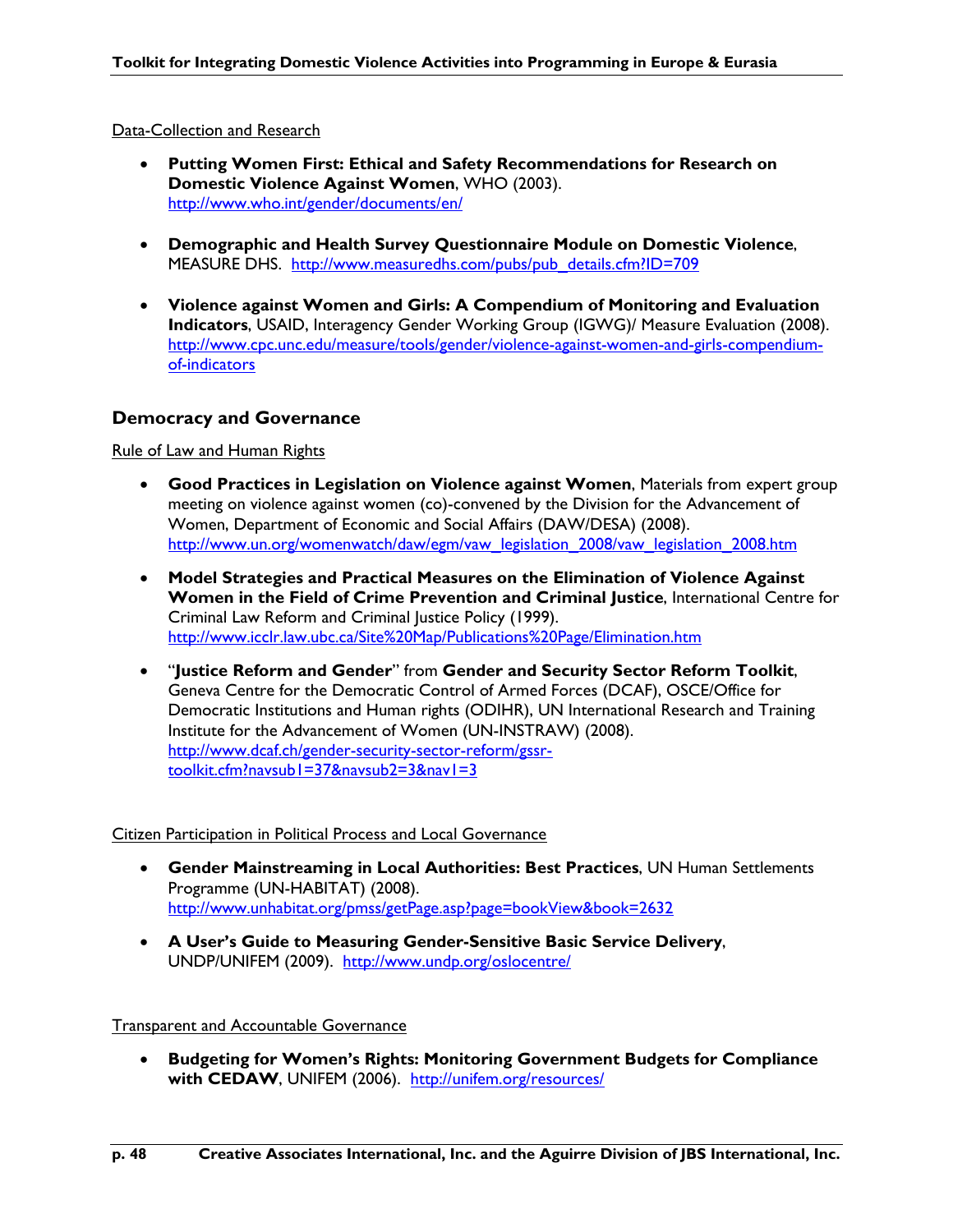### Data-Collection and Research

- **Putting Women First: Ethical and Safety Recommendations for Research on Domestic Violence Against Women**, WHO (2003). http://www.who.int/gender/documents/en/
- **Demographic and Health Survey Questionnaire Module on Domestic Violence**, MEASURE DHS. http://www.measuredhs.com/pubs/pub\_details.cfm?ID=709
- **Violence against Women and Girls: A Compendium of Monitoring and Evaluation Indicators**, USAID, Interagency Gender Working Group (IGWG)/ Measure Evaluation (2008). http://www.cpc.unc.edu/measure/tools/gender/violence-against-women-and-girls-compendiumof-indicators

### **Democracy and Governance**

Rule of Law and Human Rights

- **Good Practices in Legislation on Violence against Women**, Materials from expert group meeting on violence against women (co)-convened by the Division for the Advancement of Women, Department of Economic and Social Affairs (DAW/DESA) (2008). http://www.un.org/womenwatch/daw/egm/vaw\_legislation\_2008/vaw\_legislation\_2008.htm
- **Model Strategies and Practical Measures on the Elimination of Violence Against Women in the Field of Crime Prevention and Criminal Justice**, International Centre for Criminal Law Reform and Criminal Justice Policy (1999). http://www.icclr.law.ubc.ca/Site%20Map/Publications%20Page/Elimination.htm
- "**Justice Reform and Gender**" from **Gender and Security Sector Reform Toolkit**, Geneva Centre for the Democratic Control of Armed Forces (DCAF), OSCE/Office for Democratic Institutions and Human rights (ODIHR), UN International Research and Training Institute for the Advancement of Women (UN-INSTRAW) (2008). http://www.dcaf.ch/gender-security-sector-reform/gssrtoolkit.cfm?navsub1=37&navsub2=3&nav1=3

### Citizen Participation in Political Process and Local Governance

- **Gender Mainstreaming in Local Authorities: Best Practices**, UN Human Settlements Programme (UN-HABITAT) (2008). http://www.unhabitat.org/pmss/getPage.asp?page=bookView&book=2632
- **A User's Guide to Measuring Gender-Sensitive Basic Service Delivery**, UNDP/UNIFEM (2009). http://www.undp.org/oslocentre/

#### Transparent and Accountable Governance

• **Budgeting for Women's Rights: Monitoring Government Budgets for Compliance with CEDAW**, UNIFEM (2006). http://unifem.org/resources/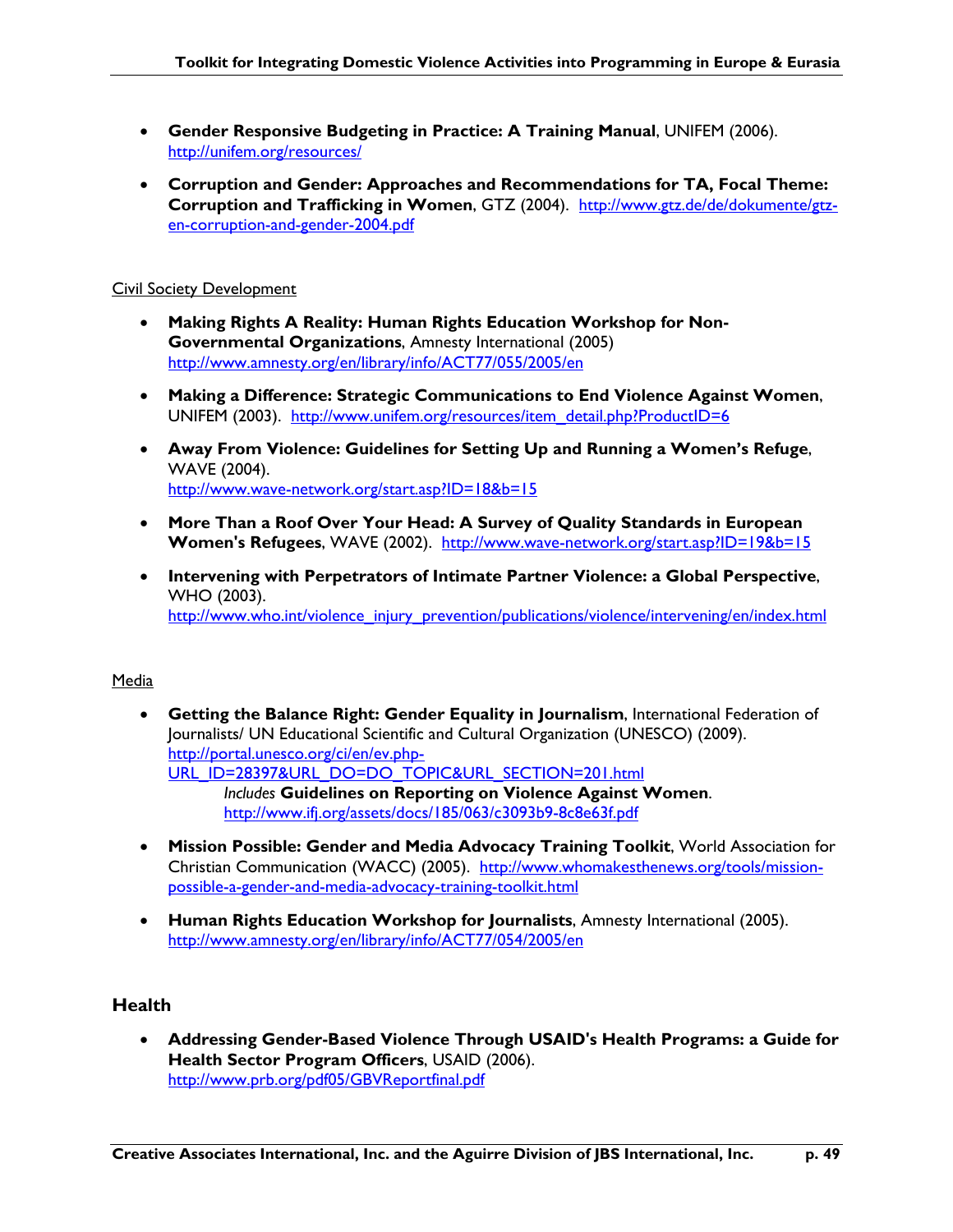- **Gender Responsive Budgeting in Practice: A Training Manual**, UNIFEM (2006). http://unifem.org/resources/
- **Corruption and Gender: Approaches and Recommendations for TA, Focal Theme: Corruption and Trafficking in Women**, GTZ (2004). http://www.gtz.de/de/dokumente/gtzen-corruption-and-gender-2004.pdf

### Civil Society Development

- **Making Rights A Reality: Human Rights Education Workshop for Non-Governmental Organizations**, Amnesty International (2005) http://www.amnesty.org/en/library/info/ACT77/055/2005/en
- **Making a Difference: Strategic Communications to End Violence Against Women**, UNIFEM (2003). http://www.unifem.org/resources/item\_detail.php?ProductID=6
- **Away From Violence: Guidelines for Setting Up and Running a Women's Refuge**, WAVE (2004). http://www.wave-network.org/start.asp?ID=18&b=15
- **More Than a Roof Over Your Head: A Survey of Quality Standards in European Women's Refugees**, WAVE (2002). http://www.wave-network.org/start.asp?ID=19&b=15
- **Intervening with Perpetrators of Intimate Partner Violence: a Global Perspective**, WHO (2003). http://www.who.int/violence\_injury\_prevention/publications/violence/intervening/en/index.html

### Media

- **Getting the Balance Right: Gender Equality in Journalism**, International Federation of Journalists/ UN Educational Scientific and Cultural Organization (UNESCO) (2009). http://portal.unesco.org/ci/en/ev.php-URL\_ID=28397&URL\_DO=DO\_TOPIC&URL\_SECTION=201.html *Includes* **Guidelines on Reporting on Violence Against Women**. http://www.ifj.org/assets/docs/185/063/c3093b9-8c8e63f.pdf
- **Mission Possible: Gender and Media Advocacy Training Toolkit**, World Association for Christian Communication (WACC) (2005). http://www.whomakesthenews.org/tools/missionpossible-a-gender-and-media-advocacy-training-toolkit.html
- **Human Rights Education Workshop for Journalists**, Amnesty International (2005). http://www.amnesty.org/en/library/info/ACT77/054/2005/en

### **Health**

• **Addressing Gender-Based Violence Through USAID's Health Programs: a Guide for Health Sector Program Officers**, USAID (2006). http://www.prb.org/pdf05/GBVReportfinal.pdf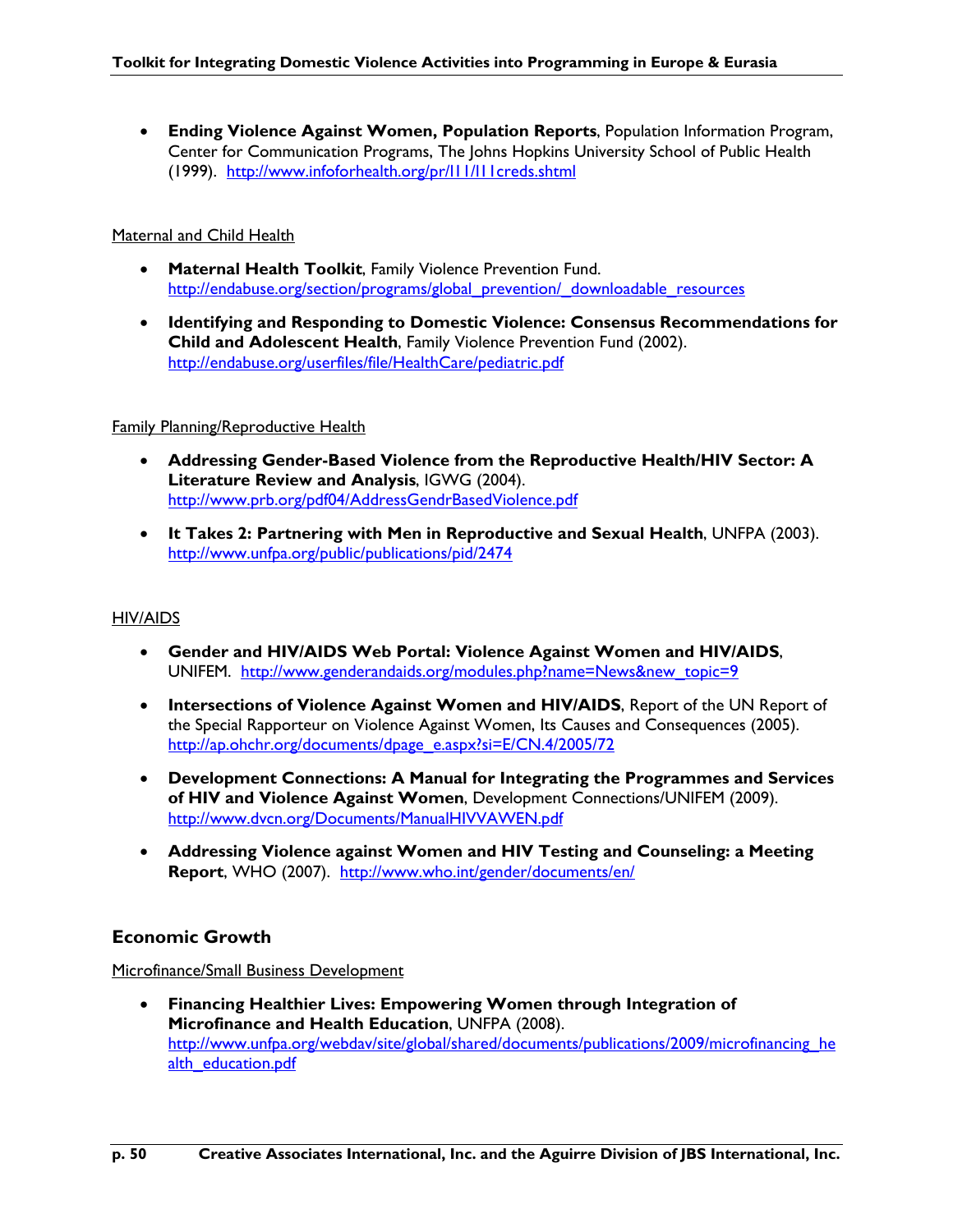• **Ending Violence Against Women, Population Reports**, Population Information Program, Center for Communication Programs, The Johns Hopkins University School of Public Health (1999). http://www.infoforhealth.org/pr/l11/l11creds.shtml

### Maternal and Child Health

- **Maternal Health Toolkit**, Family Violence Prevention Fund. http://endabuse.org/section/programs/global\_prevention/\_downloadable\_resources
- **Identifying and Responding to Domestic Violence: Consensus Recommendations for Child and Adolescent Health**, Family Violence Prevention Fund (2002). http://endabuse.org/userfiles/file/HealthCare/pediatric.pdf

### Family Planning/Reproductive Health

- **Addressing Gender-Based Violence from the Reproductive Health/HIV Sector: A Literature Review and Analysis**, IGWG (2004). http://www.prb.org/pdf04/AddressGendrBasedViolence.pdf
- **It Takes 2: Partnering with Men in Reproductive and Sexual Health**, UNFPA (2003). http://www.unfpa.org/public/publications/pid/2474

#### HIV/AIDS

- **Gender and HIV/AIDS Web Portal: Violence Against Women and HIV/AIDS**, UNIFEM. http://www.genderandaids.org/modules.php?name=News&new\_topic=9
- **Intersections of Violence Against Women and HIV/AIDS**, Report of the UN Report of the Special Rapporteur on Violence Against Women, Its Causes and Consequences (2005). http://ap.ohchr.org/documents/dpage\_e.aspx?si=E/CN.4/2005/72
- **Development Connections: A Manual for Integrating the Programmes and Services of HIV and Violence Against Women**, Development Connections/UNIFEM (2009). http://www.dvcn.org/Documents/ManualHIVVAWEN.pdf
- **Addressing Violence against Women and HIV Testing and Counseling: a Meeting**  Report, WHO (2007). http://www.who.int/gender/documents/en/

### **Economic Growth**

Microfinance/Small Business Development

• **Financing Healthier Lives: Empowering Women through Integration of Microfinance and Health Education**, UNFPA (2008). http://www.unfpa.org/webdav/site/global/shared/documents/publications/2009/microfinancing he alth\_education.pdf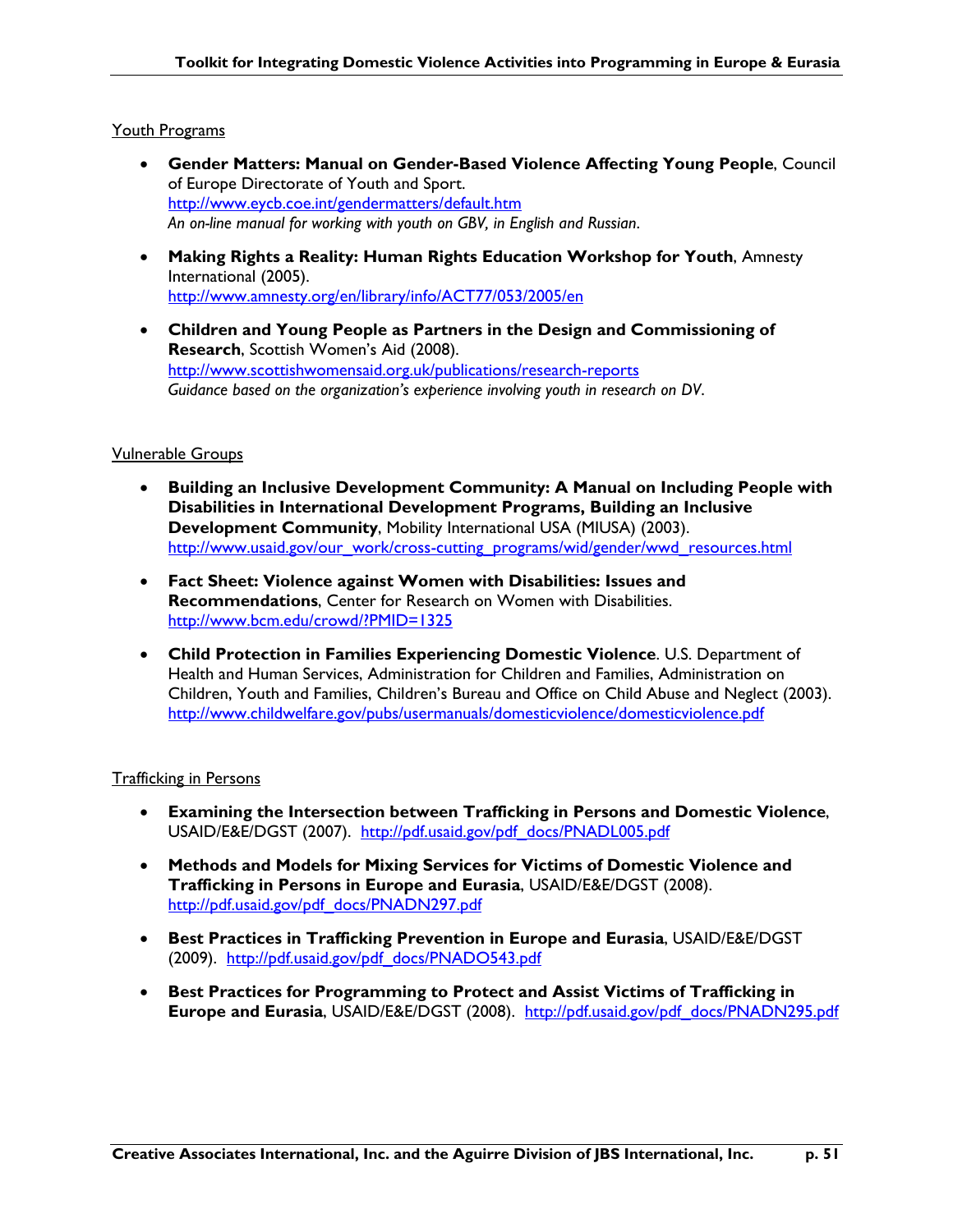#### Youth Programs

- **Gender Matters: Manual on Gender-Based Violence Affecting Young People**, Council of Europe Directorate of Youth and Sport. http://www.eycb.coe.int/gendermatters/default.htm *An on-line manual for working with youth on GBV, in English and Russian*.
- **Making Rights a Reality: Human Rights Education Workshop for Youth**, Amnesty International (2005). http://www.amnesty.org/en/library/info/ACT77/053/2005/en
- **Children and Young People as Partners in the Design and Commissioning of Research**, Scottish Women's Aid (2008). http://www.scottishwomensaid.org.uk/publications/research-reports *Guidance based on the organization's experience involving youth in research on DV*.

#### Vulnerable Groups

- **Building an Inclusive Development Community: A Manual on Including People with Disabilities in International Development Programs, Building an Inclusive Development Community**, Mobility International USA (MIUSA) (2003). http://www.usaid.gov/our\_work/cross-cutting\_programs/wid/gender/wwd\_resources.html
- **Fact Sheet: Violence against Women with Disabilities: Issues and Recommendations**, Center for Research on Women with Disabilities. http://www.bcm.edu/crowd/?PMID=1325
- **Child Protection in Families Experiencing Domestic Violence**. U.S. Department of Health and Human Services, Administration for Children and Families, Administration on Children, Youth and Families, Children's Bureau and Office on Child Abuse and Neglect (2003). http://www.childwelfare.gov/pubs/usermanuals/domesticviolence/domesticviolence.pdf

### Trafficking in Persons

- **Examining the Intersection between Trafficking in Persons and Domestic Violence**, USAID/E&E/DGST (2007). http://pdf.usaid.gov/pdf\_docs/PNADL005.pdf
- **Methods and Models for Mixing Services for Victims of Domestic Violence and Trafficking in Persons in Europe and Eurasia**, USAID/E&E/DGST (2008). http://pdf.usaid.gov/pdf\_docs/PNADN297.pdf
- **Best Practices in Trafficking Prevention in Europe and Eurasia**, USAID/E&E/DGST (2009). http://pdf.usaid.gov/pdf\_docs/PNADO543.pdf
- **Best Practices for Programming to Protect and Assist Victims of Trafficking in Europe and Eurasia**, USAID/E&E/DGST (2008). http://pdf.usaid.gov/pdf\_docs/PNADN295.pdf